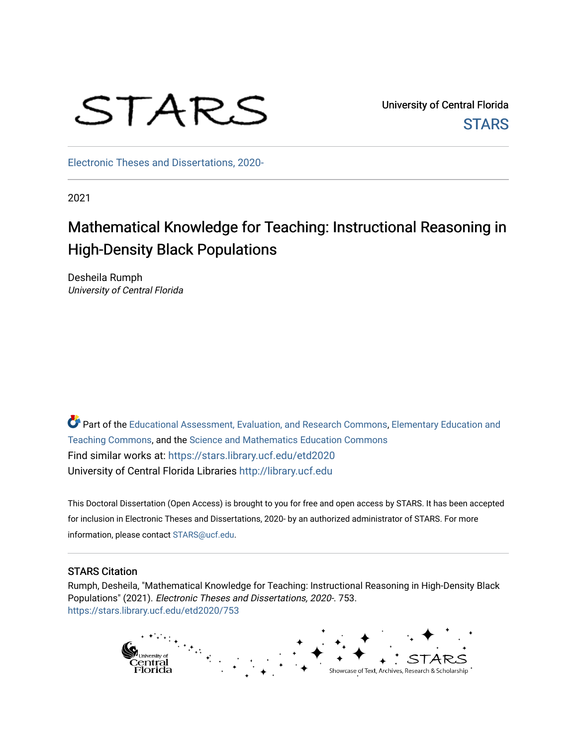# STARS

University of Central Florida **STARS** 

[Electronic Theses and Dissertations, 2020-](https://stars.library.ucf.edu/etd2020) 

2021

## Mathematical Knowledge for Teaching: Instructional Reasoning in High-Density Black Populations

Desheila Rumph University of Central Florida

Part of the [Educational Assessment, Evaluation, and Research Commons](http://network.bepress.com/hgg/discipline/796?utm_source=stars.library.ucf.edu%2Fetd2020%2F753&utm_medium=PDF&utm_campaign=PDFCoverPages), [Elementary Education and](http://network.bepress.com/hgg/discipline/805?utm_source=stars.library.ucf.edu%2Fetd2020%2F753&utm_medium=PDF&utm_campaign=PDFCoverPages) [Teaching Commons](http://network.bepress.com/hgg/discipline/805?utm_source=stars.library.ucf.edu%2Fetd2020%2F753&utm_medium=PDF&utm_campaign=PDFCoverPages), and the [Science and Mathematics Education Commons](http://network.bepress.com/hgg/discipline/800?utm_source=stars.library.ucf.edu%2Fetd2020%2F753&utm_medium=PDF&utm_campaign=PDFCoverPages)  Find similar works at: <https://stars.library.ucf.edu/etd2020> University of Central Florida Libraries [http://library.ucf.edu](http://library.ucf.edu/) 

This Doctoral Dissertation (Open Access) is brought to you for free and open access by STARS. It has been accepted for inclusion in Electronic Theses and Dissertations, 2020- by an authorized administrator of STARS. For more information, please contact [STARS@ucf.edu.](mailto:STARS@ucf.edu)

#### STARS Citation

Rumph, Desheila, "Mathematical Knowledge for Teaching: Instructional Reasoning in High-Density Black Populations" (2021). Electronic Theses and Dissertations, 2020-. 753. [https://stars.library.ucf.edu/etd2020/753](https://stars.library.ucf.edu/etd2020/753?utm_source=stars.library.ucf.edu%2Fetd2020%2F753&utm_medium=PDF&utm_campaign=PDFCoverPages) 

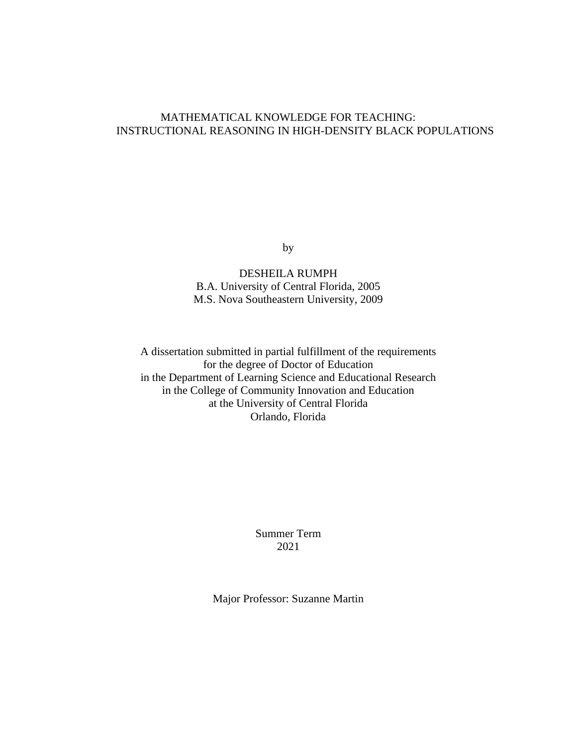#### MATHEMATICAL KNOWLEDGE FOR TEACHING: INSTRUCTIONAL REASONING IN HIGH-DENSITY BLACK POPULATIONS

by

DESHEILA RUMPH B.A. University of Central Florida, 2005 M.S. Nova Southeastern University, 2009

A dissertation submitted in partial fulfillment of the requirements for the degree of Doctor of Education in the Department of Learning Science and Educational Research in the College of Community Innovation and Education at the University of Central Florida Orlando, Florida

> Summer Term 2021

Major Professor: Suzanne Martin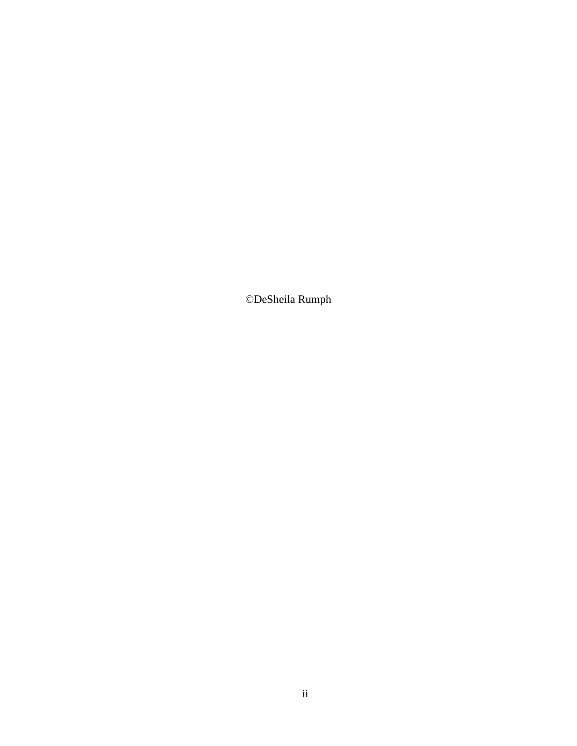©DeSheila Rumph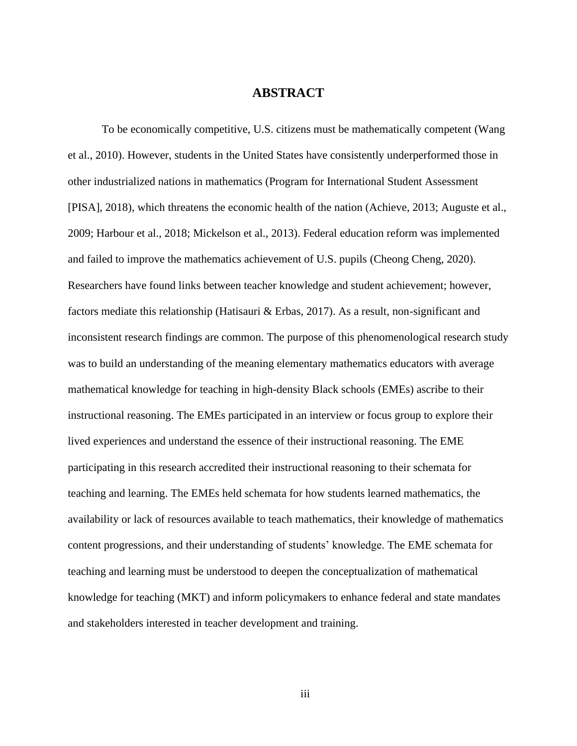#### **ABSTRACT**

To be economically competitive, U.S. citizens must be mathematically competent (Wang et al., 2010). However, students in the United States have consistently underperformed those in other industrialized nations in mathematics (Program for International Student Assessment [PISA], 2018), which threatens the economic health of the nation (Achieve, 2013; Auguste et al., 2009; Harbour et al., 2018; Mickelson et al., 2013). Federal education reform was implemented and failed to improve the mathematics achievement of U.S. pupils (Cheong Cheng, 2020). Researchers have found links between teacher knowledge and student achievement; however, factors mediate this relationship (Hatisauri & Erbas, 2017). As a result, non-significant and inconsistent research findings are common. The purpose of this phenomenological research study was to build an understanding of the meaning elementary mathematics educators with average mathematical knowledge for teaching in high-density Black schools (EMEs) ascribe to their instructional reasoning. The EMEs participated in an interview or focus group to explore their lived experiences and understand the essence of their instructional reasoning. The EME participating in this research accredited their instructional reasoning to their schemata for teaching and learning. The EMEs held schemata for how students learned mathematics, the availability or lack of resources available to teach mathematics, their knowledge of mathematics content progressions, and their understanding of students' knowledge. The EME schemata for teaching and learning must be understood to deepen the conceptualization of mathematical knowledge for teaching (MKT) and inform policymakers to enhance federal and state mandates and stakeholders interested in teacher development and training.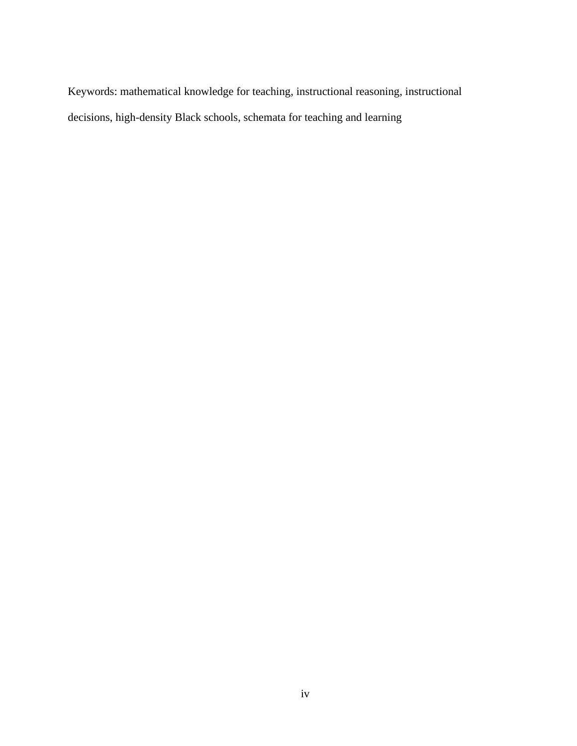Keywords: mathematical knowledge for teaching, instructional reasoning, instructional decisions, high-density Black schools, schemata for teaching and learning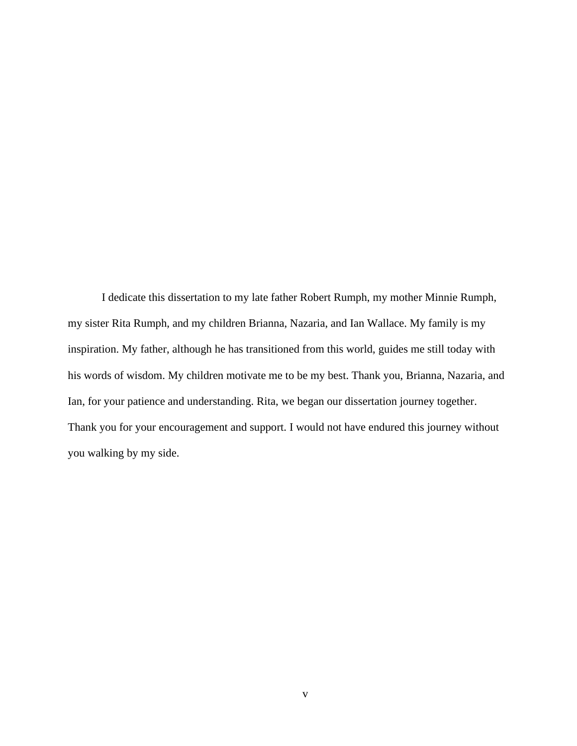I dedicate this dissertation to my late father Robert Rumph, my mother Minnie Rumph, my sister Rita Rumph, and my children Brianna, Nazaria, and Ian Wallace. My family is my inspiration. My father, although he has transitioned from this world, guides me still today with his words of wisdom. My children motivate me to be my best. Thank you, Brianna, Nazaria, and Ian, for your patience and understanding. Rita, we began our dissertation journey together. Thank you for your encouragement and support. I would not have endured this journey without you walking by my side.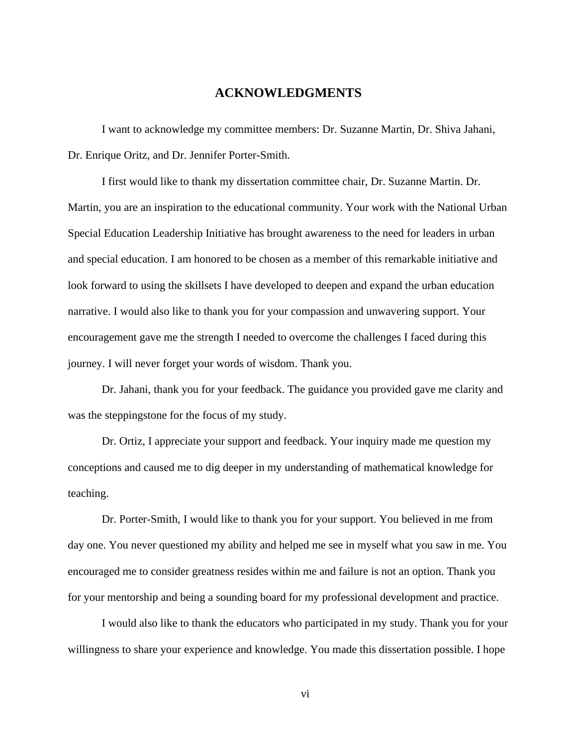#### **ACKNOWLEDGMENTS**

I want to acknowledge my committee members: Dr. Suzanne Martin, Dr. Shiva Jahani, Dr. Enrique Oritz, and Dr. Jennifer Porter-Smith.

I first would like to thank my dissertation committee chair, Dr. Suzanne Martin. Dr. Martin, you are an inspiration to the educational community. Your work with the National Urban Special Education Leadership Initiative has brought awareness to the need for leaders in urban and special education. I am honored to be chosen as a member of this remarkable initiative and look forward to using the skillsets I have developed to deepen and expand the urban education narrative. I would also like to thank you for your compassion and unwavering support. Your encouragement gave me the strength I needed to overcome the challenges I faced during this journey. I will never forget your words of wisdom. Thank you.

Dr. Jahani, thank you for your feedback. The guidance you provided gave me clarity and was the steppingstone for the focus of my study.

Dr. Ortiz, I appreciate your support and feedback. Your inquiry made me question my conceptions and caused me to dig deeper in my understanding of mathematical knowledge for teaching.

Dr. Porter-Smith, I would like to thank you for your support. You believed in me from day one. You never questioned my ability and helped me see in myself what you saw in me. You encouraged me to consider greatness resides within me and failure is not an option. Thank you for your mentorship and being a sounding board for my professional development and practice.

I would also like to thank the educators who participated in my study. Thank you for your willingness to share your experience and knowledge. You made this dissertation possible. I hope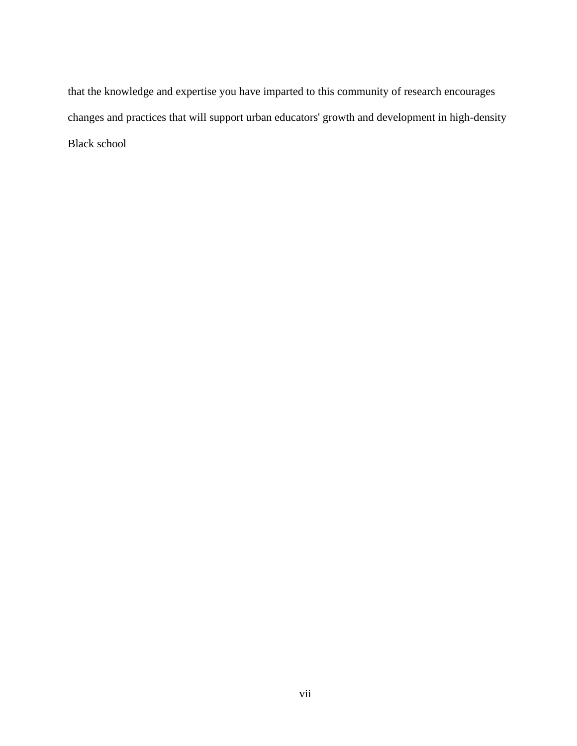that the knowledge and expertise you have imparted to this community of research encourages changes and practices that will support urban educators' growth and development in high-density Black school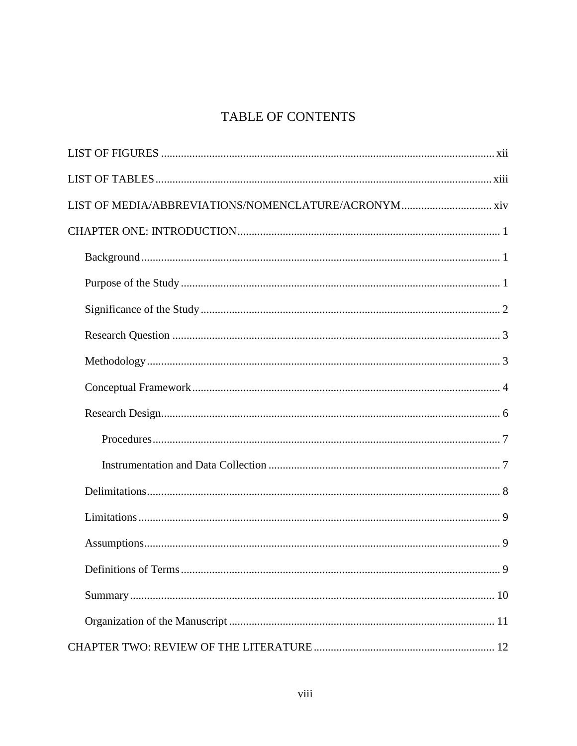### TABLE OF CONTENTS

| LIST OF MEDIA/ABBREVIATIONS/NOMENCLATURE/ACRONYM xiv |
|------------------------------------------------------|
|                                                      |
|                                                      |
|                                                      |
|                                                      |
|                                                      |
|                                                      |
|                                                      |
|                                                      |
|                                                      |
|                                                      |
|                                                      |
|                                                      |
|                                                      |
|                                                      |
|                                                      |
|                                                      |
|                                                      |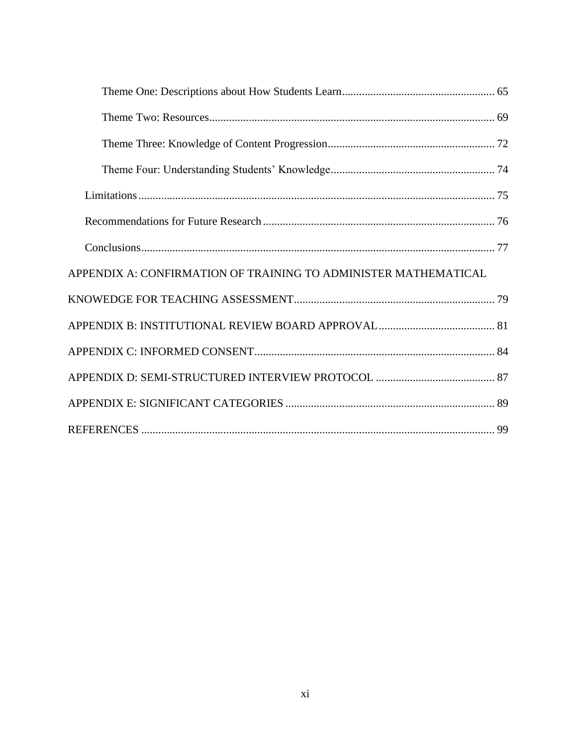| APPENDIX A: CONFIRMATION OF TRAINING TO ADMINISTER MATHEMATICAL |  |
|-----------------------------------------------------------------|--|
|                                                                 |  |
|                                                                 |  |
|                                                                 |  |
|                                                                 |  |
|                                                                 |  |
|                                                                 |  |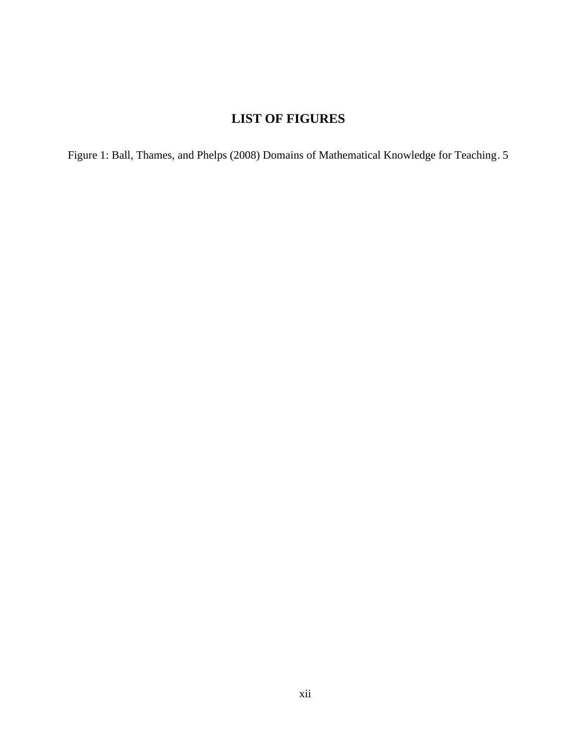## **LIST OF FIGURES**

<span id="page-12-0"></span>[Figure 1: Ball, Thames, and Phelps \(2008\) Domains of Mathematical Knowledge for Teaching.](#page-19-0) 5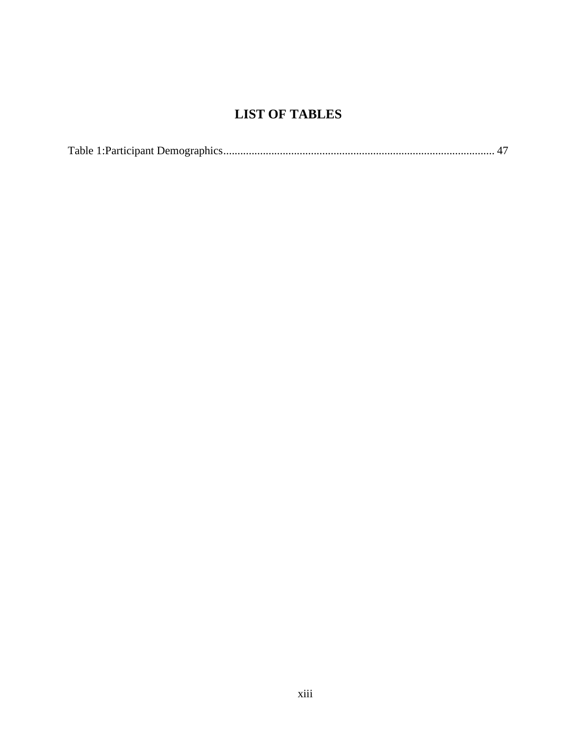## **LIST OF TABLES**

<span id="page-13-0"></span>

|--|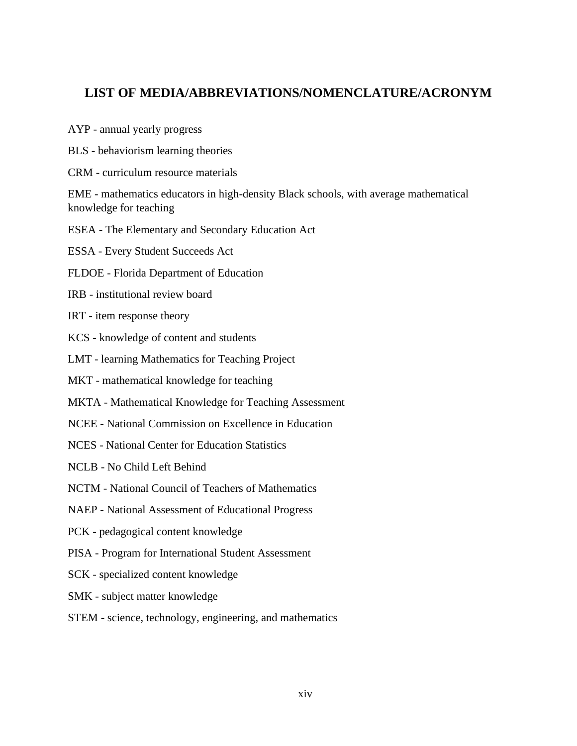#### <span id="page-14-0"></span>**LIST OF MEDIA/ABBREVIATIONS/NOMENCLATURE/ACRONYM**

- AYP annual yearly progress
- BLS behaviorism learning theories
- CRM curriculum resource materials

EME - mathematics educators in high-density Black schools, with average mathematical knowledge for teaching

- ESEA The Elementary and Secondary Education Act
- ESSA Every Student Succeeds Act
- FLDOE Florida Department of Education
- IRB institutional review board
- IRT item response theory
- KCS knowledge of content and students
- LMT learning Mathematics for Teaching Project
- MKT mathematical knowledge for teaching
- MKTA Mathematical Knowledge for Teaching Assessment
- NCEE National Commission on Excellence in Education
- NCES National Center for Education Statistics
- NCLB No Child Left Behind
- NCTM National Council of Teachers of Mathematics
- NAEP National Assessment of Educational Progress
- PCK pedagogical content knowledge
- PISA Program for International Student Assessment
- SCK specialized content knowledge
- SMK subject matter knowledge
- STEM science, technology, engineering, and mathematics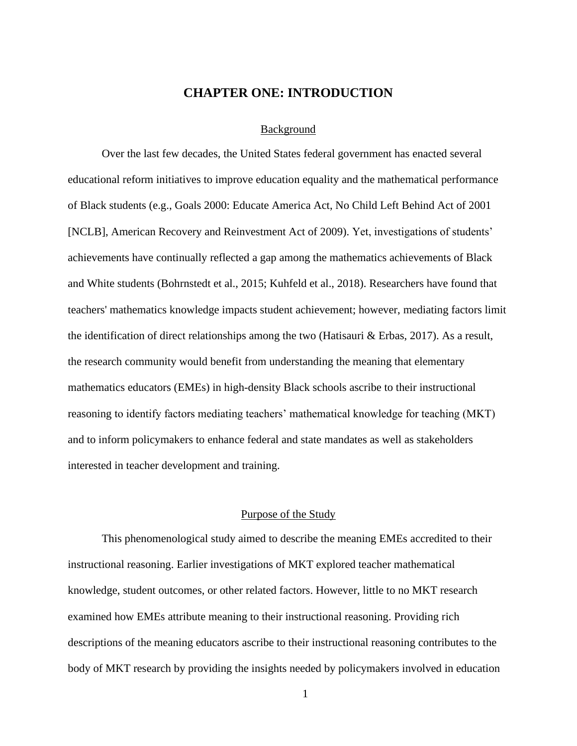#### **CHAPTER ONE: INTRODUCTION**

#### Background

<span id="page-15-1"></span><span id="page-15-0"></span>Over the last few decades, the United States federal government has enacted several educational reform initiatives to improve education equality and the mathematical performance of Black students (e.g., Goals 2000: Educate America Act, No Child Left Behind Act of 2001 [NCLB], American Recovery and Reinvestment Act of 2009). Yet, investigations of students' achievements have continually reflected a gap among the mathematics achievements of Black and White students (Bohrnstedt et al., 2015; Kuhfeld et al., 2018). Researchers have found that teachers' mathematics knowledge impacts student achievement; however, mediating factors limit the identification of direct relationships among the two (Hatisauri  $\&$  Erbas, 2017). As a result, the research community would benefit from understanding the meaning that elementary mathematics educators (EMEs) in high-density Black schools ascribe to their instructional reasoning to identify factors mediating teachers' mathematical knowledge for teaching (MKT) and to inform policymakers to enhance federal and state mandates as well as stakeholders interested in teacher development and training.

#### Purpose of the Study

<span id="page-15-2"></span>This phenomenological study aimed to describe the meaning EMEs accredited to their instructional reasoning. Earlier investigations of MKT explored teacher mathematical knowledge, student outcomes, or other related factors. However, little to no MKT research examined how EMEs attribute meaning to their instructional reasoning. Providing rich descriptions of the meaning educators ascribe to their instructional reasoning contributes to the body of MKT research by providing the insights needed by policymakers involved in education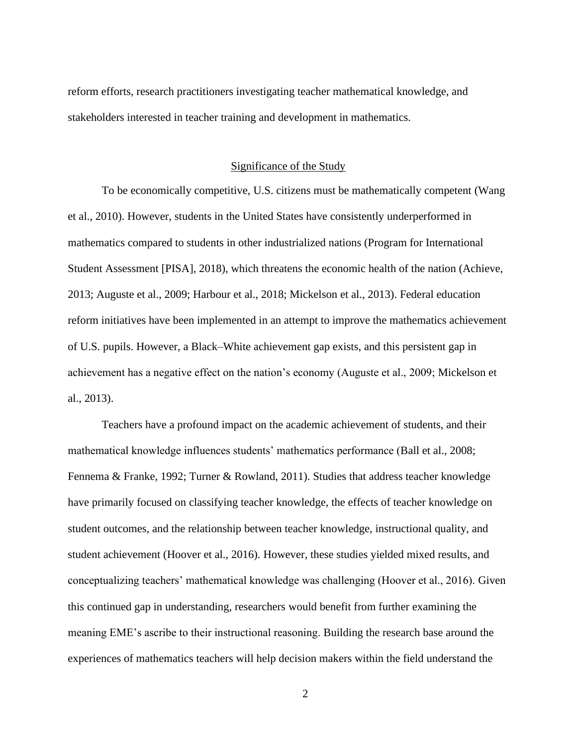reform efforts, research practitioners investigating teacher mathematical knowledge, and stakeholders interested in teacher training and development in mathematics.

#### Significance of the Study

<span id="page-16-0"></span>To be economically competitive, U.S. citizens must be mathematically competent (Wang et al., 2010). However, students in the United States have consistently underperformed in mathematics compared to students in other industrialized nations (Program for International Student Assessment [PISA], 2018), which threatens the economic health of the nation (Achieve, 2013; Auguste et al., 2009; Harbour et al., 2018; Mickelson et al., 2013). Federal education reform initiatives have been implemented in an attempt to improve the mathematics achievement of U.S. pupils. However, a Black–White achievement gap exists, and this persistent gap in achievement has a negative effect on the nation's economy (Auguste et al., 2009; Mickelson et al., 2013).

Teachers have a profound impact on the academic achievement of students, and their mathematical knowledge influences students' mathematics performance (Ball et al., 2008; Fennema & Franke, 1992; Turner & Rowland, 2011). Studies that address teacher knowledge have primarily focused on classifying teacher knowledge, the effects of teacher knowledge on student outcomes, and the relationship between teacher knowledge, instructional quality, and student achievement (Hoover et al., 2016). However, these studies yielded mixed results, and conceptualizing teachers' mathematical knowledge was challenging (Hoover et al., 2016). Given this continued gap in understanding, researchers would benefit from further examining the meaning EME's ascribe to their instructional reasoning. Building the research base around the experiences of mathematics teachers will help decision makers within the field understand the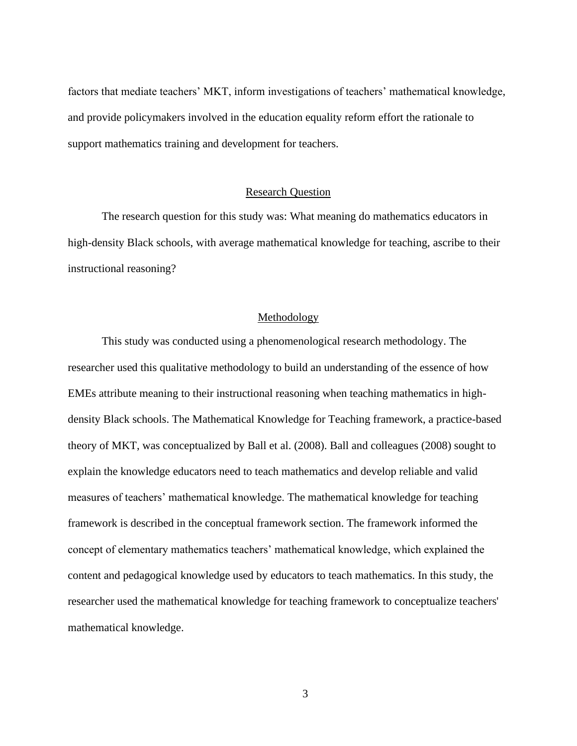factors that mediate teachers' MKT, inform investigations of teachers' mathematical knowledge, and provide policymakers involved in the education equality reform effort the rationale to support mathematics training and development for teachers.

#### Research Question

<span id="page-17-0"></span>The research question for this study was: What meaning do mathematics educators in high-density Black schools, with average mathematical knowledge for teaching, ascribe to their instructional reasoning?

#### Methodology

<span id="page-17-1"></span>This study was conducted using a phenomenological research methodology. The researcher used this qualitative methodology to build an understanding of the essence of how EMEs attribute meaning to their instructional reasoning when teaching mathematics in highdensity Black schools. The Mathematical Knowledge for Teaching framework, a practice-based theory of MKT, was conceptualized by Ball et al. (2008). Ball and colleagues (2008) sought to explain the knowledge educators need to teach mathematics and develop reliable and valid measures of teachers' mathematical knowledge. The mathematical knowledge for teaching framework is described in the conceptual framework section. The framework informed the concept of elementary mathematics teachers' mathematical knowledge, which explained the content and pedagogical knowledge used by educators to teach mathematics. In this study, the researcher used the mathematical knowledge for teaching framework to conceptualize teachers' mathematical knowledge.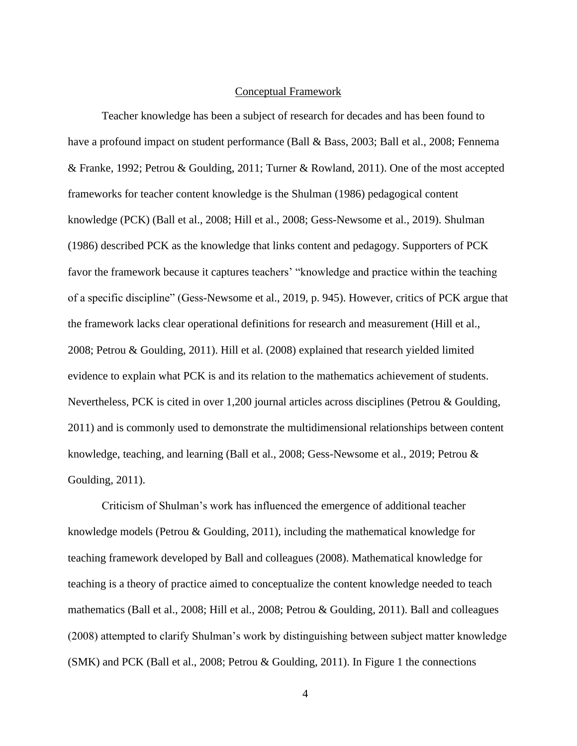#### Conceptual Framework

<span id="page-18-0"></span>Teacher knowledge has been a subject of research for decades and has been found to have a profound impact on student performance (Ball & Bass, 2003; Ball et al., 2008; Fennema & Franke, 1992; Petrou & Goulding, 2011; Turner & Rowland, 2011). One of the most accepted frameworks for teacher content knowledge is the Shulman (1986) pedagogical content knowledge (PCK) (Ball et al., 2008; Hill et al., 2008; Gess-Newsome et al., 2019). Shulman (1986) described PCK as the knowledge that links content and pedagogy. Supporters of PCK favor the framework because it captures teachers' "knowledge and practice within the teaching of a specific discipline" (Gess-Newsome et al., 2019, p. 945). However, critics of PCK argue that the framework lacks clear operational definitions for research and measurement (Hill et al., 2008; Petrou & Goulding, 2011). Hill et al. (2008) explained that research yielded limited evidence to explain what PCK is and its relation to the mathematics achievement of students. Nevertheless, PCK is cited in over 1,200 journal articles across disciplines (Petrou & Goulding, 2011) and is commonly used to demonstrate the multidimensional relationships between content knowledge, teaching, and learning (Ball et al., 2008; Gess-Newsome et al., 2019; Petrou & Goulding, 2011).

Criticism of Shulman's work has influenced the emergence of additional teacher knowledge models (Petrou & Goulding, 2011), including the mathematical knowledge for teaching framework developed by Ball and colleagues (2008). Mathematical knowledge for teaching is a theory of practice aimed to conceptualize the content knowledge needed to teach mathematics (Ball et al., 2008; Hill et al., 2008; Petrou & Goulding, 2011). Ball and colleagues (2008) attempted to clarify Shulman's work by distinguishing between subject matter knowledge (SMK) and PCK (Ball et al., 2008; Petrou & Goulding, 2011). In Figure 1 the connections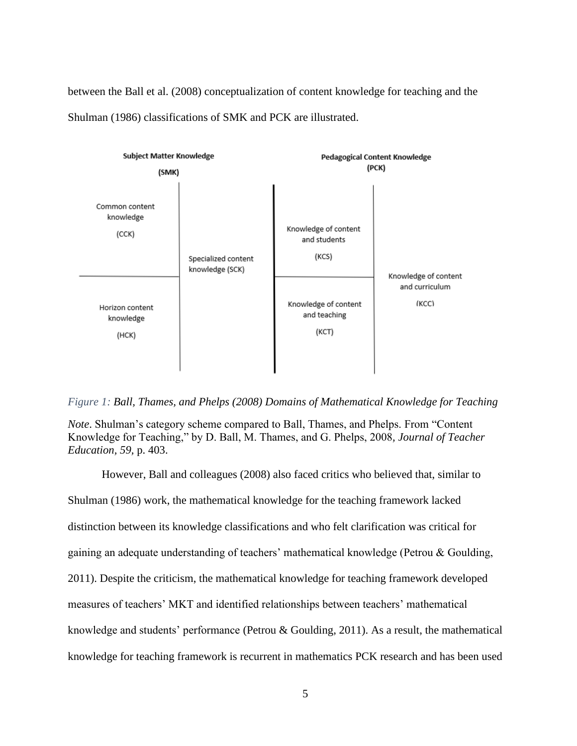between the Ball et al. (2008) conceptualization of content knowledge for teaching and the Shulman (1986) classifications of SMK and PCK are illustrated.



<span id="page-19-0"></span>*Figure 1: Ball, Thames, and Phelps (2008) Domains of Mathematical Knowledge for Teaching*

*Note*. Shulman's category scheme compared to Ball, Thames, and Phelps. From "Content Knowledge for Teaching," by D. Ball, M. Thames, and G. Phelps, 2008*, Journal of Teacher Education, 59,* p. 403.

However, Ball and colleagues (2008) also faced critics who believed that, similar to Shulman (1986) work, the mathematical knowledge for the teaching framework lacked distinction between its knowledge classifications and who felt clarification was critical for gaining an adequate understanding of teachers' mathematical knowledge (Petrou & Goulding, 2011). Despite the criticism, the mathematical knowledge for teaching framework developed measures of teachers' MKT and identified relationships between teachers' mathematical knowledge and students' performance (Petrou & Goulding, 2011). As a result, the mathematical knowledge for teaching framework is recurrent in mathematics PCK research and has been used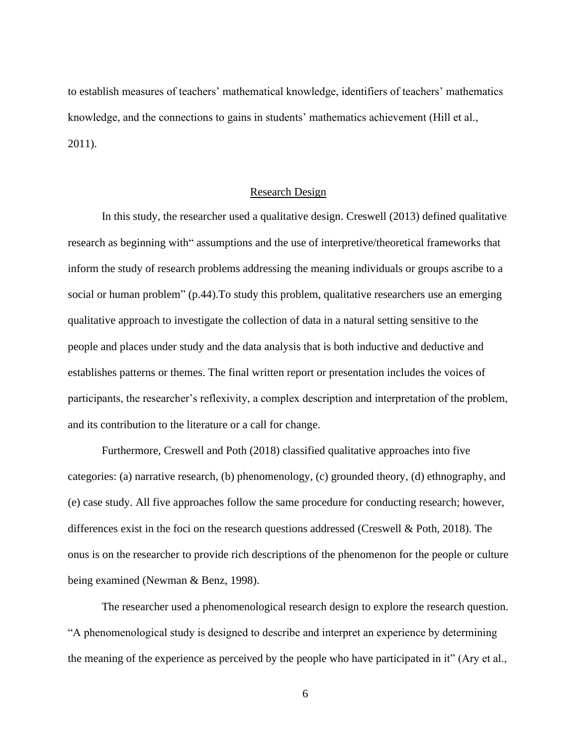to establish measures of teachers' mathematical knowledge, identifiers of teachers' mathematics knowledge, and the connections to gains in students' mathematics achievement (Hill et al., 2011).

#### Research Design

<span id="page-20-0"></span>In this study, the researcher used a qualitative design. Creswell (2013) defined qualitative research as beginning with" assumptions and the use of interpretive/theoretical frameworks that inform the study of research problems addressing the meaning individuals or groups ascribe to a social or human problem" (p.44). To study this problem, qualitative researchers use an emerging qualitative approach to investigate the collection of data in a natural setting sensitive to the people and places under study and the data analysis that is both inductive and deductive and establishes patterns or themes. The final written report or presentation includes the voices of participants, the researcher's reflexivity, a complex description and interpretation of the problem, and its contribution to the literature or a call for change.

Furthermore, Creswell and Poth (2018) classified qualitative approaches into five categories: (a) narrative research, (b) phenomenology, (c) grounded theory, (d) ethnography, and (e) case study. All five approaches follow the same procedure for conducting research; however, differences exist in the foci on the research questions addressed (Creswell & Poth, 2018). The onus is on the researcher to provide rich descriptions of the phenomenon for the people or culture being examined (Newman & Benz, 1998).

The researcher used a phenomenological research design to explore the research question. "A phenomenological study is designed to describe and interpret an experience by determining the meaning of the experience as perceived by the people who have participated in it" (Ary et al.,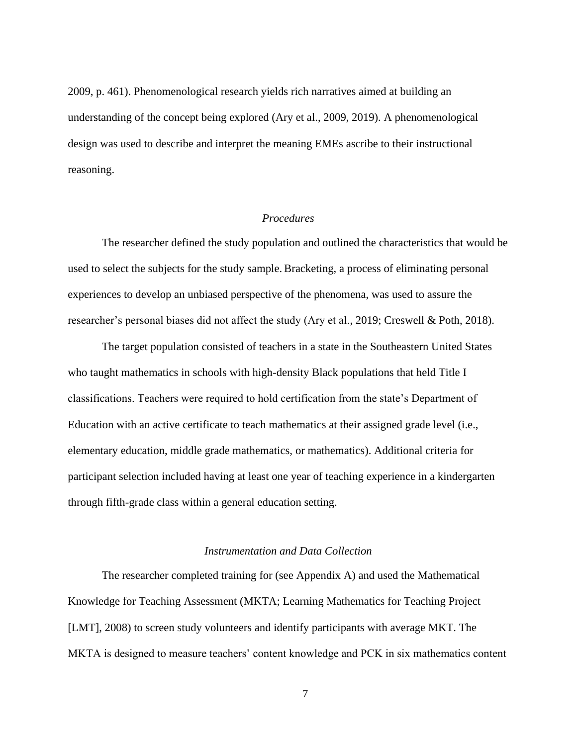2009, p. 461). Phenomenological research yields rich narratives aimed at building an understanding of the concept being explored (Ary et al., 2009, 2019). A phenomenological design was used to describe and interpret the meaning EMEs ascribe to their instructional reasoning.

#### *Procedures*

<span id="page-21-0"></span>The researcher defined the study population and outlined the characteristics that would be used to select the subjects for the study sample. Bracketing, a process of eliminating personal experiences to develop an unbiased perspective of the phenomena, was used to assure the researcher's personal biases did not affect the study (Ary et al., 2019; Creswell & Poth, 2018).

The target population consisted of teachers in a state in the Southeastern United States who taught mathematics in schools with high-density Black populations that held Title I classifications. Teachers were required to hold certification from the state's Department of Education with an active certificate to teach mathematics at their assigned grade level (i.e., elementary education, middle grade mathematics, or mathematics). Additional criteria for participant selection included having at least one year of teaching experience in a kindergarten through fifth-grade class within a general education setting.

#### *Instrumentation and Data Collection*

<span id="page-21-1"></span>The researcher completed training for (see Appendix A) and used the Mathematical Knowledge for Teaching Assessment (MKTA; Learning Mathematics for Teaching Project [LMT], 2008) to screen study volunteers and identify participants with average MKT. The MKTA is designed to measure teachers' content knowledge and PCK in six mathematics content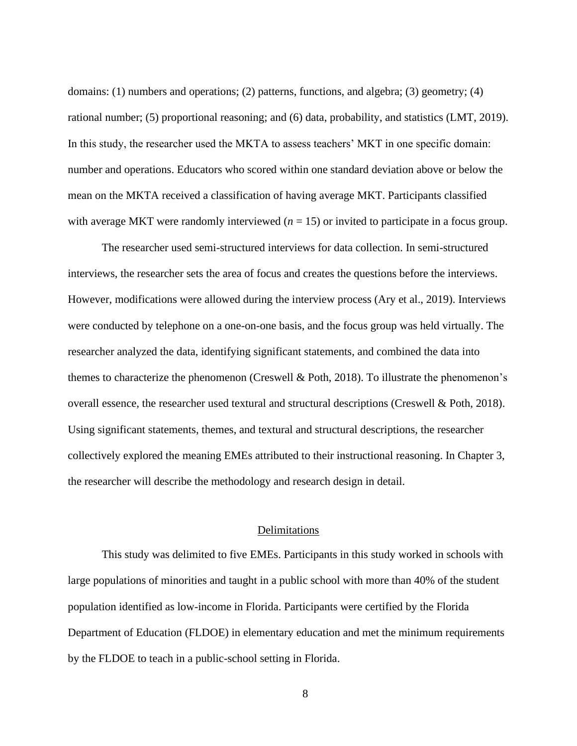domains: (1) numbers and operations; (2) patterns, functions, and algebra; (3) geometry; (4) rational number; (5) proportional reasoning; and (6) data, probability, and statistics (LMT, 2019). In this study, the researcher used the MKTA to assess teachers' MKT in one specific domain: number and operations. Educators who scored within one standard deviation above or below the mean on the MKTA received a classification of having average MKT. Participants classified with average MKT were randomly interviewed  $(n = 15)$  or invited to participate in a focus group.

The researcher used semi-structured interviews for data collection. In semi-structured interviews, the researcher sets the area of focus and creates the questions before the interviews. However, modifications were allowed during the interview process (Ary et al., 2019). Interviews were conducted by telephone on a one-on-one basis, and the focus group was held virtually. The researcher analyzed the data, identifying significant statements, and combined the data into themes to characterize the phenomenon (Creswell & Poth, 2018). To illustrate the phenomenon's overall essence, the researcher used textural and structural descriptions (Creswell & Poth, 2018). Using significant statements, themes, and textural and structural descriptions, the researcher collectively explored the meaning EMEs attributed to their instructional reasoning. In Chapter 3, the researcher will describe the methodology and research design in detail.

#### Delimitations

<span id="page-22-0"></span>This study was delimited to five EMEs. Participants in this study worked in schools with large populations of minorities and taught in a public school with more than 40% of the student population identified as low-income in Florida. Participants were certified by the Florida Department of Education (FLDOE) in elementary education and met the minimum requirements by the FLDOE to teach in a public-school setting in Florida.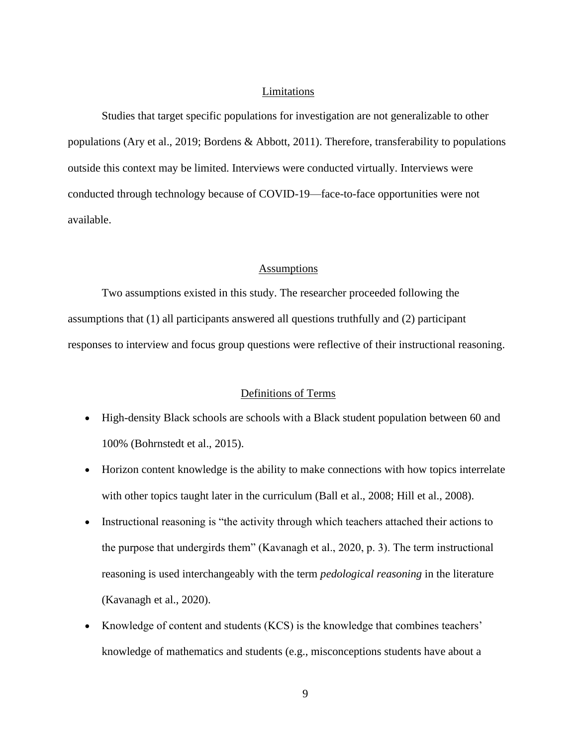#### Limitations

<span id="page-23-0"></span>Studies that target specific populations for investigation are not generalizable to other populations (Ary et al., 2019; Bordens & Abbott, 2011). Therefore, transferability to populations outside this context may be limited. Interviews were conducted virtually. Interviews were conducted through technology because of COVID-19—face-to-face opportunities were not available.

#### Assumptions

<span id="page-23-1"></span>Two assumptions existed in this study. The researcher proceeded following the assumptions that (1) all participants answered all questions truthfully and (2) participant responses to interview and focus group questions were reflective of their instructional reasoning.

#### Definitions of Terms

- <span id="page-23-2"></span>• High-density Black schools are schools with a Black student population between 60 and 100% (Bohrnstedt et al., 2015).
- Horizon content knowledge is the ability to make connections with how topics interrelate with other topics taught later in the curriculum (Ball et al., 2008; Hill et al., 2008).
- Instructional reasoning is "the activity through which teachers attached their actions to the purpose that undergirds them" (Kavanagh et al., 2020, p. 3). The term instructional reasoning is used interchangeably with the term *pedological reasoning* in the literature (Kavanagh et al., 2020).
- Knowledge of content and students (KCS) is the knowledge that combines teachers' knowledge of mathematics and students (e.g., misconceptions students have about a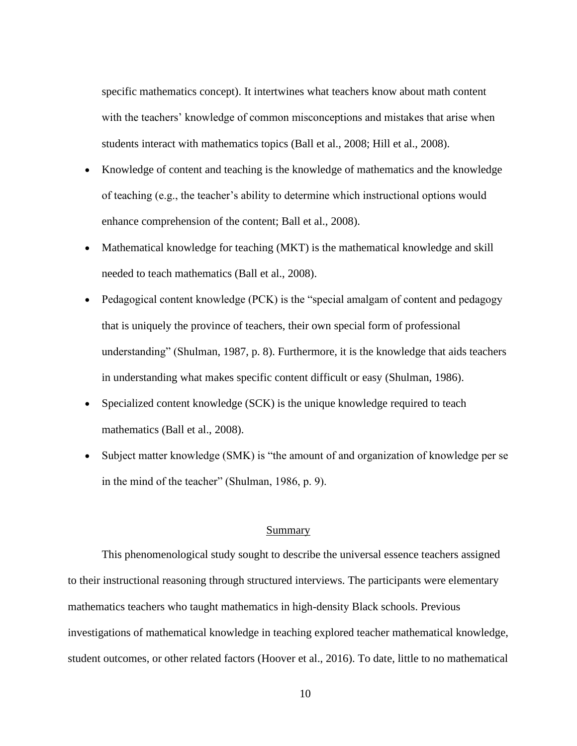specific mathematics concept). It intertwines what teachers know about math content with the teachers' knowledge of common misconceptions and mistakes that arise when students interact with mathematics topics (Ball et al., 2008; Hill et al., 2008).

- Knowledge of content and teaching is the knowledge of mathematics and the knowledge of teaching (e.g., the teacher's ability to determine which instructional options would enhance comprehension of the content; Ball et al., 2008).
- Mathematical knowledge for teaching (MKT) is the mathematical knowledge and skill needed to teach mathematics (Ball et al., 2008).
- Pedagogical content knowledge (PCK) is the "special amalgam of content and pedagogy that is uniquely the province of teachers, their own special form of professional understanding" (Shulman, 1987, p. 8). Furthermore, it is the knowledge that aids teachers in understanding what makes specific content difficult or easy (Shulman, 1986).
- Specialized content knowledge (SCK) is the unique knowledge required to teach mathematics (Ball et al., 2008).
- Subject matter knowledge (SMK) is "the amount of and organization of knowledge per se in the mind of the teacher" (Shulman, 1986, p. 9).

#### Summary

<span id="page-24-0"></span>This phenomenological study sought to describe the universal essence teachers assigned to their instructional reasoning through structured interviews. The participants were elementary mathematics teachers who taught mathematics in high-density Black schools. Previous investigations of mathematical knowledge in teaching explored teacher mathematical knowledge, student outcomes, or other related factors (Hoover et al., 2016). To date, little to no mathematical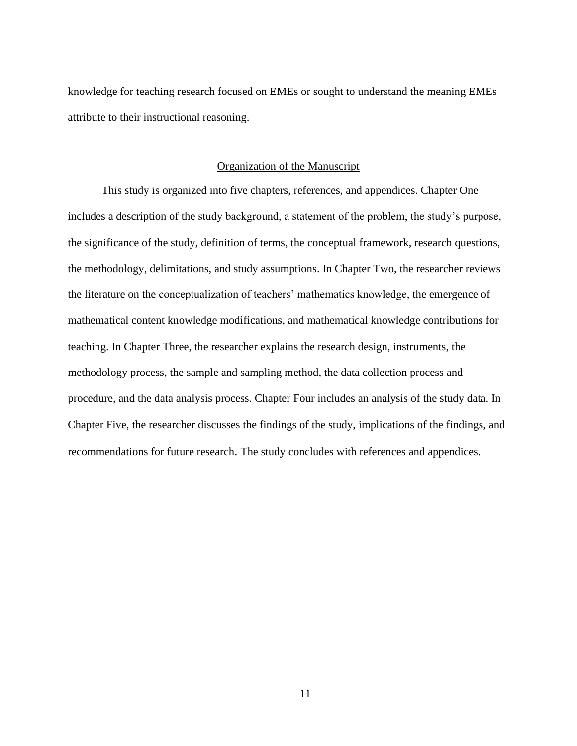knowledge for teaching research focused on EMEs or sought to understand the meaning EMEs attribute to their instructional reasoning.

#### Organization of the Manuscript

<span id="page-25-0"></span>This study is organized into five chapters, references, and appendices. Chapter One includes a description of the study background, a statement of the problem, the study's purpose, the significance of the study, definition of terms, the conceptual framework, research questions, the methodology, delimitations, and study assumptions. In Chapter Two, the researcher reviews the literature on the conceptualization of teachers' mathematics knowledge, the emergence of mathematical content knowledge modifications, and mathematical knowledge contributions for teaching. In Chapter Three, the researcher explains the research design, instruments, the methodology process, the sample and sampling method, the data collection process and procedure, and the data analysis process. Chapter Four includes an analysis of the study data. In Chapter Five, the researcher discusses the findings of the study, implications of the findings, and recommendations for future research. The study concludes with references and appendices.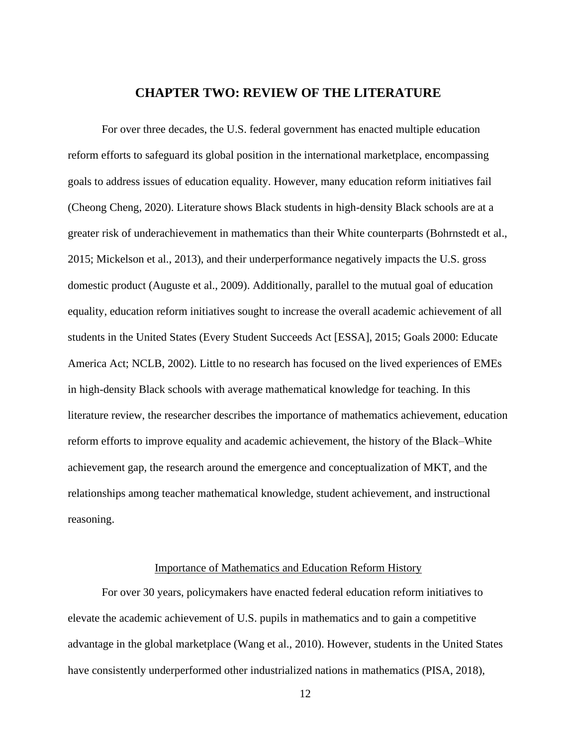#### **CHAPTER TWO: REVIEW OF THE LITERATURE**

<span id="page-26-0"></span>For over three decades, the U.S. federal government has enacted multiple education reform efforts to safeguard its global position in the international marketplace, encompassing goals to address issues of education equality. However, many education reform initiatives fail (Cheong Cheng, 2020). Literature shows Black students in high-density Black schools are at a greater risk of underachievement in mathematics than their White counterparts (Bohrnstedt et al., 2015; Mickelson et al., 2013), and their underperformance negatively impacts the U.S. gross domestic product (Auguste et al., 2009). Additionally, parallel to the mutual goal of education equality, education reform initiatives sought to increase the overall academic achievement of all students in the United States (Every Student Succeeds Act [ESSA], 2015; Goals 2000: Educate America Act; NCLB, 2002). Little to no research has focused on the lived experiences of EMEs in high-density Black schools with average mathematical knowledge for teaching. In this literature review, the researcher describes the importance of mathematics achievement, education reform efforts to improve equality and academic achievement, the history of the Black–White achievement gap, the research around the emergence and conceptualization of MKT, and the relationships among teacher mathematical knowledge, student achievement, and instructional reasoning.

#### Importance of Mathematics and Education Reform History

<span id="page-26-1"></span>For over 30 years, policymakers have enacted federal education reform initiatives to elevate the academic achievement of U.S. pupils in mathematics and to gain a competitive advantage in the global marketplace (Wang et al., 2010). However, students in the United States have consistently underperformed other industrialized nations in mathematics (PISA, 2018),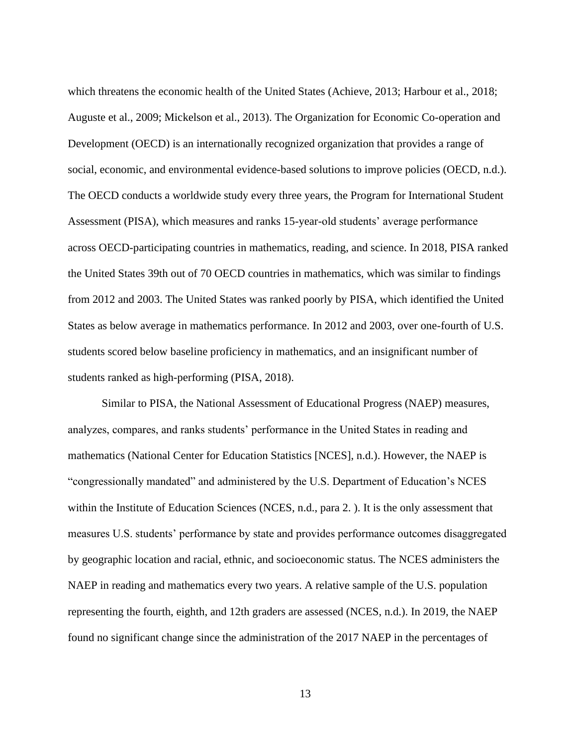which threatens the economic health of the United States (Achieve, 2013; Harbour et al., 2018; Auguste et al., 2009; Mickelson et al., 2013). The Organization for Economic Co-operation and Development (OECD) is an internationally recognized organization that provides a range of social, economic, and environmental evidence-based solutions to improve policies (OECD, n.d.). The OECD conducts a worldwide study every three years, the Program for International Student Assessment (PISA), which measures and ranks 15-year-old students' average performance across OECD-participating countries in mathematics, reading, and science. In 2018, PISA ranked the United States 39th out of 70 OECD countries in mathematics, which was similar to findings from 2012 and 2003. The United States was ranked poorly by PISA, which identified the United States as below average in mathematics performance. In 2012 and 2003, over one-fourth of U.S. students scored below baseline proficiency in mathematics, and an insignificant number of students ranked as high-performing (PISA, 2018).

Similar to PISA, the National Assessment of Educational Progress (NAEP) measures, analyzes, compares, and ranks students' performance in the United States in reading and mathematics (National Center for Education Statistics [NCES], n.d.). However, the NAEP is "congressionally mandated" and administered by the U.S. Department of Education's NCES within the Institute of Education Sciences (NCES, n.d., para 2.). It is the only assessment that measures U.S. students' performance by state and provides performance outcomes disaggregated by geographic location and racial, ethnic, and socioeconomic status. The NCES administers the NAEP in reading and mathematics every two years. A relative sample of the U.S. population representing the fourth, eighth, and 12th graders are assessed (NCES, n.d.). In 2019, the NAEP found no significant change since the administration of the 2017 NAEP in the percentages of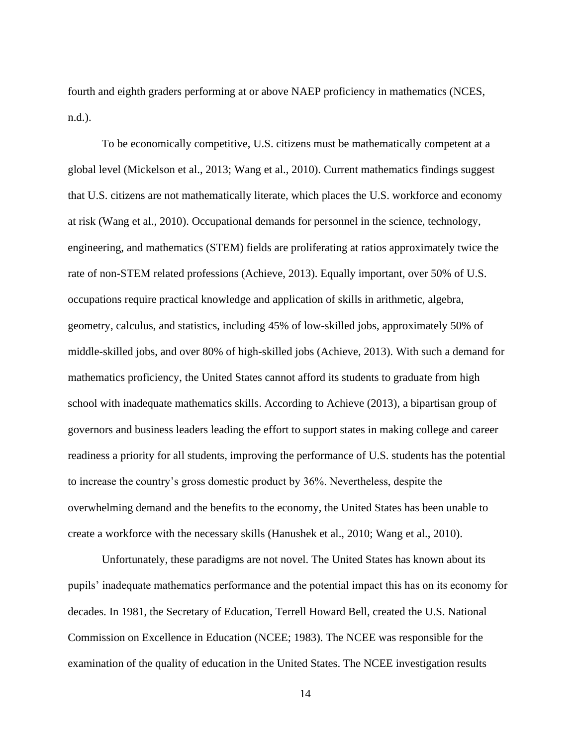fourth and eighth graders performing at or above NAEP proficiency in mathematics (NCES, n.d.).

To be economically competitive, U.S. citizens must be mathematically competent at a global level (Mickelson et al., 2013; Wang et al., 2010). Current mathematics findings suggest that U.S. citizens are not mathematically literate, which places the U.S. workforce and economy at risk (Wang et al., 2010). Occupational demands for personnel in the science, technology, engineering, and mathematics (STEM) fields are proliferating at ratios approximately twice the rate of non-STEM related professions (Achieve, 2013). Equally important, over 50% of U.S. occupations require practical knowledge and application of skills in arithmetic, algebra, geometry, calculus, and statistics, including 45% of low-skilled jobs, approximately 50% of middle-skilled jobs, and over 80% of high-skilled jobs (Achieve, 2013). With such a demand for mathematics proficiency, the United States cannot afford its students to graduate from high school with inadequate mathematics skills. According to Achieve (2013), a bipartisan group of governors and business leaders leading the effort to support states in making college and career readiness a priority for all students, improving the performance of U.S. students has the potential to increase the country's gross domestic product by 36%. Nevertheless, despite the overwhelming demand and the benefits to the economy, the United States has been unable to create a workforce with the necessary skills (Hanushek et al., 2010; Wang et al., 2010).

Unfortunately, these paradigms are not novel. The United States has known about its pupils' inadequate mathematics performance and the potential impact this has on its economy for decades. In 1981, the Secretary of Education, Terrell Howard Bell, created the U.S. National Commission on Excellence in Education (NCEE; 1983). The NCEE was responsible for the examination of the quality of education in the United States. The NCEE investigation results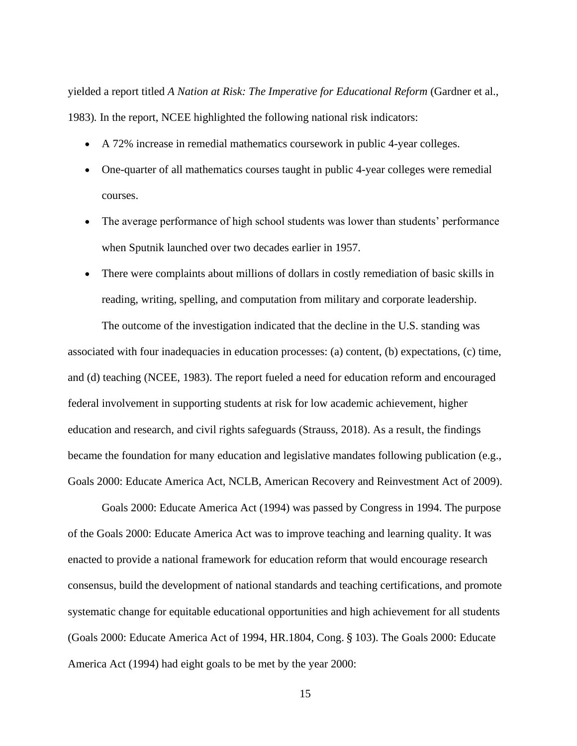yielded a report titled *A Nation at Risk: The Imperative for Educational Reform* (Gardner et al., 1983)*.* In the report, NCEE highlighted the following national risk indicators:

- A 72% increase in remedial mathematics coursework in public 4-year colleges.
- One-quarter of all mathematics courses taught in public 4-year colleges were remedial courses.
- The average performance of high school students was lower than students' performance when Sputnik launched over two decades earlier in 1957.
- There were complaints about millions of dollars in costly remediation of basic skills in reading, writing, spelling, and computation from military and corporate leadership.

The outcome of the investigation indicated that the decline in the U.S. standing was associated with four inadequacies in education processes: (a) content, (b) expectations, (c) time, and (d) teaching (NCEE, 1983). The report fueled a need for education reform and encouraged federal involvement in supporting students at risk for low academic achievement, higher education and research, and civil rights safeguards (Strauss, 2018). As a result, the findings became the foundation for many education and legislative mandates following publication (e.g., Goals 2000: Educate America Act, NCLB, American Recovery and Reinvestment Act of 2009).

Goals 2000: Educate America Act (1994) was passed by Congress in 1994. The purpose of the Goals 2000: Educate America Act was to improve teaching and learning quality. It was enacted to provide a national framework for education reform that would encourage research consensus, build the development of national standards and teaching certifications, and promote systematic change for equitable educational opportunities and high achievement for all students (Goals 2000: Educate America Act of 1994, HR.1804, Cong. § 103). The Goals 2000: Educate America Act (1994) had eight goals to be met by the year 2000: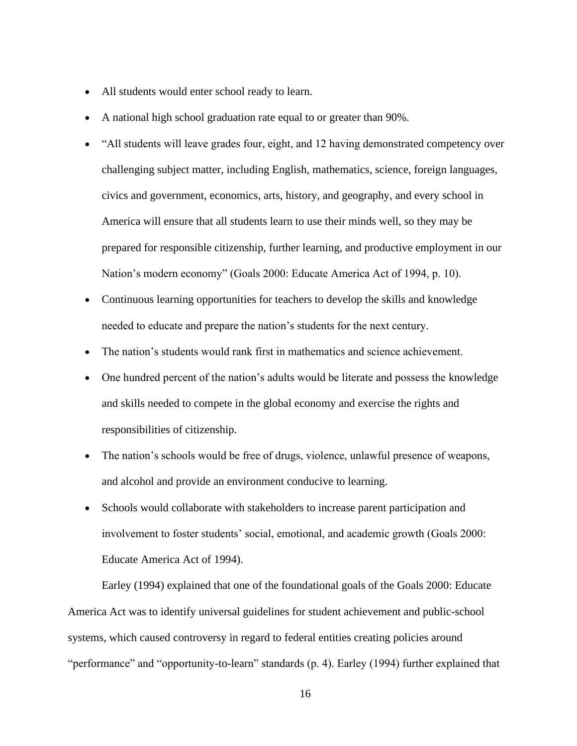- All students would enter school ready to learn.
- A national high school graduation rate equal to or greater than 90%.
- "All students will leave grades four, eight, and 12 having demonstrated competency over challenging subject matter, including English, mathematics, science, foreign languages, civics and government, economics, arts, history, and geography, and every school in America will ensure that all students learn to use their minds well, so they may be prepared for responsible citizenship, further learning, and productive employment in our Nation's modern economy" (Goals 2000: Educate America Act of 1994, p. 10).
- Continuous learning opportunities for teachers to develop the skills and knowledge needed to educate and prepare the nation's students for the next century.
- The nation's students would rank first in mathematics and science achievement.
- One hundred percent of the nation's adults would be literate and possess the knowledge and skills needed to compete in the global economy and exercise the rights and responsibilities of citizenship.
- The nation's schools would be free of drugs, violence, unlawful presence of weapons, and alcohol and provide an environment conducive to learning.
- Schools would collaborate with stakeholders to increase parent participation and involvement to foster students' social, emotional, and academic growth (Goals 2000: Educate America Act of 1994).

Earley (1994) explained that one of the foundational goals of the Goals 2000: Educate America Act was to identify universal guidelines for student achievement and public-school systems, which caused controversy in regard to federal entities creating policies around "performance" and "opportunity-to-learn" standards (p. 4). Earley (1994) further explained that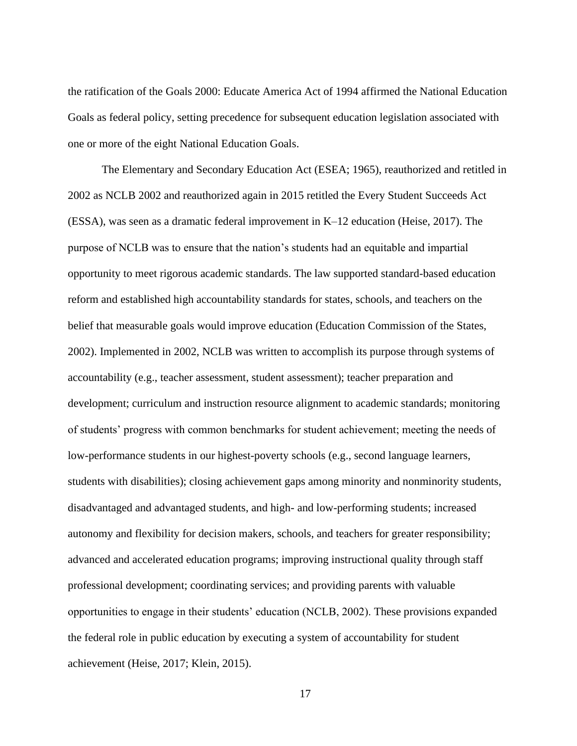the ratification of the Goals 2000: Educate America Act of 1994 affirmed the National Education Goals as federal policy, setting precedence for subsequent education legislation associated with one or more of the eight National Education Goals.

The Elementary and Secondary Education Act (ESEA; 1965), reauthorized and retitled in 2002 as NCLB 2002 and reauthorized again in 2015 retitled the Every Student Succeeds Act (ESSA), was seen as a dramatic federal improvement in K–12 education (Heise, 2017). The purpose of NCLB was to ensure that the nation's students had an equitable and impartial opportunity to meet rigorous academic standards. The law supported standard-based education reform and established high accountability standards for states, schools, and teachers on the belief that measurable goals would improve education (Education Commission of the States, 2002). Implemented in 2002, NCLB was written to accomplish its purpose through systems of accountability (e.g., teacher assessment, student assessment); teacher preparation and development; curriculum and instruction resource alignment to academic standards; monitoring of students' progress with common benchmarks for student achievement; meeting the needs of low-performance students in our highest-poverty schools (e.g., second language learners, students with disabilities); closing achievement gaps among minority and nonminority students, disadvantaged and advantaged students, and high- and low-performing students; increased autonomy and flexibility for decision makers, schools, and teachers for greater responsibility; advanced and accelerated education programs; improving instructional quality through staff professional development; coordinating services; and providing parents with valuable opportunities to engage in their students' education (NCLB, 2002). These provisions expanded the federal role in public education by executing a system of accountability for student achievement (Heise, 2017; Klein, 2015).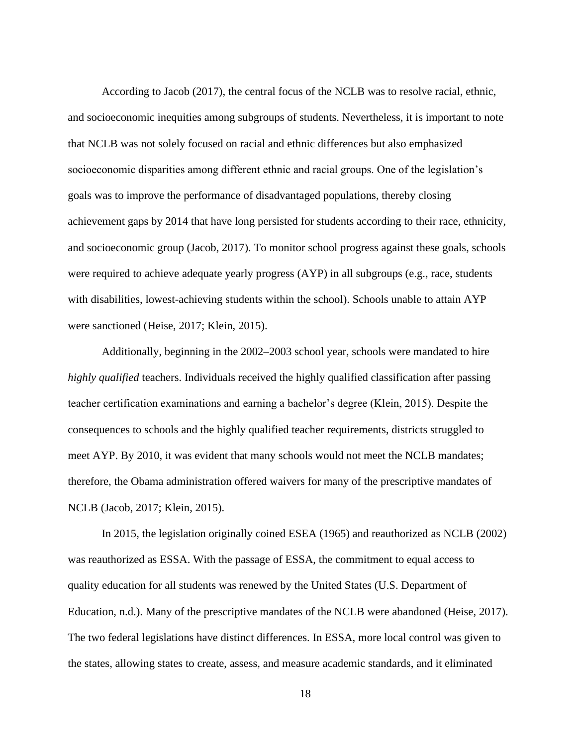According to Jacob (2017), the central focus of the NCLB was to resolve racial, ethnic, and socioeconomic inequities among subgroups of students. Nevertheless, it is important to note that NCLB was not solely focused on racial and ethnic differences but also emphasized socioeconomic disparities among different ethnic and racial groups. One of the legislation's goals was to improve the performance of disadvantaged populations, thereby closing achievement gaps by 2014 that have long persisted for students according to their race, ethnicity, and socioeconomic group (Jacob, 2017). To monitor school progress against these goals, schools were required to achieve adequate yearly progress (AYP) in all subgroups (e.g., race, students with disabilities, lowest-achieving students within the school). Schools unable to attain AYP were sanctioned (Heise, 2017; Klein, 2015).

Additionally, beginning in the 2002–2003 school year, schools were mandated to hire *highly qualified* teachers. Individuals received the highly qualified classification after passing teacher certification examinations and earning a bachelor's degree (Klein, 2015). Despite the consequences to schools and the highly qualified teacher requirements, districts struggled to meet AYP. By 2010, it was evident that many schools would not meet the NCLB mandates; therefore, the Obama administration offered waivers for many of the prescriptive mandates of NCLB (Jacob, 2017; Klein, 2015).

In 2015, the legislation originally coined ESEA (1965) and reauthorized as NCLB (2002) was reauthorized as ESSA. With the passage of ESSA, the commitment to equal access to quality education for all students was renewed by the United States (U.S. Department of Education, n.d.). Many of the prescriptive mandates of the NCLB were abandoned (Heise, 2017). The two federal legislations have distinct differences. In ESSA, more local control was given to the states, allowing states to create, assess, and measure academic standards, and it eliminated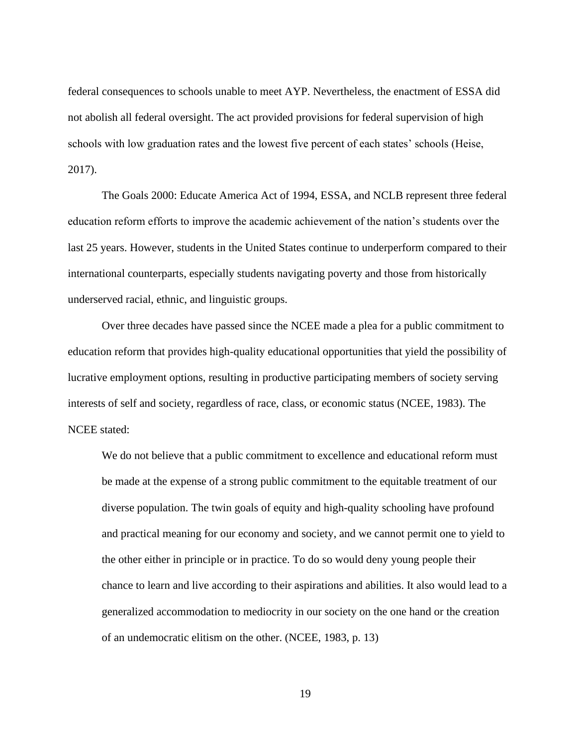federal consequences to schools unable to meet AYP. Nevertheless, the enactment of ESSA did not abolish all federal oversight. The act provided provisions for federal supervision of high schools with low graduation rates and the lowest five percent of each states' schools (Heise, 2017).

The Goals 2000: Educate America Act of 1994, ESSA, and NCLB represent three federal education reform efforts to improve the academic achievement of the nation's students over the last 25 years. However, students in the United States continue to underperform compared to their international counterparts, especially students navigating poverty and those from historically underserved racial, ethnic, and linguistic groups.

Over three decades have passed since the NCEE made a plea for a public commitment to education reform that provides high-quality educational opportunities that yield the possibility of lucrative employment options, resulting in productive participating members of society serving interests of self and society, regardless of race, class, or economic status (NCEE, 1983). The NCEE stated:

We do not believe that a public commitment to excellence and educational reform must be made at the expense of a strong public commitment to the equitable treatment of our diverse population. The twin goals of equity and high-quality schooling have profound and practical meaning for our economy and society, and we cannot permit one to yield to the other either in principle or in practice. To do so would deny young people their chance to learn and live according to their aspirations and abilities. It also would lead to a generalized accommodation to mediocrity in our society on the one hand or the creation of an undemocratic elitism on the other. (NCEE, 1983, p. 13)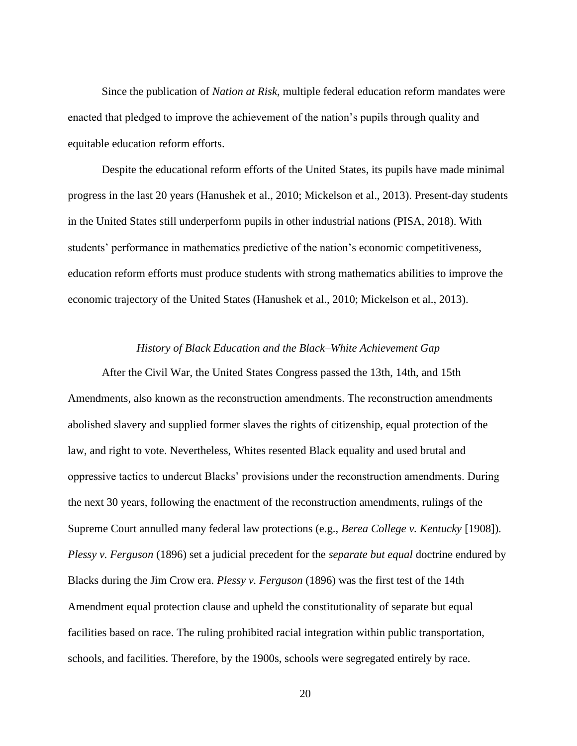Since the publication of *Nation at Risk*, multiple federal education reform mandates were enacted that pledged to improve the achievement of the nation's pupils through quality and equitable education reform efforts.

Despite the educational reform efforts of the United States, its pupils have made minimal progress in the last 20 years (Hanushek et al., 2010; Mickelson et al., 2013). Present-day students in the United States still underperform pupils in other industrial nations (PISA, 2018). With students' performance in mathematics predictive of the nation's economic competitiveness, education reform efforts must produce students with strong mathematics abilities to improve the economic trajectory of the United States (Hanushek et al., 2010; Mickelson et al., 2013).

#### *History of Black Education and the Black–White Achievement Gap*

<span id="page-34-0"></span>After the Civil War, the United States Congress passed the 13th, 14th, and 15th Amendments, also known as the reconstruction amendments. The reconstruction amendments abolished slavery and supplied former slaves the rights of citizenship, equal protection of the law, and right to vote. Nevertheless, Whites resented Black equality and used brutal and oppressive tactics to undercut Blacks' provisions under the reconstruction amendments. During the next 30 years, following the enactment of the reconstruction amendments, rulings of the Supreme Court annulled many federal law protections (e.g., *Berea College v. Kentucky* [1908]). *Plessy v. Ferguson* (1896) set a judicial precedent for the *separate but equal* doctrine endured by Blacks during the Jim Crow era. *Plessy v. Ferguson* (1896) was the first test of the 14th Amendment equal protection clause and upheld the constitutionality of separate but equal facilities based on race. The ruling prohibited racial integration within public transportation, schools, and facilities. Therefore, by the 1900s, schools were segregated entirely by race.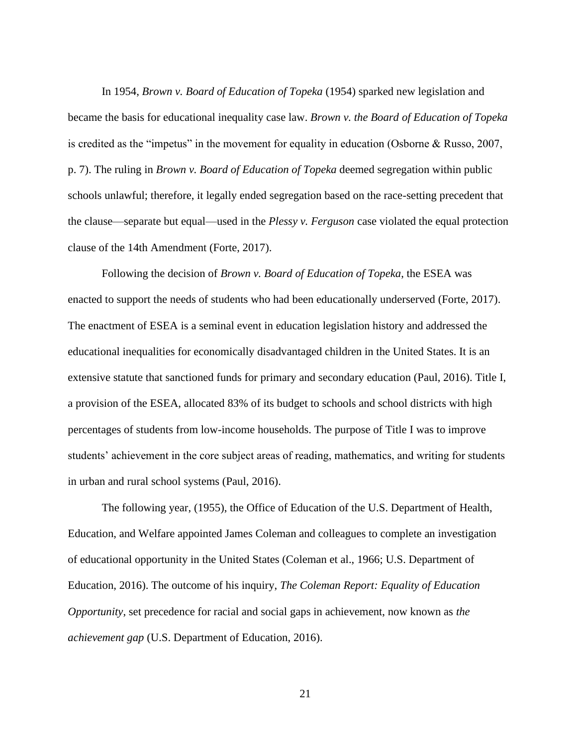In 1954, *Brown v. Board of Education of Topeka* (1954) sparked new legislation and became the basis for educational inequality case law. *Brown v. the Board of Education of Topeka* is credited as the "impetus" in the movement for equality in education (Osborne & Russo, 2007, p. 7). The ruling in *Brown v. Board of Education of Topeka* deemed segregation within public schools unlawful; therefore, it legally ended segregation based on the race-setting precedent that the clause—separate but equal—used in the *Plessy v. Ferguson* case violated the equal protection clause of the 14th Amendment (Forte, 2017).

Following the decision of *Brown v. Board of Education of Topeka*, the ESEA was enacted to support the needs of students who had been educationally underserved (Forte, 2017). The enactment of ESEA is a seminal event in education legislation history and addressed the educational inequalities for economically disadvantaged children in the United States. It is an extensive statute that sanctioned funds for primary and secondary education (Paul, 2016). Title I, a provision of the ESEA, allocated 83% of its budget to schools and school districts with high percentages of students from low-income households. The purpose of Title I was to improve students' achievement in the core subject areas of reading, mathematics, and writing for students in urban and rural school systems (Paul, 2016).

The following year, (1955), the Office of Education of the U.S. Department of Health, Education, and Welfare appointed James Coleman and colleagues to complete an investigation of educational opportunity in the United States (Coleman et al., 1966; U.S. Department of Education, 2016). The outcome of his inquiry, *The Coleman Report: Equality of Education Opportunity*, set precedence for racial and social gaps in achievement, now known as *the achievement gap* (U.S. Department of Education, 2016).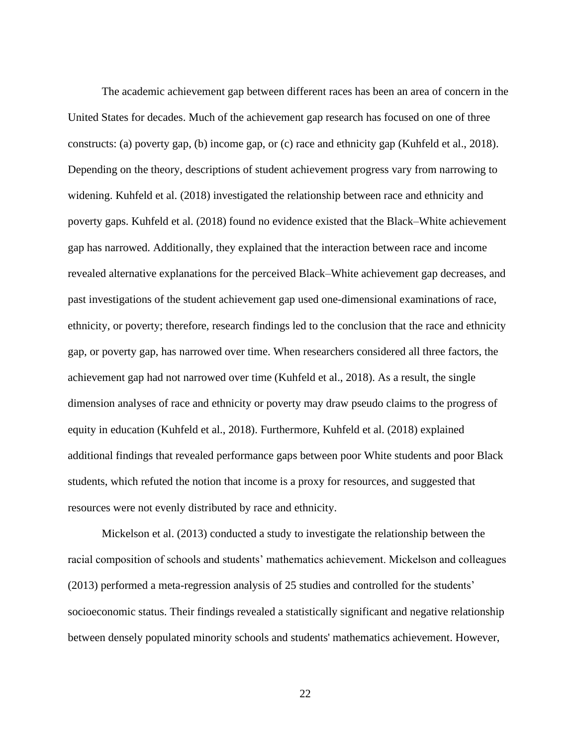The academic achievement gap between different races has been an area of concern in the United States for decades. Much of the achievement gap research has focused on one of three constructs: (a) poverty gap, (b) income gap, or (c) race and ethnicity gap (Kuhfeld et al., 2018). Depending on the theory, descriptions of student achievement progress vary from narrowing to widening. Kuhfeld et al. (2018) investigated the relationship between race and ethnicity and poverty gaps. Kuhfeld et al. (2018) found no evidence existed that the Black–White achievement gap has narrowed. Additionally, they explained that the interaction between race and income revealed alternative explanations for the perceived Black–White achievement gap decreases, and past investigations of the student achievement gap used one-dimensional examinations of race, ethnicity, or poverty; therefore, research findings led to the conclusion that the race and ethnicity gap, or poverty gap, has narrowed over time. When researchers considered all three factors, the achievement gap had not narrowed over time (Kuhfeld et al., 2018). As a result, the single dimension analyses of race and ethnicity or poverty may draw pseudo claims to the progress of equity in education (Kuhfeld et al., 2018). Furthermore, Kuhfeld et al. (2018) explained additional findings that revealed performance gaps between poor White students and poor Black students, which refuted the notion that income is a proxy for resources, and suggested that resources were not evenly distributed by race and ethnicity.

Mickelson et al. (2013) conducted a study to investigate the relationship between the racial composition of schools and students' mathematics achievement. Mickelson and colleagues (2013) performed a meta-regression analysis of 25 studies and controlled for the students' socioeconomic status. Their findings revealed a statistically significant and negative relationship between densely populated minority schools and students' mathematics achievement. However,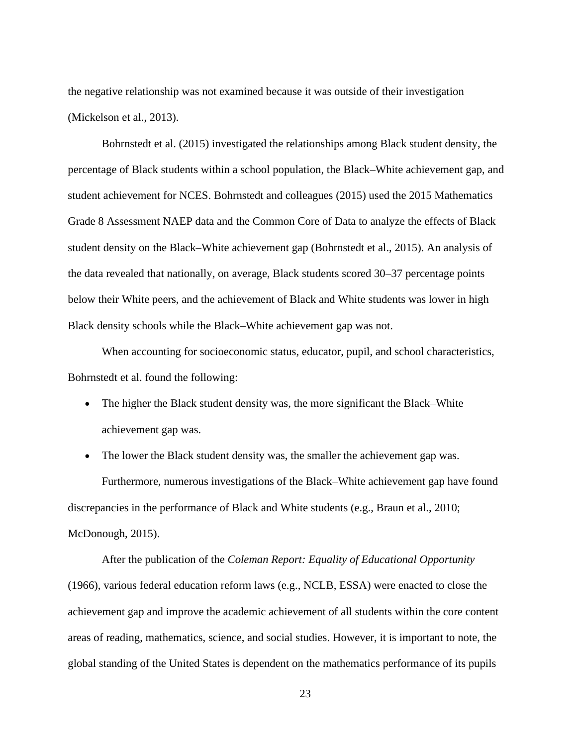the negative relationship was not examined because it was outside of their investigation (Mickelson et al., 2013).

Bohrnstedt et al. (2015) investigated the relationships among Black student density, the percentage of Black students within a school population, the Black–White achievement gap, and student achievement for NCES. Bohrnstedt and colleagues (2015) used the 2015 Mathematics Grade 8 Assessment NAEP data and the Common Core of Data to analyze the effects of Black student density on the Black–White achievement gap (Bohrnstedt et al., 2015). An analysis of the data revealed that nationally, on average, Black students scored 30–37 percentage points below their White peers, and the achievement of Black and White students was lower in high Black density schools while the Black–White achievement gap was not.

When accounting for socioeconomic status, educator, pupil, and school characteristics, Bohrnstedt et al. found the following:

- The higher the Black student density was, the more significant the Black–White achievement gap was.
- The lower the Black student density was, the smaller the achievement gap was. Furthermore, numerous investigations of the Black–White achievement gap have found discrepancies in the performance of Black and White students (e.g., Braun et al., 2010; McDonough, 2015).

After the publication of the *Coleman Report: Equality of Educational Opportunity* (1966), various federal education reform laws (e.g., NCLB, ESSA) were enacted to close the achievement gap and improve the academic achievement of all students within the core content areas of reading, mathematics, science, and social studies. However, it is important to note, the global standing of the United States is dependent on the mathematics performance of its pupils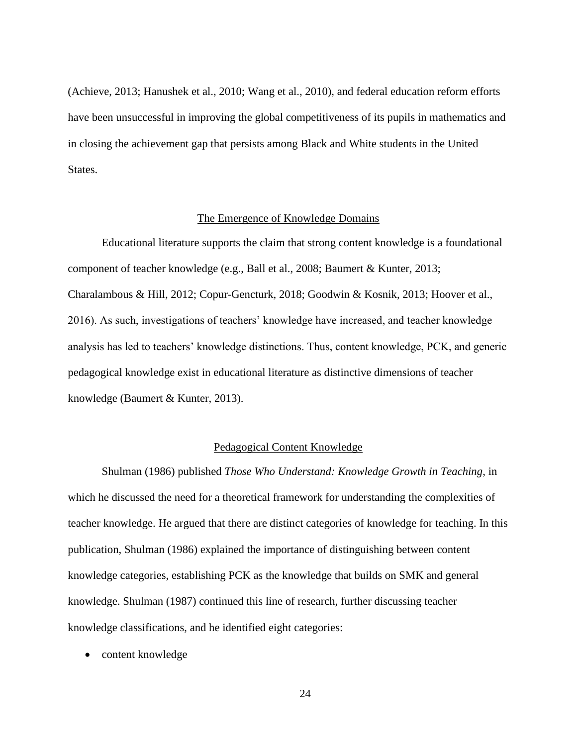(Achieve, 2013; Hanushek et al., 2010; Wang et al., 2010), and federal education reform efforts have been unsuccessful in improving the global competitiveness of its pupils in mathematics and in closing the achievement gap that persists among Black and White students in the United States.

# The Emergence of Knowledge Domains

Educational literature supports the claim that strong content knowledge is a foundational component of teacher knowledge (e.g., Ball et al., 2008; Baumert & Kunter, 2013; Charalambous & Hill, 2012; Copur-Gencturk, 2018; Goodwin & Kosnik, 2013; Hoover et al., 2016). As such, investigations of teachers' knowledge have increased, and teacher knowledge analysis has led to teachers' knowledge distinctions. Thus, content knowledge, PCK, and generic pedagogical knowledge exist in educational literature as distinctive dimensions of teacher knowledge (Baumert & Kunter, 2013).

# Pedagogical Content Knowledge

Shulman (1986) published *Those Who Understand: Knowledge Growth in Teaching*, in which he discussed the need for a theoretical framework for understanding the complexities of teacher knowledge. He argued that there are distinct categories of knowledge for teaching. In this publication, Shulman (1986) explained the importance of distinguishing between content knowledge categories, establishing PCK as the knowledge that builds on SMK and general knowledge. Shulman (1987) continued this line of research, further discussing teacher knowledge classifications, and he identified eight categories:

• content knowledge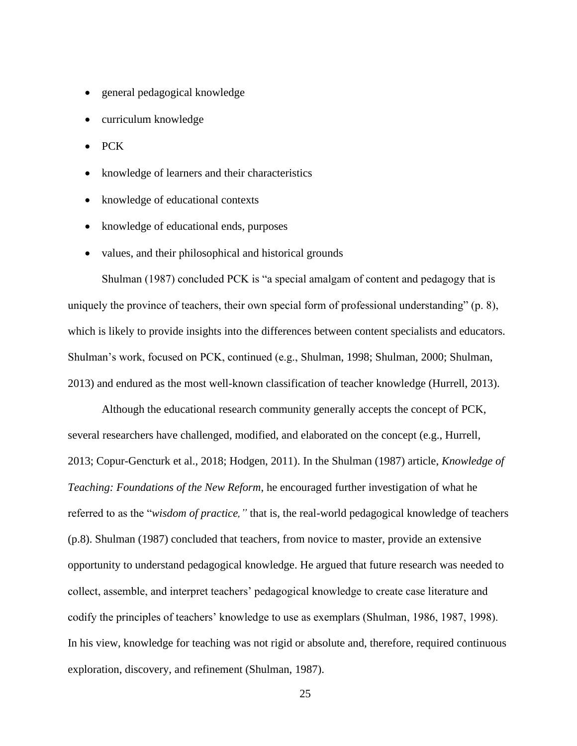- general pedagogical knowledge
- curriculum knowledge
- PCK
- knowledge of learners and their characteristics
- knowledge of educational contexts
- knowledge of educational ends, purposes
- values, and their philosophical and historical grounds

Shulman (1987) concluded PCK is "a special amalgam of content and pedagogy that is uniquely the province of teachers, their own special form of professional understanding" (p. 8), which is likely to provide insights into the differences between content specialists and educators. Shulman's work, focused on PCK, continued (e.g., Shulman, 1998; Shulman, 2000; Shulman, 2013) and endured as the most well-known classification of teacher knowledge (Hurrell, 2013).

Although the educational research community generally accepts the concept of PCK, several researchers have challenged, modified, and elaborated on the concept (e.g., Hurrell, 2013; Copur-Gencturk et al., 2018; Hodgen, 2011). In the Shulman (1987) article, *Knowledge of Teaching: Foundations of the New Reform*, he encouraged further investigation of what he referred to as the "*wisdom of practice,"* that is, the real-world pedagogical knowledge of teachers (p.8). Shulman (1987) concluded that teachers, from novice to master, provide an extensive opportunity to understand pedagogical knowledge. He argued that future research was needed to collect, assemble, and interpret teachers' pedagogical knowledge to create case literature and codify the principles of teachers' knowledge to use as exemplars (Shulman, 1986, 1987, 1998). In his view, knowledge for teaching was not rigid or absolute and, therefore, required continuous exploration, discovery, and refinement (Shulman, 1987).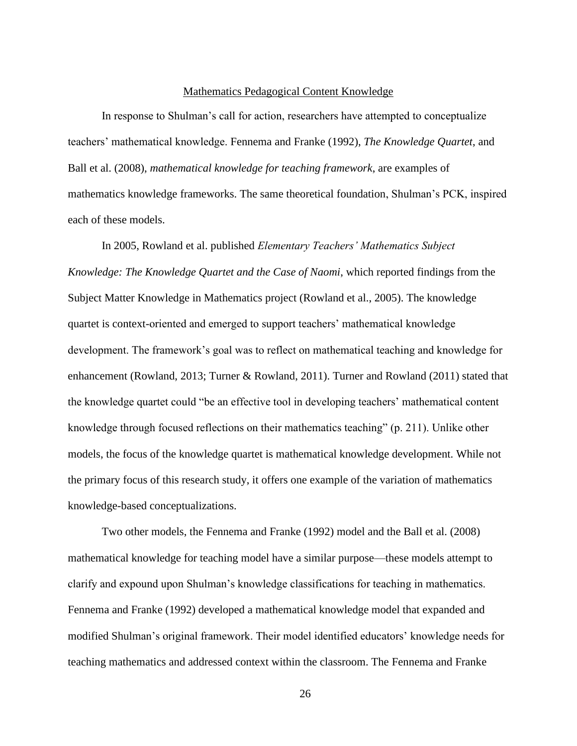#### Mathematics Pedagogical Content Knowledge

In response to Shulman's call for action, researchers have attempted to conceptualize teachers' mathematical knowledge. Fennema and Franke (1992), *The Knowledge Quartet*, and Ball et al. (2008), *mathematical knowledge for teaching framework*, are examples of mathematics knowledge frameworks. The same theoretical foundation, Shulman's PCK, inspired each of these models.

In 2005, Rowland et al. published *Elementary Teachers' Mathematics Subject Knowledge: The Knowledge Quartet and the Case of Naomi*, which reported findings from the Subject Matter Knowledge in Mathematics project (Rowland et al., 2005). The knowledge quartet is context-oriented and emerged to support teachers' mathematical knowledge development. The framework's goal was to reflect on mathematical teaching and knowledge for enhancement (Rowland, 2013; Turner & Rowland, 2011). Turner and Rowland (2011) stated that the knowledge quartet could "be an effective tool in developing teachers' mathematical content knowledge through focused reflections on their mathematics teaching" (p. 211). Unlike other models, the focus of the knowledge quartet is mathematical knowledge development. While not the primary focus of this research study, it offers one example of the variation of mathematics knowledge-based conceptualizations.

Two other models, the Fennema and Franke (1992) model and the Ball et al. (2008) mathematical knowledge for teaching model have a similar purpose—these models attempt to clarify and expound upon Shulman's knowledge classifications for teaching in mathematics. Fennema and Franke (1992) developed a mathematical knowledge model that expanded and modified Shulman's original framework. Their model identified educators' knowledge needs for teaching mathematics and addressed context within the classroom. The Fennema and Franke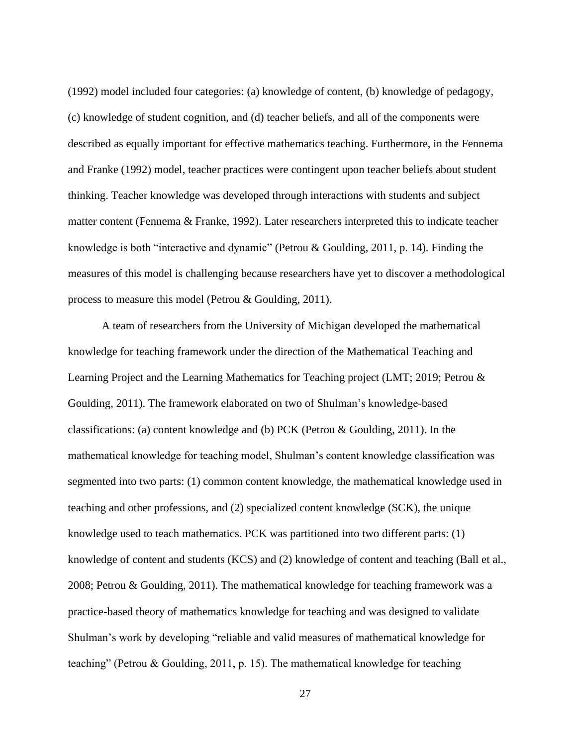(1992) model included four categories: (a) knowledge of content, (b) knowledge of pedagogy, (c) knowledge of student cognition, and (d) teacher beliefs, and all of the components were described as equally important for effective mathematics teaching. Furthermore, in the Fennema and Franke (1992) model, teacher practices were contingent upon teacher beliefs about student thinking. Teacher knowledge was developed through interactions with students and subject matter content (Fennema & Franke, 1992). Later researchers interpreted this to indicate teacher knowledge is both "interactive and dynamic" (Petrou & Goulding, 2011, p. 14). Finding the measures of this model is challenging because researchers have yet to discover a methodological process to measure this model (Petrou & Goulding, 2011).

A team of researchers from the University of Michigan developed the mathematical knowledge for teaching framework under the direction of the Mathematical Teaching and Learning Project and the Learning Mathematics for Teaching project (LMT; 2019; Petrou & Goulding, 2011). The framework elaborated on two of Shulman's knowledge-based classifications: (a) content knowledge and (b) PCK (Petrou & Goulding, 2011). In the mathematical knowledge for teaching model, Shulman's content knowledge classification was segmented into two parts: (1) common content knowledge, the mathematical knowledge used in teaching and other professions, and (2) specialized content knowledge (SCK), the unique knowledge used to teach mathematics. PCK was partitioned into two different parts: (1) knowledge of content and students (KCS) and (2) knowledge of content and teaching (Ball et al., 2008; Petrou & Goulding, 2011). The mathematical knowledge for teaching framework was a practice-based theory of mathematics knowledge for teaching and was designed to validate Shulman's work by developing "reliable and valid measures of mathematical knowledge for teaching" (Petrou & Goulding, 2011, p. 15). The mathematical knowledge for teaching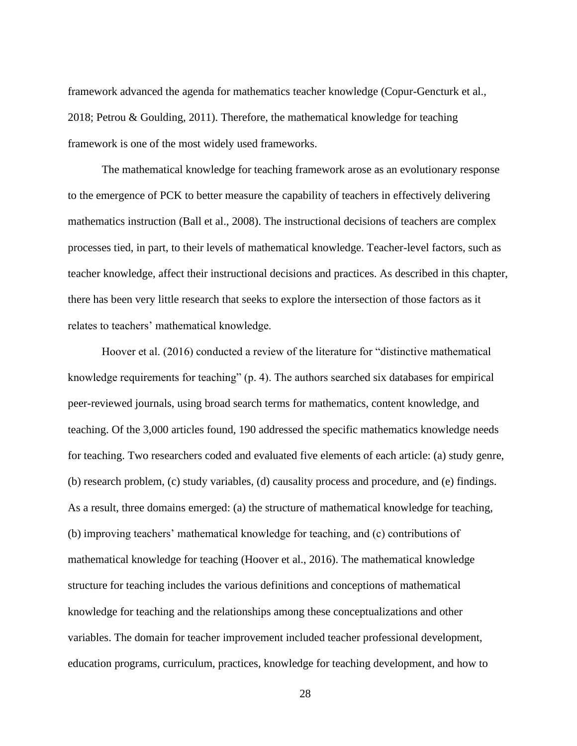framework advanced the agenda for mathematics teacher knowledge (Copur-Gencturk et al., 2018; Petrou & Goulding, 2011). Therefore, the mathematical knowledge for teaching framework is one of the most widely used frameworks.

The mathematical knowledge for teaching framework arose as an evolutionary response to the emergence of PCK to better measure the capability of teachers in effectively delivering mathematics instruction (Ball et al., 2008). The instructional decisions of teachers are complex processes tied, in part, to their levels of mathematical knowledge. Teacher-level factors, such as teacher knowledge, affect their instructional decisions and practices. As described in this chapter, there has been very little research that seeks to explore the intersection of those factors as it relates to teachers' mathematical knowledge.

Hoover et al. (2016) conducted a review of the literature for "distinctive mathematical knowledge requirements for teaching" (p. 4). The authors searched six databases for empirical peer-reviewed journals, using broad search terms for mathematics, content knowledge, and teaching. Of the 3,000 articles found, 190 addressed the specific mathematics knowledge needs for teaching. Two researchers coded and evaluated five elements of each article: (a) study genre, (b) research problem, (c) study variables, (d) causality process and procedure, and (e) findings. As a result, three domains emerged: (a) the structure of mathematical knowledge for teaching, (b) improving teachers' mathematical knowledge for teaching, and (c) contributions of mathematical knowledge for teaching (Hoover et al., 2016). The mathematical knowledge structure for teaching includes the various definitions and conceptions of mathematical knowledge for teaching and the relationships among these conceptualizations and other variables. The domain for teacher improvement included teacher professional development, education programs, curriculum, practices, knowledge for teaching development, and how to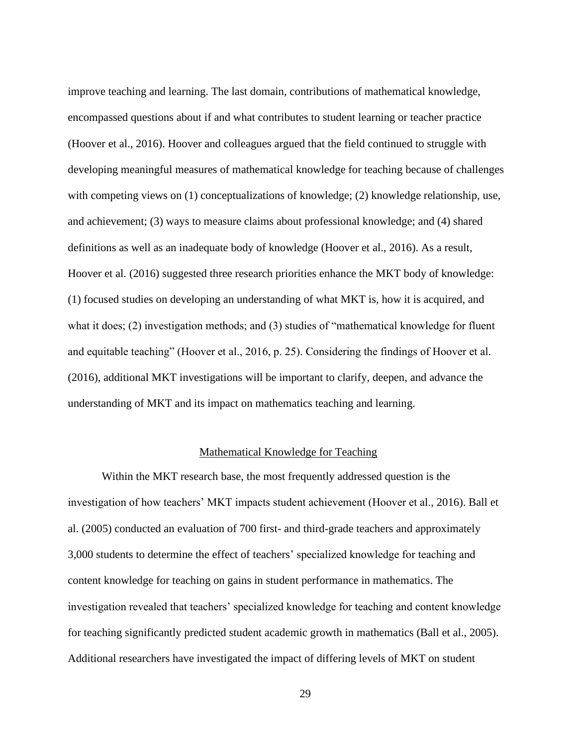improve teaching and learning. The last domain, contributions of mathematical knowledge, encompassed questions about if and what contributes to student learning or teacher practice (Hoover et al., 2016). Hoover and colleagues argued that the field continued to struggle with developing meaningful measures of mathematical knowledge for teaching because of challenges with competing views on (1) conceptualizations of knowledge; (2) knowledge relationship, use, and achievement; (3) ways to measure claims about professional knowledge; and (4) shared definitions as well as an inadequate body of knowledge (Hoover et al., 2016). As a result, Hoover et al. (2016) suggested three research priorities enhance the MKT body of knowledge: (1) focused studies on developing an understanding of what MKT is, how it is acquired, and what it does; (2) investigation methods; and (3) studies of "mathematical knowledge for fluent and equitable teaching" (Hoover et al., 2016, p. 25). Considering the findings of Hoover et al. (2016), additional MKT investigations will be important to clarify, deepen, and advance the understanding of MKT and its impact on mathematics teaching and learning.

## Mathematical Knowledge for Teaching

Within the MKT research base, the most frequently addressed question is the investigation of how teachers' MKT impacts student achievement (Hoover et al., 2016). Ball et al. (2005) conducted an evaluation of 700 first- and third-grade teachers and approximately 3,000 students to determine the effect of teachers' specialized knowledge for teaching and content knowledge for teaching on gains in student performance in mathematics. The investigation revealed that teachers' specialized knowledge for teaching and content knowledge for teaching significantly predicted student academic growth in mathematics (Ball et al., 2005). Additional researchers have investigated the impact of differing levels of MKT on student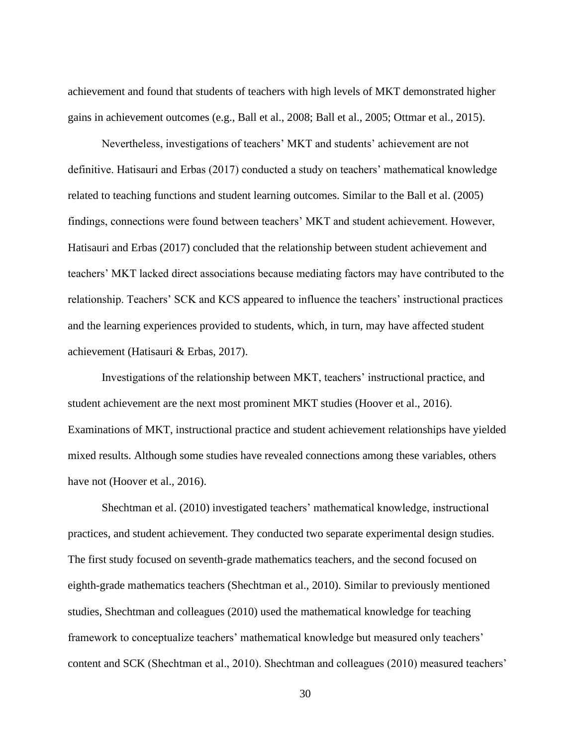achievement and found that students of teachers with high levels of MKT demonstrated higher gains in achievement outcomes (e.g., Ball et al., 2008; Ball et al., 2005; Ottmar et al., 2015).

Nevertheless, investigations of teachers' MKT and students' achievement are not definitive. Hatisauri and Erbas (2017) conducted a study on teachers' mathematical knowledge related to teaching functions and student learning outcomes. Similar to the Ball et al. (2005) findings, connections were found between teachers' MKT and student achievement. However, Hatisauri and Erbas (2017) concluded that the relationship between student achievement and teachers' MKT lacked direct associations because mediating factors may have contributed to the relationship. Teachers' SCK and KCS appeared to influence the teachers' instructional practices and the learning experiences provided to students, which, in turn, may have affected student achievement (Hatisauri & Erbas, 2017).

Investigations of the relationship between MKT, teachers' instructional practice, and student achievement are the next most prominent MKT studies (Hoover et al., 2016). Examinations of MKT, instructional practice and student achievement relationships have yielded mixed results. Although some studies have revealed connections among these variables, others have not (Hoover et al., 2016).

Shechtman et al. (2010) investigated teachers' mathematical knowledge, instructional practices, and student achievement. They conducted two separate experimental design studies. The first study focused on seventh-grade mathematics teachers, and the second focused on eighth-grade mathematics teachers (Shechtman et al., 2010). Similar to previously mentioned studies, Shechtman and colleagues (2010) used the mathematical knowledge for teaching framework to conceptualize teachers' mathematical knowledge but measured only teachers' content and SCK (Shechtman et al., 2010). Shechtman and colleagues (2010) measured teachers'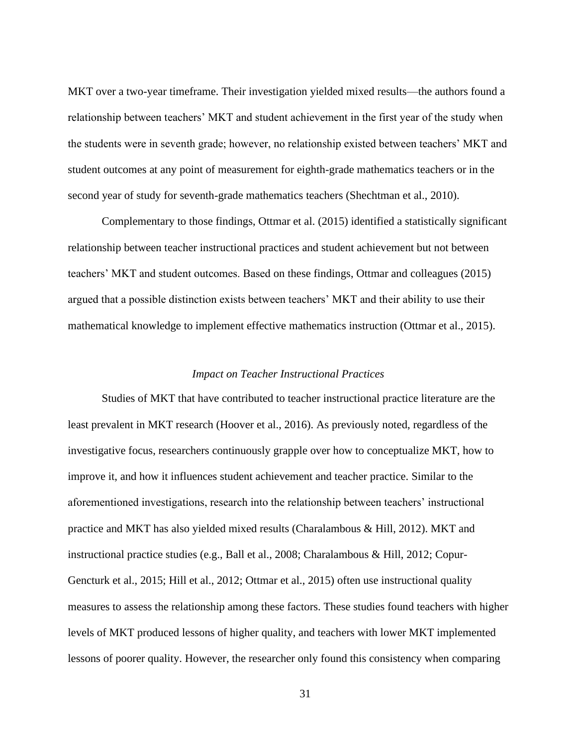MKT over a two-year timeframe. Their investigation yielded mixed results—the authors found a relationship between teachers' MKT and student achievement in the first year of the study when the students were in seventh grade; however, no relationship existed between teachers' MKT and student outcomes at any point of measurement for eighth-grade mathematics teachers or in the second year of study for seventh-grade mathematics teachers (Shechtman et al., 2010).

Complementary to those findings, Ottmar et al. (2015) identified a statistically significant relationship between teacher instructional practices and student achievement but not between teachers' MKT and student outcomes. Based on these findings, Ottmar and colleagues (2015) argued that a possible distinction exists between teachers' MKT and their ability to use their mathematical knowledge to implement effective mathematics instruction (Ottmar et al., 2015).

# *Impact on Teacher Instructional Practices*

Studies of MKT that have contributed to teacher instructional practice literature are the least prevalent in MKT research (Hoover et al., 2016). As previously noted, regardless of the investigative focus, researchers continuously grapple over how to conceptualize MKT, how to improve it, and how it influences student achievement and teacher practice. Similar to the aforementioned investigations, research into the relationship between teachers' instructional practice and MKT has also yielded mixed results (Charalambous & Hill, 2012). MKT and instructional practice studies (e.g., Ball et al., 2008; Charalambous & Hill, 2012; Copur-Gencturk et al., 2015; Hill et al., 2012; Ottmar et al., 2015) often use instructional quality measures to assess the relationship among these factors. These studies found teachers with higher levels of MKT produced lessons of higher quality, and teachers with lower MKT implemented lessons of poorer quality. However, the researcher only found this consistency when comparing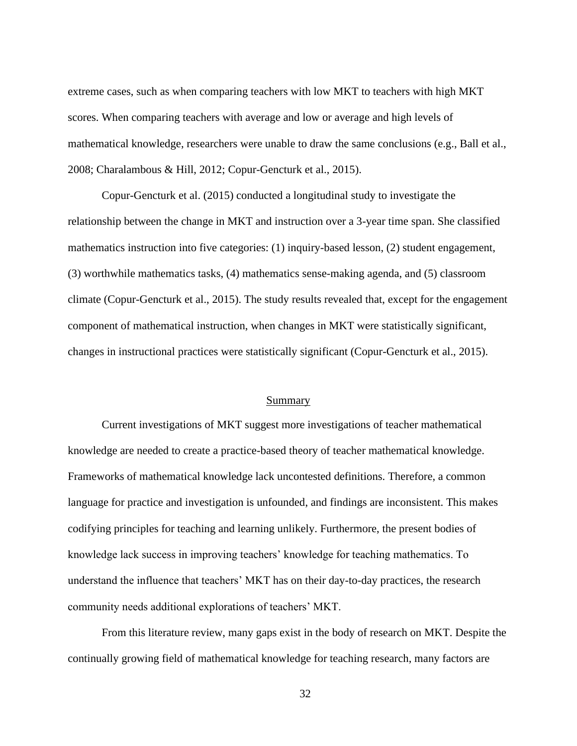extreme cases, such as when comparing teachers with low MKT to teachers with high MKT scores. When comparing teachers with average and low or average and high levels of mathematical knowledge, researchers were unable to draw the same conclusions (e.g., Ball et al., 2008; Charalambous & Hill, 2012; Copur-Gencturk et al., 2015).

Copur-Gencturk et al. (2015) conducted a longitudinal study to investigate the relationship between the change in MKT and instruction over a 3-year time span. She classified mathematics instruction into five categories: (1) inquiry-based lesson, (2) student engagement, (3) worthwhile mathematics tasks, (4) mathematics sense-making agenda, and (5) classroom climate (Copur-Gencturk et al., 2015). The study results revealed that, except for the engagement component of mathematical instruction, when changes in MKT were statistically significant, changes in instructional practices were statistically significant (Copur-Gencturk et al., 2015).

#### Summary

Current investigations of MKT suggest more investigations of teacher mathematical knowledge are needed to create a practice-based theory of teacher mathematical knowledge. Frameworks of mathematical knowledge lack uncontested definitions. Therefore, a common language for practice and investigation is unfounded, and findings are inconsistent. This makes codifying principles for teaching and learning unlikely. Furthermore, the present bodies of knowledge lack success in improving teachers' knowledge for teaching mathematics. To understand the influence that teachers' MKT has on their day-to-day practices, the research community needs additional explorations of teachers' MKT.

From this literature review, many gaps exist in the body of research on MKT. Despite the continually growing field of mathematical knowledge for teaching research, many factors are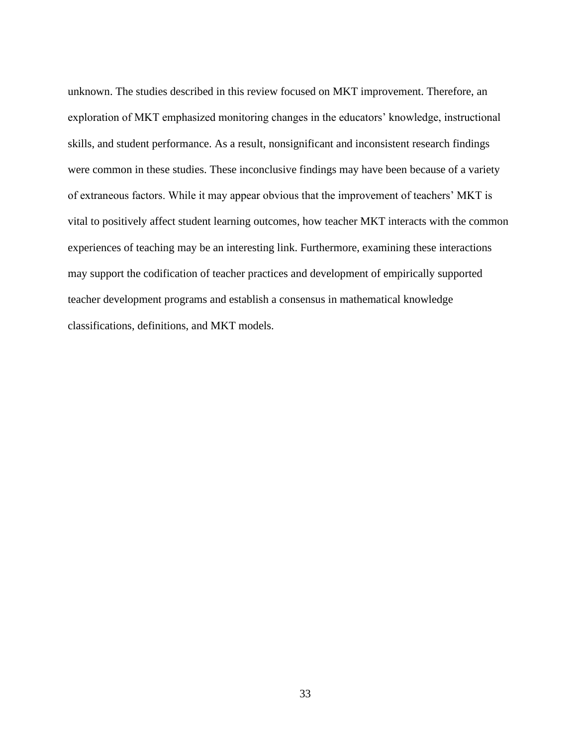unknown. The studies described in this review focused on MKT improvement. Therefore, an exploration of MKT emphasized monitoring changes in the educators' knowledge, instructional skills, and student performance. As a result, nonsignificant and inconsistent research findings were common in these studies. These inconclusive findings may have been because of a variety of extraneous factors. While it may appear obvious that the improvement of teachers' MKT is vital to positively affect student learning outcomes, how teacher MKT interacts with the common experiences of teaching may be an interesting link. Furthermore, examining these interactions may support the codification of teacher practices and development of empirically supported teacher development programs and establish a consensus in mathematical knowledge classifications, definitions, and MKT models.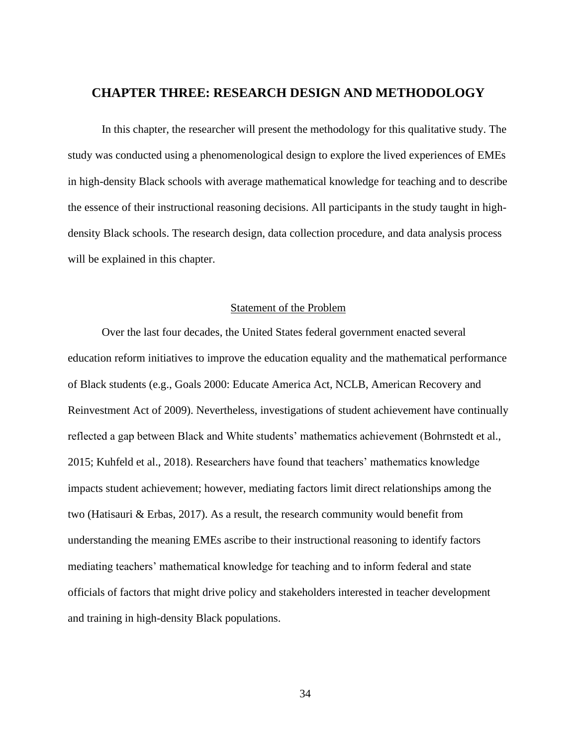# **CHAPTER THREE: RESEARCH DESIGN AND METHODOLOGY**

In this chapter, the researcher will present the methodology for this qualitative study. The study was conducted using a phenomenological design to explore the lived experiences of EMEs in high-density Black schools with average mathematical knowledge for teaching and to describe the essence of their instructional reasoning decisions. All participants in the study taught in highdensity Black schools. The research design, data collection procedure, and data analysis process will be explained in this chapter.

# Statement of the Problem

Over the last four decades, the United States federal government enacted several education reform initiatives to improve the education equality and the mathematical performance of Black students (e.g., Goals 2000: Educate America Act, NCLB, American Recovery and Reinvestment Act of 2009). Nevertheless, investigations of student achievement have continually reflected a gap between Black and White students' mathematics achievement (Bohrnstedt et al., 2015; Kuhfeld et al., 2018). Researchers have found that teachers' mathematics knowledge impacts student achievement; however, mediating factors limit direct relationships among the two (Hatisauri & Erbas, 2017). As a result, the research community would benefit from understanding the meaning EMEs ascribe to their instructional reasoning to identify factors mediating teachers' mathematical knowledge for teaching and to inform federal and state officials of factors that might drive policy and stakeholders interested in teacher development and training in high-density Black populations.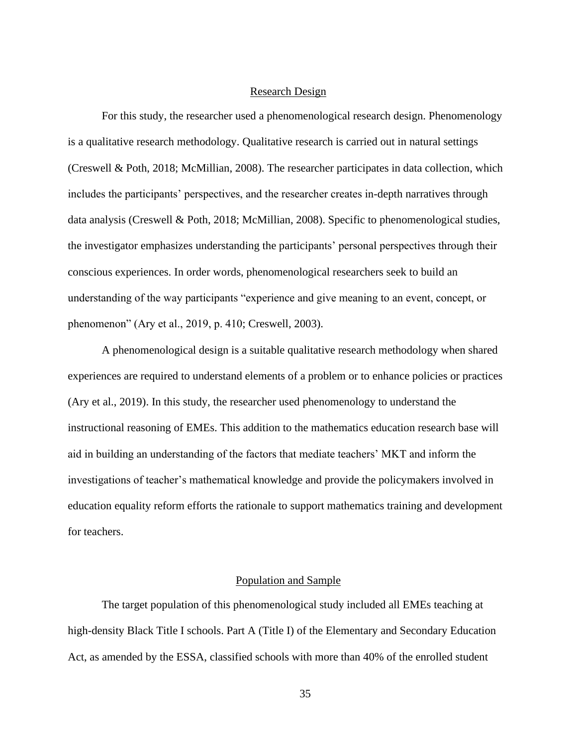#### Research Design

For this study, the researcher used a phenomenological research design. Phenomenology is a qualitative research methodology. Qualitative research is carried out in natural settings (Creswell & Poth, 2018; McMillian, 2008). The researcher participates in data collection, which includes the participants' perspectives, and the researcher creates in-depth narratives through data analysis (Creswell & Poth, 2018; McMillian, 2008). Specific to phenomenological studies, the investigator emphasizes understanding the participants' personal perspectives through their conscious experiences. In order words, phenomenological researchers seek to build an understanding of the way participants "experience and give meaning to an event, concept, or phenomenon" (Ary et al., 2019, p. 410; Creswell, 2003).

A phenomenological design is a suitable qualitative research methodology when shared experiences are required to understand elements of a problem or to enhance policies or practices (Ary et al., 2019). In this study, the researcher used phenomenology to understand the instructional reasoning of EMEs. This addition to the mathematics education research base will aid in building an understanding of the factors that mediate teachers' MKT and inform the investigations of teacher's mathematical knowledge and provide the policymakers involved in education equality reform efforts the rationale to support mathematics training and development for teachers.

# Population and Sample

The target population of this phenomenological study included all EMEs teaching at high-density Black Title I schools. Part A (Title I) of the Elementary and Secondary Education Act, as amended by the ESSA, classified schools with more than 40% of the enrolled student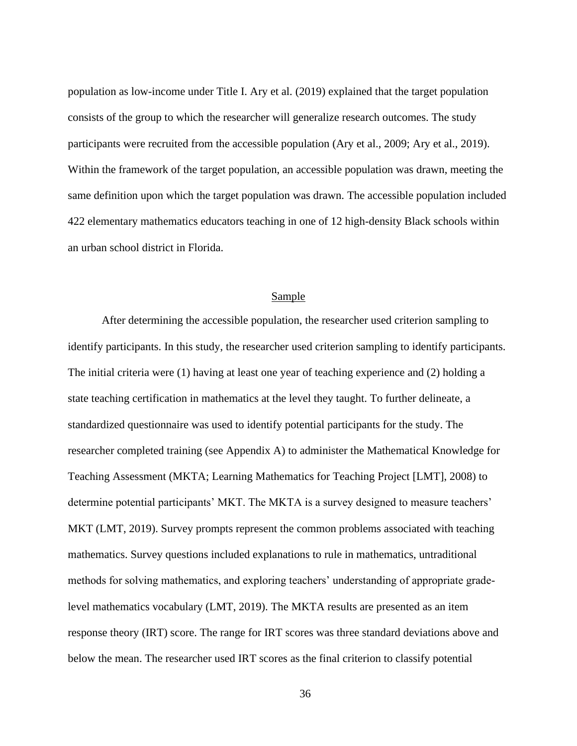population as low-income under Title I. Ary et al. (2019) explained that the target population consists of the group to which the researcher will generalize research outcomes. The study participants were recruited from the accessible population (Ary et al., 2009; Ary et al., 2019). Within the framework of the target population, an accessible population was drawn, meeting the same definition upon which the target population was drawn. The accessible population included 422 elementary mathematics educators teaching in one of 12 high-density Black schools within an urban school district in Florida.

# Sample

After determining the accessible population, the researcher used criterion sampling to identify participants. In this study, the researcher used criterion sampling to identify participants. The initial criteria were (1) having at least one year of teaching experience and (2) holding a state teaching certification in mathematics at the level they taught. To further delineate, a standardized questionnaire was used to identify potential participants for the study. The researcher completed training (see Appendix A) to administer the Mathematical Knowledge for Teaching Assessment (MKTA; Learning Mathematics for Teaching Project [LMT], 2008) to determine potential participants' MKT. The MKTA is a survey designed to measure teachers' MKT (LMT, 2019). Survey prompts represent the common problems associated with teaching mathematics. Survey questions included explanations to rule in mathematics, untraditional methods for solving mathematics, and exploring teachers' understanding of appropriate gradelevel mathematics vocabulary (LMT, 2019). The MKTA results are presented as an item response theory (IRT) score. The range for IRT scores was three standard deviations above and below the mean. The researcher used IRT scores as the final criterion to classify potential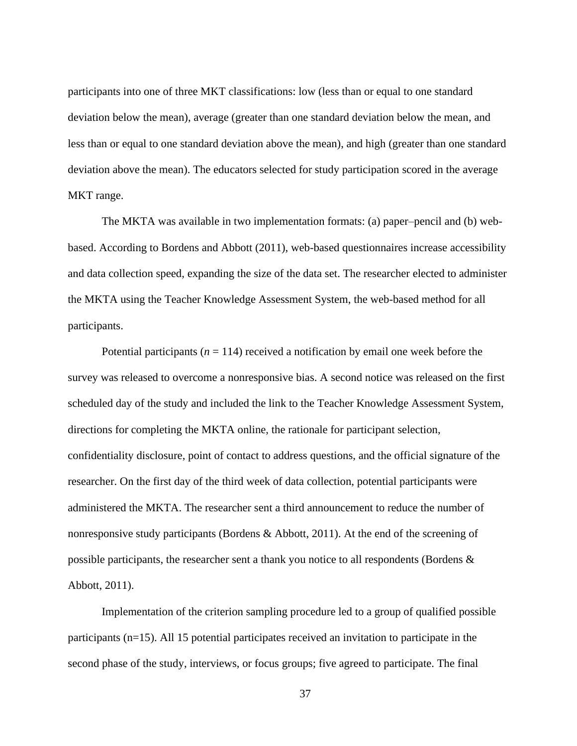participants into one of three MKT classifications: low (less than or equal to one standard deviation below the mean), average (greater than one standard deviation below the mean, and less than or equal to one standard deviation above the mean), and high (greater than one standard deviation above the mean). The educators selected for study participation scored in the average MKT range.

The MKTA was available in two implementation formats: (a) paper–pencil and (b) webbased. According to Bordens and Abbott (2011), web-based questionnaires increase accessibility and data collection speed, expanding the size of the data set. The researcher elected to administer the MKTA using the Teacher Knowledge Assessment System, the web-based method for all participants.

Potential participants ( $n = 114$ ) received a notification by email one week before the survey was released to overcome a nonresponsive bias. A second notice was released on the first scheduled day of the study and included the link to the Teacher Knowledge Assessment System, directions for completing the MKTA online, the rationale for participant selection, confidentiality disclosure, point of contact to address questions, and the official signature of the researcher. On the first day of the third week of data collection, potential participants were administered the MKTA. The researcher sent a third announcement to reduce the number of nonresponsive study participants (Bordens & Abbott, 2011). At the end of the screening of possible participants, the researcher sent a thank you notice to all respondents (Bordens & Abbott, 2011).

Implementation of the criterion sampling procedure led to a group of qualified possible participants (n=15). All 15 potential participates received an invitation to participate in the second phase of the study, interviews, or focus groups; five agreed to participate. The final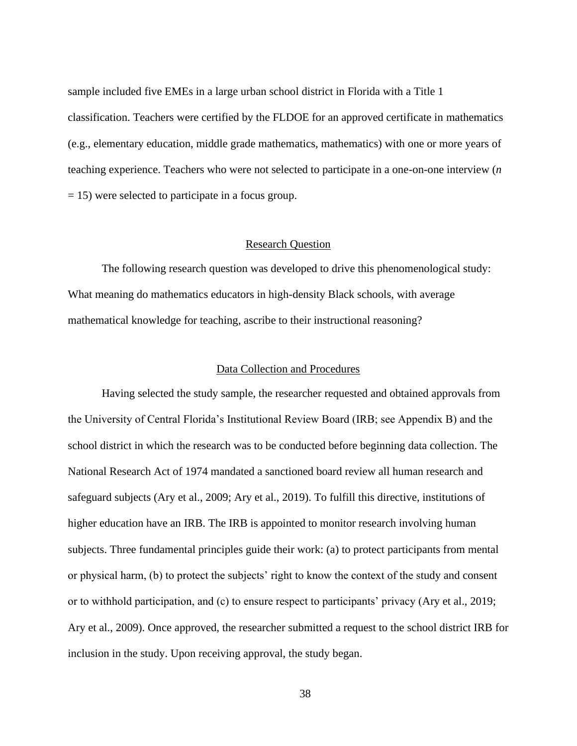sample included five EMEs in a large urban school district in Florida with a Title 1 classification. Teachers were certified by the FLDOE for an approved certificate in mathematics (e.g., elementary education, middle grade mathematics, mathematics) with one or more years of teaching experience. Teachers who were not selected to participate in a one-on-one interview (*n* = 15) were selected to participate in a focus group.

### Research Question

The following research question was developed to drive this phenomenological study: What meaning do mathematics educators in high-density Black schools, with average mathematical knowledge for teaching, ascribe to their instructional reasoning?

# Data Collection and Procedures

Having selected the study sample, the researcher requested and obtained approvals from the University of Central Florida's Institutional Review Board (IRB; see Appendix B) and the school district in which the research was to be conducted before beginning data collection. The National Research Act of 1974 mandated a sanctioned board review all human research and safeguard subjects (Ary et al., 2009; Ary et al., 2019). To fulfill this directive, institutions of higher education have an IRB. The IRB is appointed to monitor research involving human subjects. Three fundamental principles guide their work: (a) to protect participants from mental or physical harm, (b) to protect the subjects' right to know the context of the study and consent or to withhold participation, and (c) to ensure respect to participants' privacy (Ary et al., 2019; Ary et al., 2009). Once approved, the researcher submitted a request to the school district IRB for inclusion in the study. Upon receiving approval, the study began.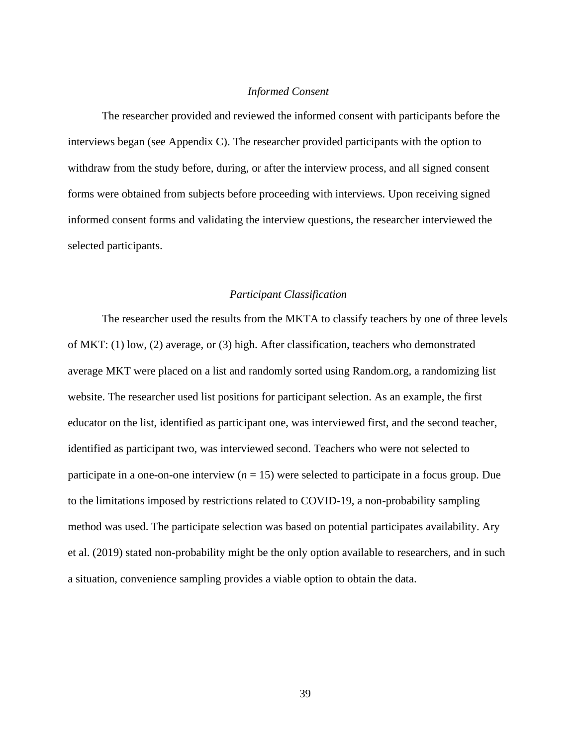# *Informed Consent*

The researcher provided and reviewed the informed consent with participants before the interviews began (see Appendix C). The researcher provided participants with the option to withdraw from the study before, during, or after the interview process, and all signed consent forms were obtained from subjects before proceeding with interviews. Upon receiving signed informed consent forms and validating the interview questions, the researcher interviewed the selected participants.

## *Participant Classification*

The researcher used the results from the MKTA to classify teachers by one of three levels of MKT: (1) low, (2) average, or (3) high. After classification, teachers who demonstrated average MKT were placed on a list and randomly sorted using Random.org, a randomizing list website. The researcher used list positions for participant selection. As an example, the first educator on the list, identified as participant one, was interviewed first, and the second teacher, identified as participant two, was interviewed second. Teachers who were not selected to participate in a one-on-one interview  $(n = 15)$  were selected to participate in a focus group. Due to the limitations imposed by restrictions related to COVID-19, a non-probability sampling method was used. The participate selection was based on potential participates availability. Ary et al. (2019) stated non-probability might be the only option available to researchers, and in such a situation, convenience sampling provides a viable option to obtain the data.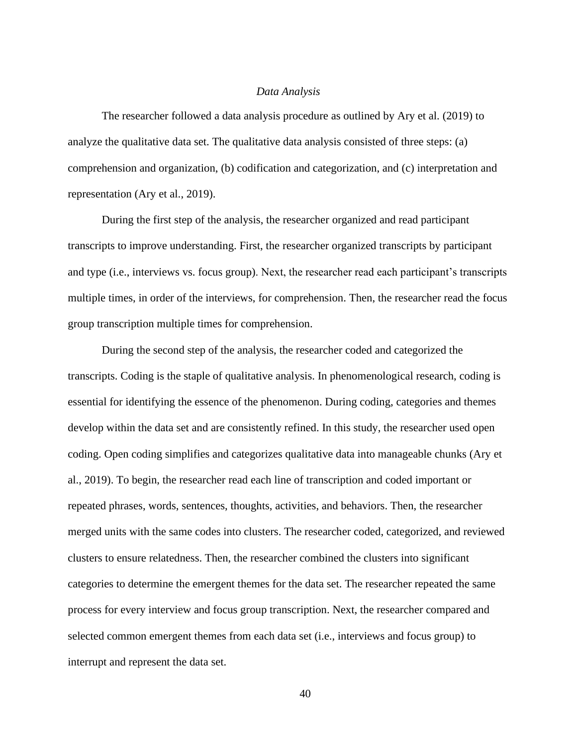#### *Data Analysis*

The researcher followed a data analysis procedure as outlined by Ary et al. (2019) to analyze the qualitative data set. The qualitative data analysis consisted of three steps: (a) comprehension and organization, (b) codification and categorization, and (c) interpretation and representation (Ary et al., 2019).

During the first step of the analysis, the researcher organized and read participant transcripts to improve understanding. First, the researcher organized transcripts by participant and type (i.e., interviews vs. focus group). Next, the researcher read each participant's transcripts multiple times, in order of the interviews, for comprehension. Then, the researcher read the focus group transcription multiple times for comprehension.

During the second step of the analysis, the researcher coded and categorized the transcripts. Coding is the staple of qualitative analysis. In phenomenological research, coding is essential for identifying the essence of the phenomenon. During coding, categories and themes develop within the data set and are consistently refined. In this study, the researcher used open coding. Open coding simplifies and categorizes qualitative data into manageable chunks (Ary et al., 2019). To begin, the researcher read each line of transcription and coded important or repeated phrases, words, sentences, thoughts, activities, and behaviors. Then, the researcher merged units with the same codes into clusters. The researcher coded, categorized, and reviewed clusters to ensure relatedness. Then, the researcher combined the clusters into significant categories to determine the emergent themes for the data set. The researcher repeated the same process for every interview and focus group transcription. Next, the researcher compared and selected common emergent themes from each data set (i.e., interviews and focus group) to interrupt and represent the data set.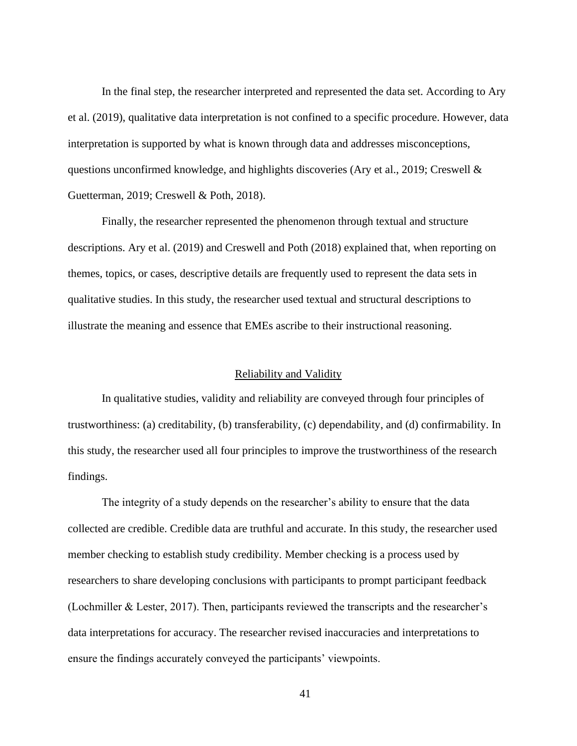In the final step, the researcher interpreted and represented the data set. According to Ary et al. (2019), qualitative data interpretation is not confined to a specific procedure. However, data interpretation is supported by what is known through data and addresses misconceptions, questions unconfirmed knowledge, and highlights discoveries (Ary et al., 2019; Creswell  $\&$ Guetterman, 2019; Creswell & Poth, 2018).

Finally, the researcher represented the phenomenon through textual and structure descriptions. Ary et al. (2019) and Creswell and Poth (2018) explained that, when reporting on themes, topics, or cases, descriptive details are frequently used to represent the data sets in qualitative studies. In this study, the researcher used textual and structural descriptions to illustrate the meaning and essence that EMEs ascribe to their instructional reasoning.

#### Reliability and Validity

In qualitative studies, validity and reliability are conveyed through four principles of trustworthiness: (a) creditability, (b) transferability, (c) dependability, and (d) confirmability. In this study, the researcher used all four principles to improve the trustworthiness of the research findings.

The integrity of a study depends on the researcher's ability to ensure that the data collected are credible. Credible data are truthful and accurate. In this study, the researcher used member checking to establish study credibility. Member checking is a process used by researchers to share developing conclusions with participants to prompt participant feedback (Lochmiller & Lester, 2017). Then, participants reviewed the transcripts and the researcher's data interpretations for accuracy. The researcher revised inaccuracies and interpretations to ensure the findings accurately conveyed the participants' viewpoints.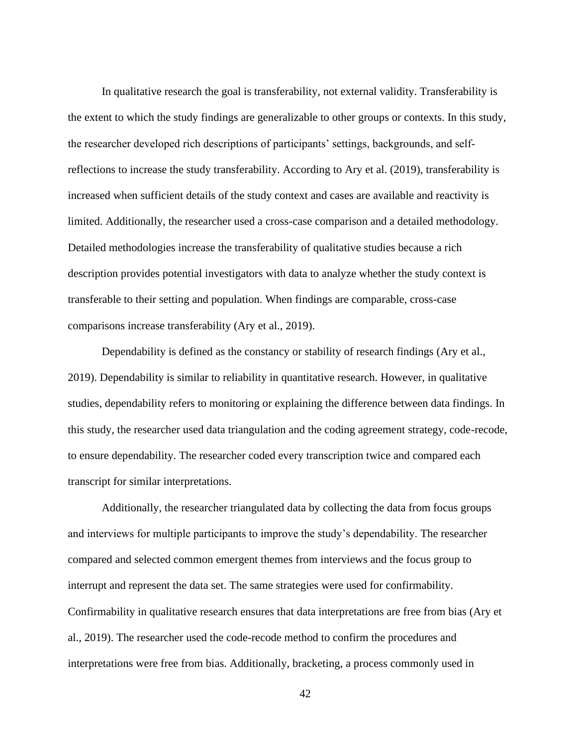In qualitative research the goal is transferability, not external validity. Transferability is the extent to which the study findings are generalizable to other groups or contexts. In this study, the researcher developed rich descriptions of participants' settings, backgrounds, and selfreflections to increase the study transferability. According to Ary et al. (2019), transferability is increased when sufficient details of the study context and cases are available and reactivity is limited. Additionally, the researcher used a cross-case comparison and a detailed methodology. Detailed methodologies increase the transferability of qualitative studies because a rich description provides potential investigators with data to analyze whether the study context is transferable to their setting and population. When findings are comparable, cross-case comparisons increase transferability (Ary et al., 2019).

Dependability is defined as the constancy or stability of research findings (Ary et al., 2019). Dependability is similar to reliability in quantitative research. However, in qualitative studies, dependability refers to monitoring or explaining the difference between data findings. In this study, the researcher used data triangulation and the coding agreement strategy, code-recode, to ensure dependability. The researcher coded every transcription twice and compared each transcript for similar interpretations.

Additionally, the researcher triangulated data by collecting the data from focus groups and interviews for multiple participants to improve the study's dependability. The researcher compared and selected common emergent themes from interviews and the focus group to interrupt and represent the data set. The same strategies were used for confirmability. Confirmability in qualitative research ensures that data interpretations are free from bias (Ary et al., 2019). The researcher used the code-recode method to confirm the procedures and interpretations were free from bias. Additionally, bracketing, a process commonly used in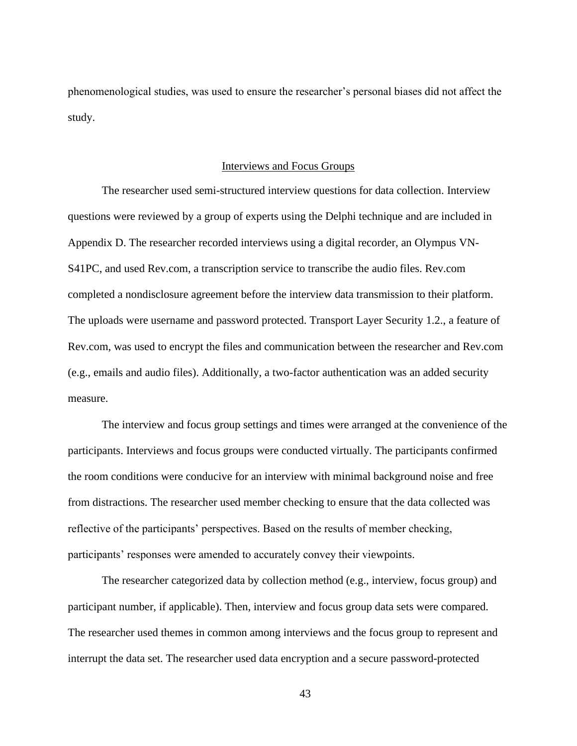phenomenological studies, was used to ensure the researcher's personal biases did not affect the study.

# Interviews and Focus Groups

The researcher used semi-structured interview questions for data collection. Interview questions were reviewed by a group of experts using the Delphi technique and are included in Appendix D. The researcher recorded interviews using a digital recorder, an Olympus VN-S41PC, and used Rev.com, a transcription service to transcribe the audio files. Rev.com completed a nondisclosure agreement before the interview data transmission to their platform. The uploads were username and password protected. Transport Layer Security 1.2., a feature of Rev.com, was used to encrypt the files and communication between the researcher and Rev.com (e.g., emails and audio files). Additionally, a two-factor authentication was an added security measure.

The interview and focus group settings and times were arranged at the convenience of the participants. Interviews and focus groups were conducted virtually. The participants confirmed the room conditions were conducive for an interview with minimal background noise and free from distractions. The researcher used member checking to ensure that the data collected was reflective of the participants' perspectives. Based on the results of member checking, participants' responses were amended to accurately convey their viewpoints.

The researcher categorized data by collection method (e.g., interview, focus group) and participant number, if applicable). Then, interview and focus group data sets were compared. The researcher used themes in common among interviews and the focus group to represent and interrupt the data set. The researcher used data encryption and a secure password-protected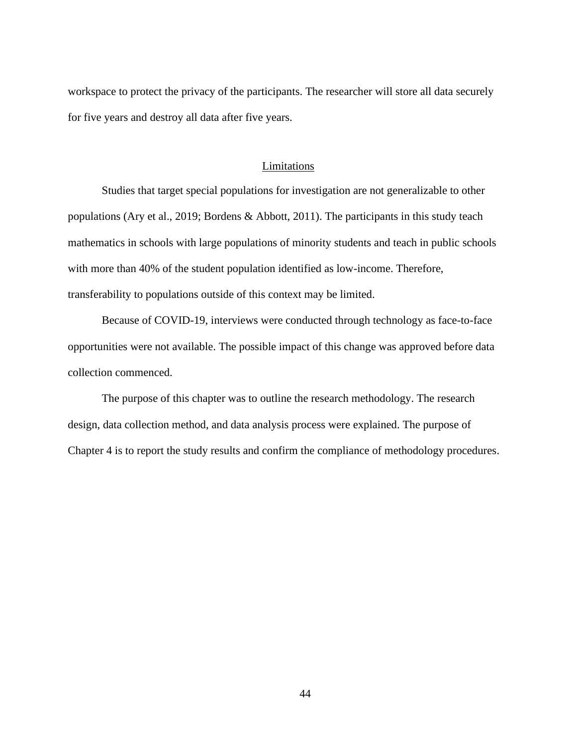workspace to protect the privacy of the participants. The researcher will store all data securely for five years and destroy all data after five years.

### Limitations

Studies that target special populations for investigation are not generalizable to other populations (Ary et al., 2019; Bordens & Abbott, 2011). The participants in this study teach mathematics in schools with large populations of minority students and teach in public schools with more than 40% of the student population identified as low-income. Therefore, transferability to populations outside of this context may be limited.

Because of COVID-19, interviews were conducted through technology as face-to-face opportunities were not available. The possible impact of this change was approved before data collection commenced.

The purpose of this chapter was to outline the research methodology. The research design, data collection method, and data analysis process were explained. The purpose of Chapter 4 is to report the study results and confirm the compliance of methodology procedures.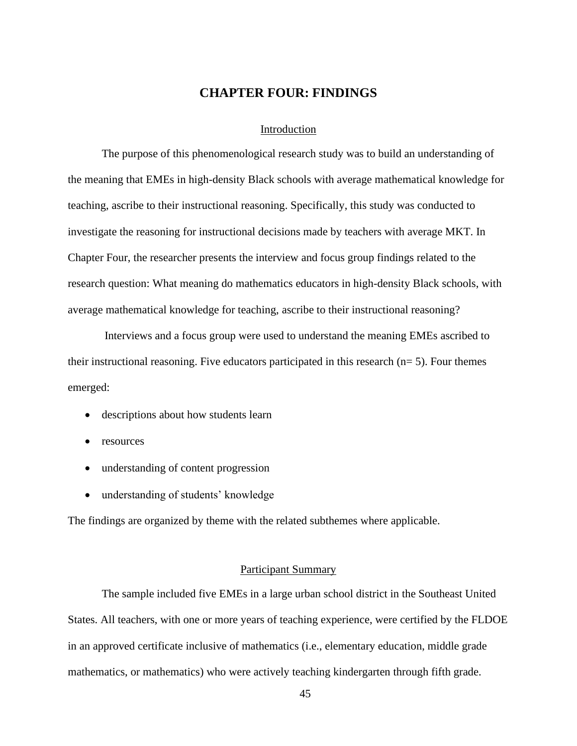# **CHAPTER FOUR: FINDINGS**

## Introduction

The purpose of this phenomenological research study was to build an understanding of the meaning that EMEs in high-density Black schools with average mathematical knowledge for teaching, ascribe to their instructional reasoning. Specifically, this study was conducted to investigate the reasoning for instructional decisions made by teachers with average MKT. In Chapter Four, the researcher presents the interview and focus group findings related to the research question: What meaning do mathematics educators in high-density Black schools, with average mathematical knowledge for teaching, ascribe to their instructional reasoning?

Interviews and a focus group were used to understand the meaning EMEs ascribed to their instructional reasoning. Five educators participated in this research  $(n= 5)$ . Four themes emerged:

- descriptions about how students learn
- resources
- understanding of content progression
- understanding of students' knowledge

The findings are organized by theme with the related subthemes where applicable.

#### Participant Summary

The sample included five EMEs in a large urban school district in the Southeast United States. All teachers, with one or more years of teaching experience, were certified by the FLDOE in an approved certificate inclusive of mathematics (i.e., elementary education, middle grade mathematics, or mathematics) who were actively teaching kindergarten through fifth grade.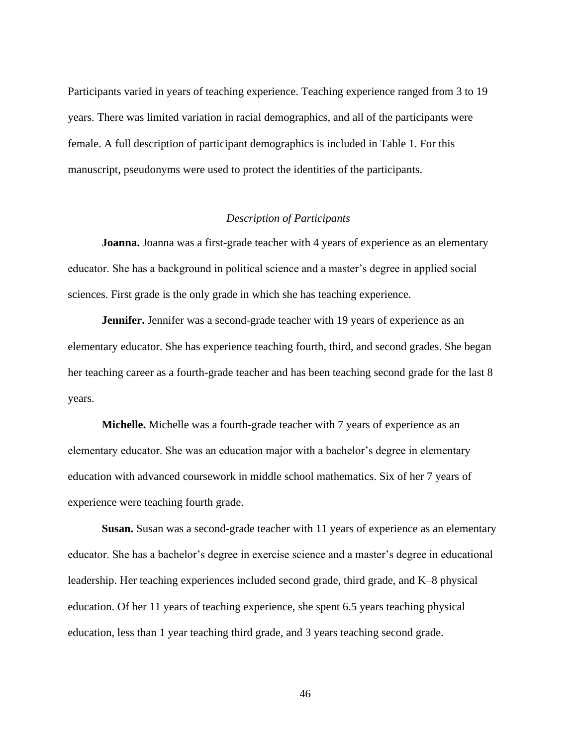Participants varied in years of teaching experience. Teaching experience ranged from 3 to 19 years. There was limited variation in racial demographics, and all of the participants were female. A full description of participant demographics is included in Table 1. For this manuscript, pseudonyms were used to protect the identities of the participants.

# *Description of Participants*

**Joanna.** Joanna was a first-grade teacher with 4 years of experience as an elementary educator. She has a background in political science and a master's degree in applied social sciences. First grade is the only grade in which she has teaching experience.

**Jennifer.** Jennifer was a second-grade teacher with 19 years of experience as an elementary educator. She has experience teaching fourth, third, and second grades. She began her teaching career as a fourth-grade teacher and has been teaching second grade for the last 8 years.

**Michelle.** Michelle was a fourth-grade teacher with 7 years of experience as an elementary educator. She was an education major with a bachelor's degree in elementary education with advanced coursework in middle school mathematics. Six of her 7 years of experience were teaching fourth grade.

**Susan.** Susan was a second-grade teacher with 11 years of experience as an elementary educator. She has a bachelor's degree in exercise science and a master's degree in educational leadership. Her teaching experiences included second grade, third grade, and K–8 physical education. Of her 11 years of teaching experience, she spent 6.5 years teaching physical education, less than 1 year teaching third grade, and 3 years teaching second grade.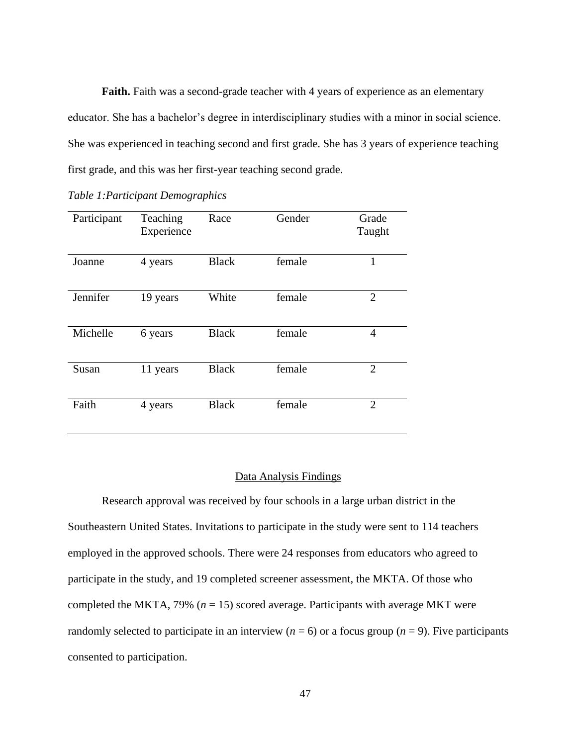**Faith.** Faith was a second-grade teacher with 4 years of experience as an elementary educator. She has a bachelor's degree in interdisciplinary studies with a minor in social science. She was experienced in teaching second and first grade. She has 3 years of experience teaching first grade, and this was her first-year teaching second grade.

| Table 1: Participant Demographics |  |
|-----------------------------------|--|
|-----------------------------------|--|

| Participant | Teaching<br>Experience | Race         | Gender | Grade<br>Taught |
|-------------|------------------------|--------------|--------|-----------------|
| Joanne      | 4 years                | <b>Black</b> | female | 1               |
| Jennifer    | 19 years               | White        | female | $\overline{2}$  |
| Michelle    | 6 years                | <b>Black</b> | female | 4               |
| Susan       | 11 years               | <b>Black</b> | female | $\overline{2}$  |
| Faith       | 4 years                | <b>Black</b> | female | $\overline{2}$  |

# Data Analysis Findings

Research approval was received by four schools in a large urban district in the Southeastern United States. Invitations to participate in the study were sent to 114 teachers employed in the approved schools. There were 24 responses from educators who agreed to participate in the study, and 19 completed screener assessment, the MKTA. Of those who completed the MKTA, 79% (*n* = 15) scored average. Participants with average MKT were randomly selected to participate in an interview ( $n = 6$ ) or a focus group ( $n = 9$ ). Five participants consented to participation.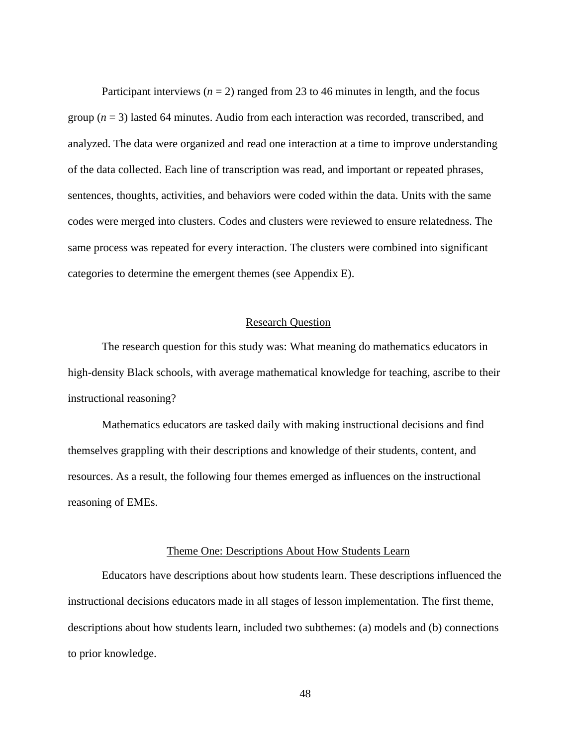Participant interviews  $(n = 2)$  ranged from 23 to 46 minutes in length, and the focus group  $(n = 3)$  lasted 64 minutes. Audio from each interaction was recorded, transcribed, and analyzed. The data were organized and read one interaction at a time to improve understanding of the data collected. Each line of transcription was read, and important or repeated phrases, sentences, thoughts, activities, and behaviors were coded within the data. Units with the same codes were merged into clusters. Codes and clusters were reviewed to ensure relatedness. The same process was repeated for every interaction. The clusters were combined into significant categories to determine the emergent themes (see Appendix E).

# Research Question

The research question for this study was: What meaning do mathematics educators in high-density Black schools, with average mathematical knowledge for teaching, ascribe to their instructional reasoning?

Mathematics educators are tasked daily with making instructional decisions and find themselves grappling with their descriptions and knowledge of their students, content, and resources. As a result, the following four themes emerged as influences on the instructional reasoning of EMEs.

### Theme One: Descriptions About How Students Learn

Educators have descriptions about how students learn. These descriptions influenced the instructional decisions educators made in all stages of lesson implementation. The first theme, descriptions about how students learn, included two subthemes: (a) models and (b) connections to prior knowledge.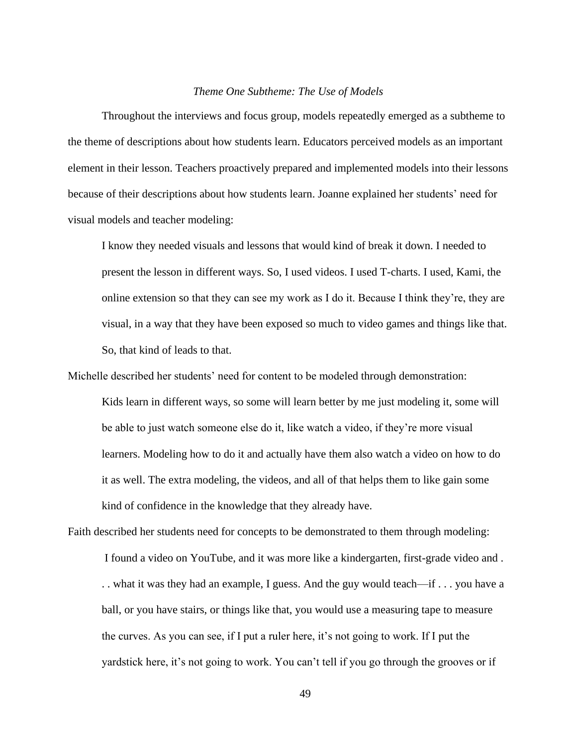## *Theme One Subtheme: The Use of Models*

Throughout the interviews and focus group, models repeatedly emerged as a subtheme to the theme of descriptions about how students learn. Educators perceived models as an important element in their lesson. Teachers proactively prepared and implemented models into their lessons because of their descriptions about how students learn. Joanne explained her students' need for visual models and teacher modeling:

I know they needed visuals and lessons that would kind of break it down. I needed to present the lesson in different ways. So, I used videos. I used T-charts. I used, Kami, the online extension so that they can see my work as I do it. Because I think they're, they are visual, in a way that they have been exposed so much to video games and things like that. So, that kind of leads to that.

Michelle described her students' need for content to be modeled through demonstration: Kids learn in different ways, so some will learn better by me just modeling it, some will be able to just watch someone else do it, like watch a video, if they're more visual learners. Modeling how to do it and actually have them also watch a video on how to do it as well. The extra modeling, the videos, and all of that helps them to like gain some kind of confidence in the knowledge that they already have.

Faith described her students need for concepts to be demonstrated to them through modeling: I found a video on YouTube, and it was more like a kindergarten, first-grade video and . . . what it was they had an example, I guess. And the guy would teach—if . . . you have a ball, or you have stairs, or things like that, you would use a measuring tape to measure the curves. As you can see, if I put a ruler here, it's not going to work. If I put the yardstick here, it's not going to work. You can't tell if you go through the grooves or if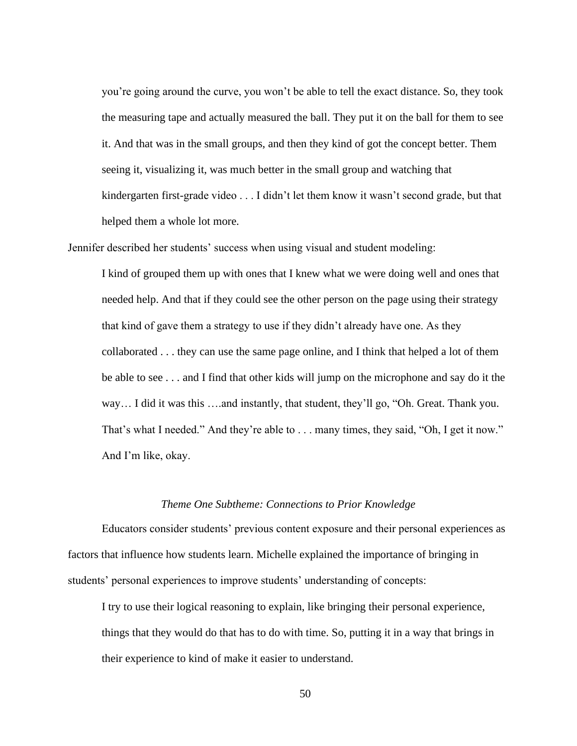you're going around the curve, you won't be able to tell the exact distance. So, they took the measuring tape and actually measured the ball. They put it on the ball for them to see it. And that was in the small groups, and then they kind of got the concept better. Them seeing it, visualizing it, was much better in the small group and watching that kindergarten first-grade video . . . I didn't let them know it wasn't second grade, but that helped them a whole lot more.

Jennifer described her students' success when using visual and student modeling:

I kind of grouped them up with ones that I knew what we were doing well and ones that needed help. And that if they could see the other person on the page using their strategy that kind of gave them a strategy to use if they didn't already have one. As they collaborated . . . they can use the same page online, and I think that helped a lot of them be able to see . . . and I find that other kids will jump on the microphone and say do it the way… I did it was this ….and instantly, that student, they'll go, "Oh. Great. Thank you. That's what I needed." And they're able to . . . many times, they said, "Oh, I get it now." And I'm like, okay.

### *Theme One Subtheme: Connections to Prior Knowledge*

Educators consider students' previous content exposure and their personal experiences as factors that influence how students learn. Michelle explained the importance of bringing in students' personal experiences to improve students' understanding of concepts:

I try to use their logical reasoning to explain, like bringing their personal experience, things that they would do that has to do with time. So, putting it in a way that brings in their experience to kind of make it easier to understand.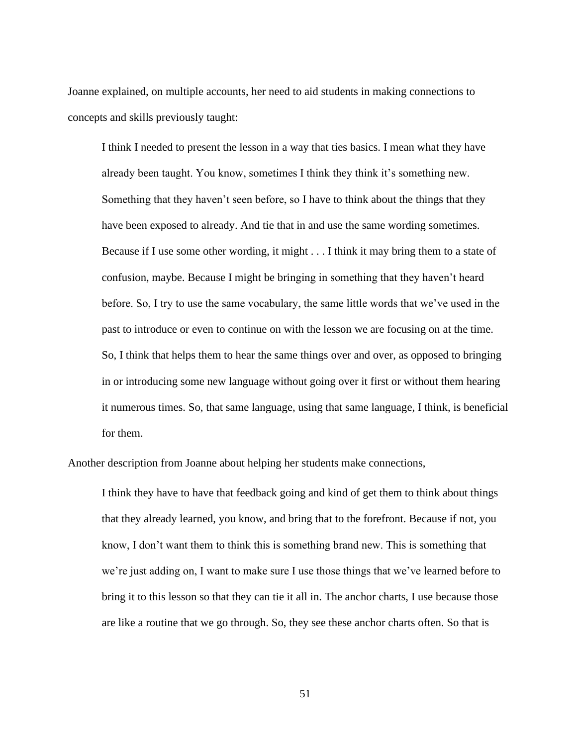Joanne explained, on multiple accounts, her need to aid students in making connections to concepts and skills previously taught:

I think I needed to present the lesson in a way that ties basics. I mean what they have already been taught. You know, sometimes I think they think it's something new. Something that they haven't seen before, so I have to think about the things that they have been exposed to already. And tie that in and use the same wording sometimes. Because if I use some other wording, it might . . . I think it may bring them to a state of confusion, maybe. Because I might be bringing in something that they haven't heard before. So, I try to use the same vocabulary, the same little words that we've used in the past to introduce or even to continue on with the lesson we are focusing on at the time. So, I think that helps them to hear the same things over and over, as opposed to bringing in or introducing some new language without going over it first or without them hearing it numerous times. So, that same language, using that same language, I think, is beneficial for them.

Another description from Joanne about helping her students make connections,

I think they have to have that feedback going and kind of get them to think about things that they already learned, you know, and bring that to the forefront. Because if not, you know, I don't want them to think this is something brand new. This is something that we're just adding on, I want to make sure I use those things that we've learned before to bring it to this lesson so that they can tie it all in. The anchor charts, I use because those are like a routine that we go through. So, they see these anchor charts often. So that is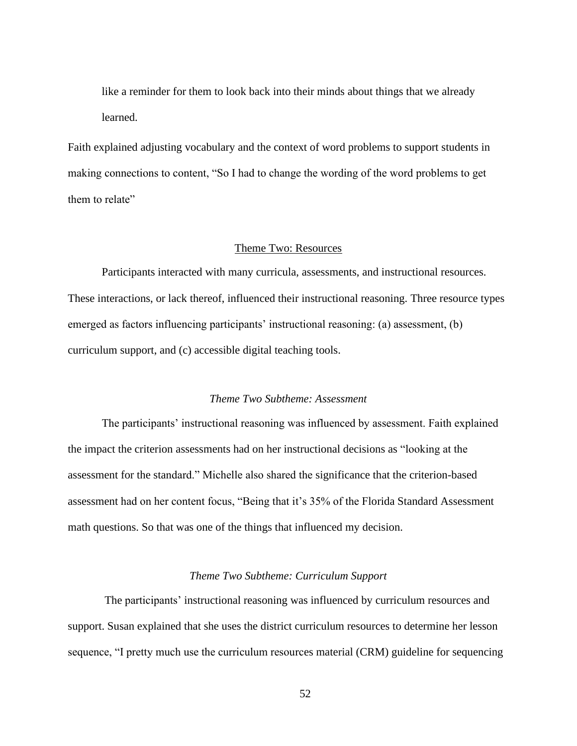like a reminder for them to look back into their minds about things that we already learned.

Faith explained adjusting vocabulary and the context of word problems to support students in making connections to content, "So I had to change the wording of the word problems to get them to relate"

# Theme Two: Resources

Participants interacted with many curricula, assessments, and instructional resources. These interactions, or lack thereof, influenced their instructional reasoning. Three resource types emerged as factors influencing participants' instructional reasoning: (a) assessment, (b) curriculum support, and (c) accessible digital teaching tools.

# *Theme Two Subtheme: Assessment*

The participants' instructional reasoning was influenced by assessment. Faith explained the impact the criterion assessments had on her instructional decisions as "looking at the assessment for the standard." Michelle also shared the significance that the criterion-based assessment had on her content focus, "Being that it's 35% of the Florida Standard Assessment math questions. So that was one of the things that influenced my decision.

### *Theme Two Subtheme: Curriculum Support*

The participants' instructional reasoning was influenced by curriculum resources and support. Susan explained that she uses the district curriculum resources to determine her lesson sequence, "I pretty much use the curriculum resources material (CRM) guideline for sequencing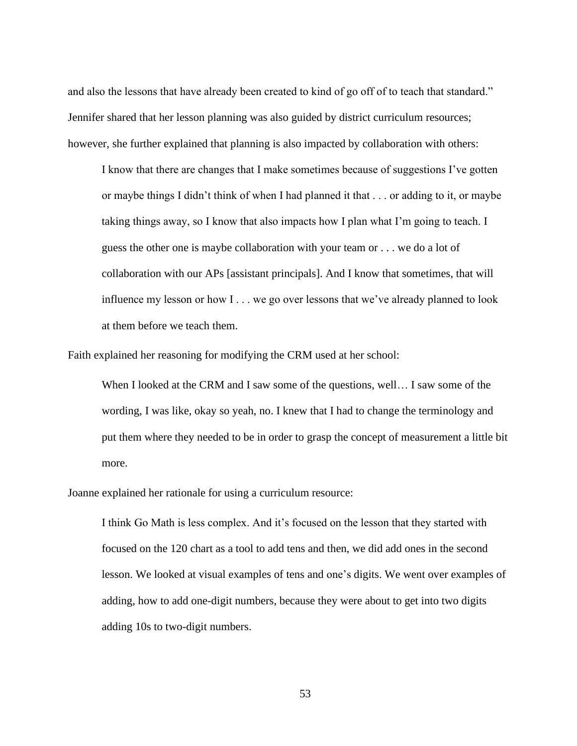and also the lessons that have already been created to kind of go off of to teach that standard." Jennifer shared that her lesson planning was also guided by district curriculum resources; however, she further explained that planning is also impacted by collaboration with others:

I know that there are changes that I make sometimes because of suggestions I've gotten or maybe things I didn't think of when I had planned it that . . . or adding to it, or maybe taking things away, so I know that also impacts how I plan what I'm going to teach. I guess the other one is maybe collaboration with your team or . . . we do a lot of collaboration with our APs [assistant principals]. And I know that sometimes, that will influence my lesson or how I . . . we go over lessons that we've already planned to look at them before we teach them.

Faith explained her reasoning for modifying the CRM used at her school:

When I looked at the CRM and I saw some of the questions, well... I saw some of the wording, I was like, okay so yeah, no. I knew that I had to change the terminology and put them where they needed to be in order to grasp the concept of measurement a little bit more.

Joanne explained her rationale for using a curriculum resource:

I think Go Math is less complex. And it's focused on the lesson that they started with focused on the 120 chart as a tool to add tens and then, we did add ones in the second lesson. We looked at visual examples of tens and one's digits. We went over examples of adding, how to add one-digit numbers, because they were about to get into two digits adding 10s to two-digit numbers.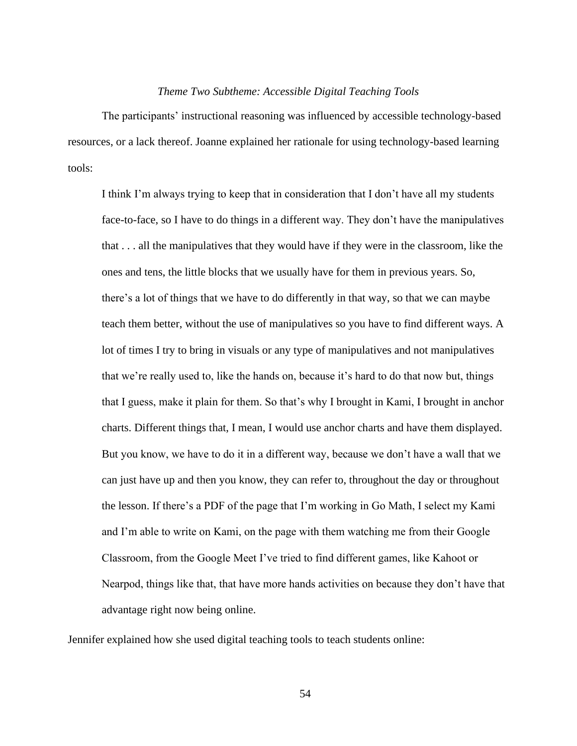## *Theme Two Subtheme: Accessible Digital Teaching Tools*

The participants' instructional reasoning was influenced by accessible technology-based resources, or a lack thereof. Joanne explained her rationale for using technology-based learning tools:

I think I'm always trying to keep that in consideration that I don't have all my students face-to-face, so I have to do things in a different way. They don't have the manipulatives that . . . all the manipulatives that they would have if they were in the classroom, like the ones and tens, the little blocks that we usually have for them in previous years. So, there's a lot of things that we have to do differently in that way, so that we can maybe teach them better, without the use of manipulatives so you have to find different ways. A lot of times I try to bring in visuals or any type of manipulatives and not manipulatives that we're really used to, like the hands on, because it's hard to do that now but, things that I guess, make it plain for them. So that's why I brought in Kami, I brought in anchor charts. Different things that, I mean, I would use anchor charts and have them displayed. But you know, we have to do it in a different way, because we don't have a wall that we can just have up and then you know, they can refer to, throughout the day or throughout the lesson. If there's a PDF of the page that I'm working in Go Math, I select my Kami and I'm able to write on Kami, on the page with them watching me from their Google Classroom, from the Google Meet I've tried to find different games, like Kahoot or Nearpod, things like that, that have more hands activities on because they don't have that advantage right now being online.

Jennifer explained how she used digital teaching tools to teach students online: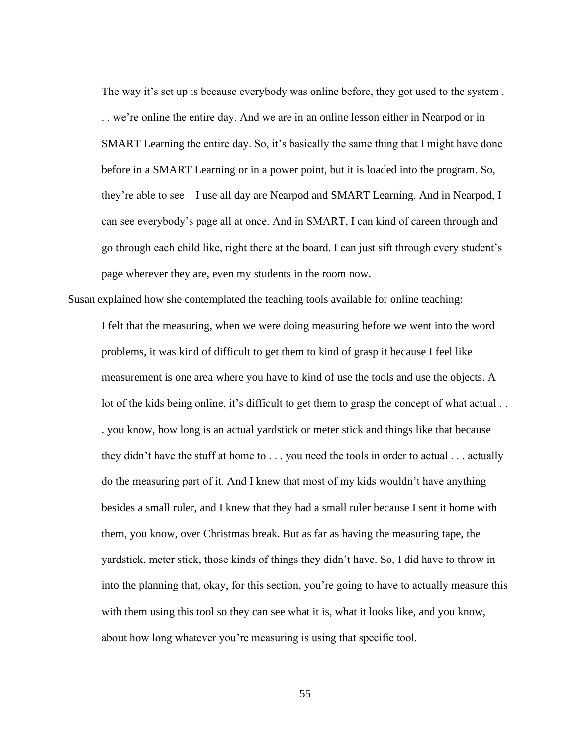The way it's set up is because everybody was online before, they got used to the system . . . we're online the entire day. And we are in an online lesson either in Nearpod or in SMART Learning the entire day. So, it's basically the same thing that I might have done before in a SMART Learning or in a power point, but it is loaded into the program. So, they're able to see—I use all day are Nearpod and SMART Learning. And in Nearpod, I can see everybody's page all at once. And in SMART, I can kind of careen through and go through each child like, right there at the board. I can just sift through every student's page wherever they are, even my students in the room now.

Susan explained how she contemplated the teaching tools available for online teaching:

I felt that the measuring, when we were doing measuring before we went into the word problems, it was kind of difficult to get them to kind of grasp it because I feel like measurement is one area where you have to kind of use the tools and use the objects. A lot of the kids being online, it's difficult to get them to grasp the concept of what actual . . . you know, how long is an actual yardstick or meter stick and things like that because they didn't have the stuff at home to . . . you need the tools in order to actual . . . actually do the measuring part of it. And I knew that most of my kids wouldn't have anything besides a small ruler, and I knew that they had a small ruler because I sent it home with them, you know, over Christmas break. But as far as having the measuring tape, the yardstick, meter stick, those kinds of things they didn't have. So, I did have to throw in into the planning that, okay, for this section, you're going to have to actually measure this with them using this tool so they can see what it is, what it looks like, and you know, about how long whatever you're measuring is using that specific tool.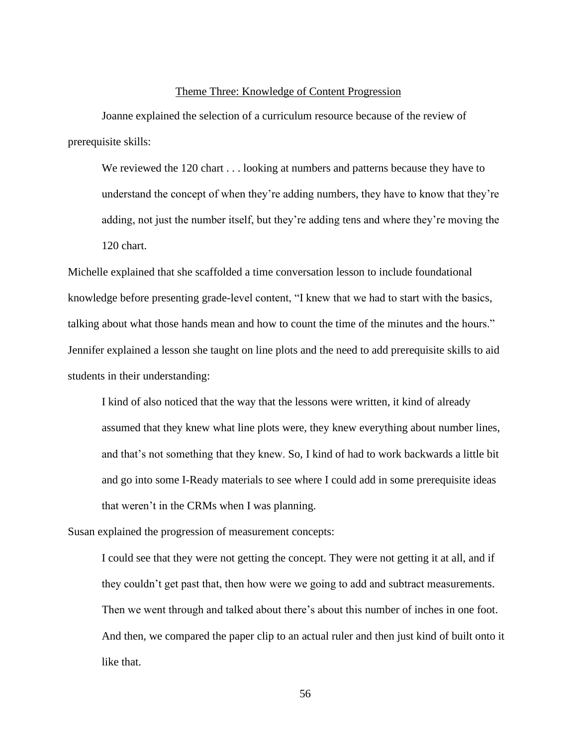#### Theme Three: Knowledge of Content Progression

Joanne explained the selection of a curriculum resource because of the review of prerequisite skills:

We reviewed the 120 chart . . . looking at numbers and patterns because they have to understand the concept of when they're adding numbers, they have to know that they're adding, not just the number itself, but they're adding tens and where they're moving the 120 chart.

Michelle explained that she scaffolded a time conversation lesson to include foundational knowledge before presenting grade-level content, "I knew that we had to start with the basics, talking about what those hands mean and how to count the time of the minutes and the hours." Jennifer explained a lesson she taught on line plots and the need to add prerequisite skills to aid students in their understanding:

I kind of also noticed that the way that the lessons were written, it kind of already assumed that they knew what line plots were, they knew everything about number lines, and that's not something that they knew. So, I kind of had to work backwards a little bit and go into some I-Ready materials to see where I could add in some prerequisite ideas that weren't in the CRMs when I was planning.

Susan explained the progression of measurement concepts:

I could see that they were not getting the concept. They were not getting it at all, and if they couldn't get past that, then how were we going to add and subtract measurements. Then we went through and talked about there's about this number of inches in one foot. And then, we compared the paper clip to an actual ruler and then just kind of built onto it like that.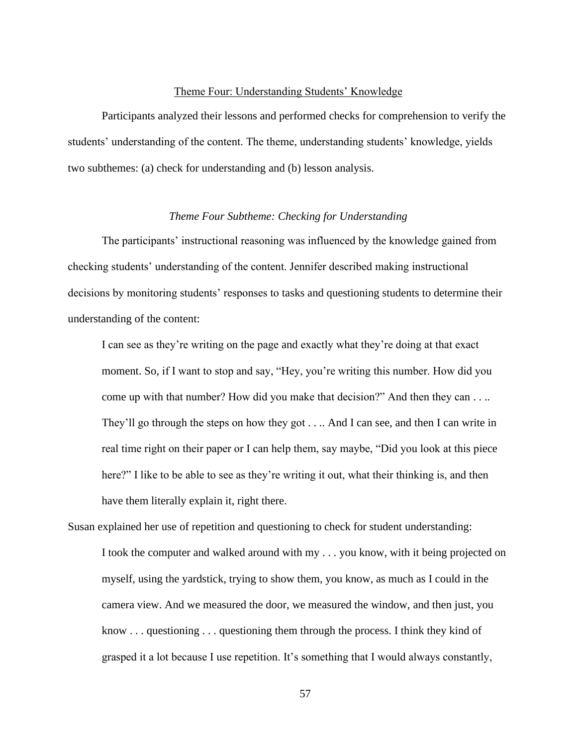## Theme Four: Understanding Students' Knowledge

Participants analyzed their lessons and performed checks for comprehension to verify the students' understanding of the content. The theme, understanding students' knowledge, yields two subthemes: (a) check for understanding and (b) lesson analysis.

# *Theme Four Subtheme: Checking for Understanding*

The participants' instructional reasoning was influenced by the knowledge gained from checking students' understanding of the content. Jennifer described making instructional decisions by monitoring students' responses to tasks and questioning students to determine their understanding of the content:

I can see as they're writing on the page and exactly what they're doing at that exact moment. So, if I want to stop and say, "Hey, you're writing this number. How did you come up with that number? How did you make that decision?" And then they can . . .. They'll go through the steps on how they got . . .. And I can see, and then I can write in real time right on their paper or I can help them, say maybe, "Did you look at this piece here?" I like to be able to see as they're writing it out, what their thinking is, and then have them literally explain it, right there.

Susan explained her use of repetition and questioning to check for student understanding: I took the computer and walked around with my . . . you know, with it being projected on myself, using the yardstick, trying to show them, you know, as much as I could in the camera view. And we measured the door, we measured the window, and then just, you know . . . questioning . . . questioning them through the process. I think they kind of grasped it a lot because I use repetition. It's something that I would always constantly,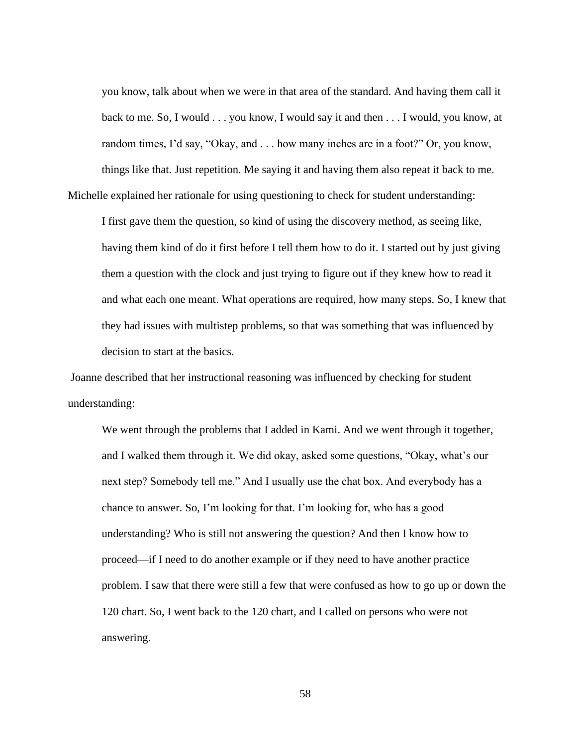you know, talk about when we were in that area of the standard. And having them call it back to me. So, I would . . . you know, I would say it and then . . . I would, you know, at random times, I'd say, "Okay, and . . . how many inches are in a foot?" Or, you know, things like that. Just repetition. Me saying it and having them also repeat it back to me. Michelle explained her rationale for using questioning to check for student understanding:

I first gave them the question, so kind of using the discovery method, as seeing like, having them kind of do it first before I tell them how to do it. I started out by just giving them a question with the clock and just trying to figure out if they knew how to read it and what each one meant. What operations are required, how many steps. So, I knew that they had issues with multistep problems, so that was something that was influenced by decision to start at the basics.

Joanne described that her instructional reasoning was influenced by checking for student understanding:

We went through the problems that I added in Kami. And we went through it together, and I walked them through it. We did okay, asked some questions, "Okay, what's our next step? Somebody tell me." And I usually use the chat box. And everybody has a chance to answer. So, I'm looking for that. I'm looking for, who has a good understanding? Who is still not answering the question? And then I know how to proceed—if I need to do another example or if they need to have another practice problem. I saw that there were still a few that were confused as how to go up or down the 120 chart. So, I went back to the 120 chart, and I called on persons who were not answering.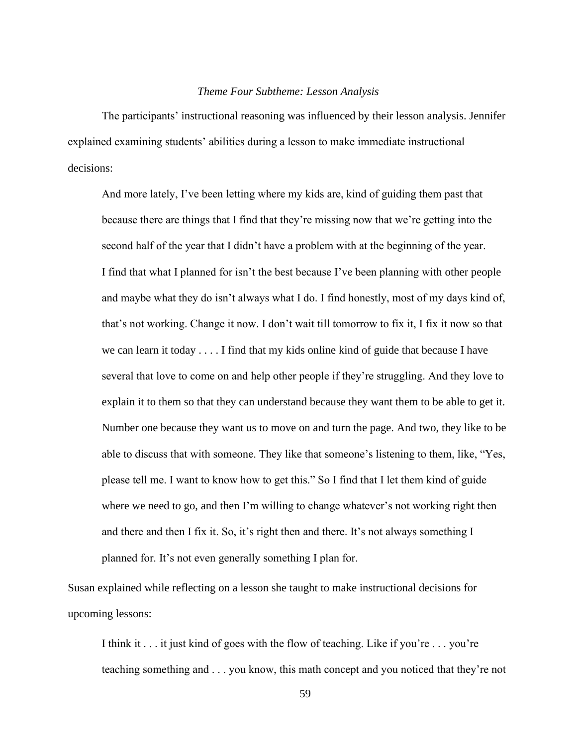#### *Theme Four Subtheme: Lesson Analysis*

The participants' instructional reasoning was influenced by their lesson analysis. Jennifer explained examining students' abilities during a lesson to make immediate instructional decisions:

And more lately, I've been letting where my kids are, kind of guiding them past that because there are things that I find that they're missing now that we're getting into the second half of the year that I didn't have a problem with at the beginning of the year. I find that what I planned for isn't the best because I've been planning with other people and maybe what they do isn't always what I do. I find honestly, most of my days kind of, that's not working. Change it now. I don't wait till tomorrow to fix it, I fix it now so that we can learn it today . . . . I find that my kids online kind of guide that because I have several that love to come on and help other people if they're struggling. And they love to explain it to them so that they can understand because they want them to be able to get it. Number one because they want us to move on and turn the page. And two, they like to be able to discuss that with someone. They like that someone's listening to them, like, "Yes, please tell me. I want to know how to get this." So I find that I let them kind of guide where we need to go, and then I'm willing to change whatever's not working right then and there and then I fix it. So, it's right then and there. It's not always something I planned for. It's not even generally something I plan for.

Susan explained while reflecting on a lesson she taught to make instructional decisions for upcoming lessons:

I think it . . . it just kind of goes with the flow of teaching. Like if you're . . . you're teaching something and . . . you know, this math concept and you noticed that they're not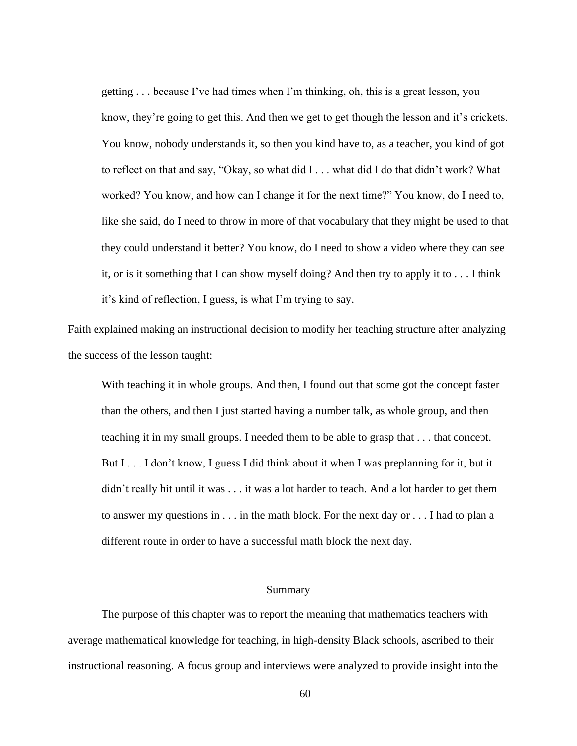getting . . . because I've had times when I'm thinking, oh, this is a great lesson, you know, they're going to get this. And then we get to get though the lesson and it's crickets. You know, nobody understands it, so then you kind have to, as a teacher, you kind of got to reflect on that and say, "Okay, so what did I . . . what did I do that didn't work? What worked? You know, and how can I change it for the next time?" You know, do I need to, like she said, do I need to throw in more of that vocabulary that they might be used to that they could understand it better? You know, do I need to show a video where they can see it, or is it something that I can show myself doing? And then try to apply it to . . . I think it's kind of reflection, I guess, is what I'm trying to say.

Faith explained making an instructional decision to modify her teaching structure after analyzing the success of the lesson taught:

With teaching it in whole groups. And then, I found out that some got the concept faster than the others, and then I just started having a number talk, as whole group, and then teaching it in my small groups. I needed them to be able to grasp that . . . that concept. But I . . . I don't know, I guess I did think about it when I was preplanning for it, but it didn't really hit until it was . . . it was a lot harder to teach. And a lot harder to get them to answer my questions in . . . in the math block. For the next day or . . . I had to plan a different route in order to have a successful math block the next day.

### Summary

The purpose of this chapter was to report the meaning that mathematics teachers with average mathematical knowledge for teaching, in high-density Black schools, ascribed to their instructional reasoning. A focus group and interviews were analyzed to provide insight into the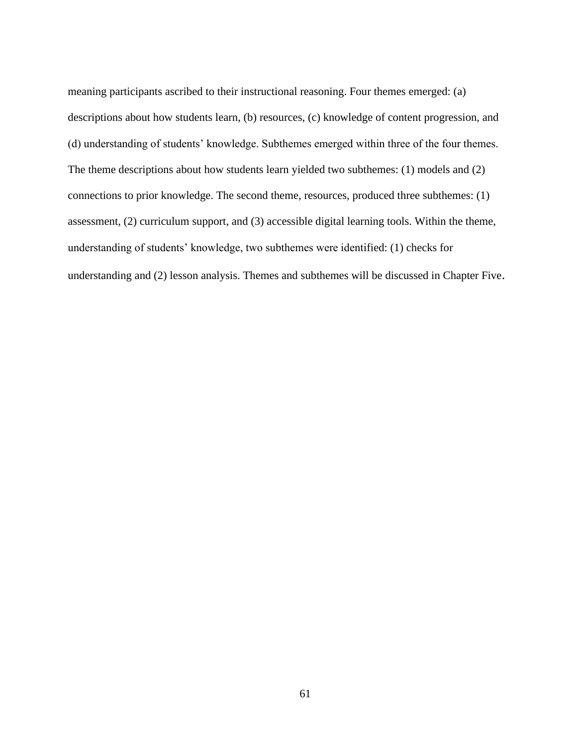meaning participants ascribed to their instructional reasoning. Four themes emerged: (a) descriptions about how students learn, (b) resources, (c) knowledge of content progression, and (d) understanding of students' knowledge. Subthemes emerged within three of the four themes. The theme descriptions about how students learn yielded two subthemes: (1) models and (2) connections to prior knowledge. The second theme, resources, produced three subthemes: (1) assessment, (2) curriculum support, and (3) accessible digital learning tools. Within the theme, understanding of students' knowledge, two subthemes were identified: (1) checks for understanding and (2) lesson analysis. Themes and subthemes will be discussed in Chapter Five.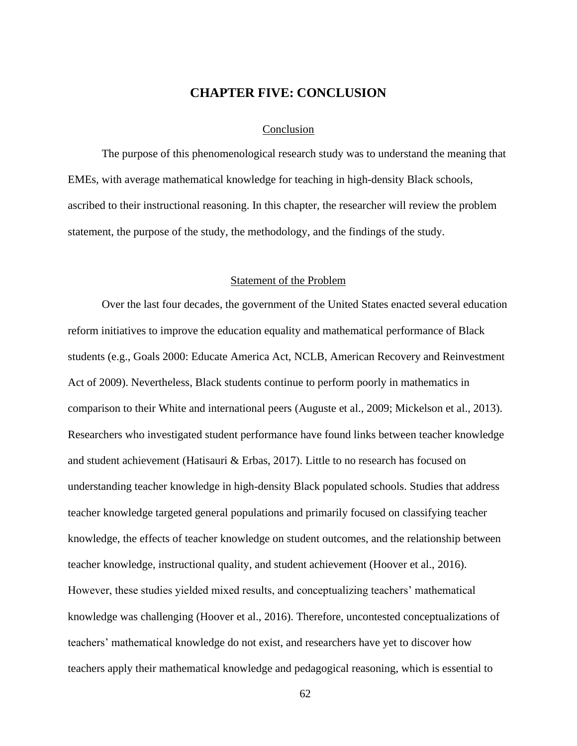## **CHAPTER FIVE: CONCLUSION**

#### Conclusion

The purpose of this phenomenological research study was to understand the meaning that EMEs, with average mathematical knowledge for teaching in high-density Black schools, ascribed to their instructional reasoning. In this chapter, the researcher will review the problem statement, the purpose of the study, the methodology, and the findings of the study.

### Statement of the Problem

Over the last four decades, the government of the United States enacted several education reform initiatives to improve the education equality and mathematical performance of Black students (e.g., Goals 2000: Educate America Act, NCLB, American Recovery and Reinvestment Act of 2009). Nevertheless, Black students continue to perform poorly in mathematics in comparison to their White and international peers (Auguste et al., 2009; Mickelson et al., 2013). Researchers who investigated student performance have found links between teacher knowledge and student achievement (Hatisauri & Erbas, 2017). Little to no research has focused on understanding teacher knowledge in high-density Black populated schools. Studies that address teacher knowledge targeted general populations and primarily focused on classifying teacher knowledge, the effects of teacher knowledge on student outcomes, and the relationship between teacher knowledge, instructional quality, and student achievement (Hoover et al., 2016). However, these studies yielded mixed results, and conceptualizing teachers' mathematical knowledge was challenging (Hoover et al., 2016). Therefore, uncontested conceptualizations of teachers' mathematical knowledge do not exist, and researchers have yet to discover how teachers apply their mathematical knowledge and pedagogical reasoning, which is essential to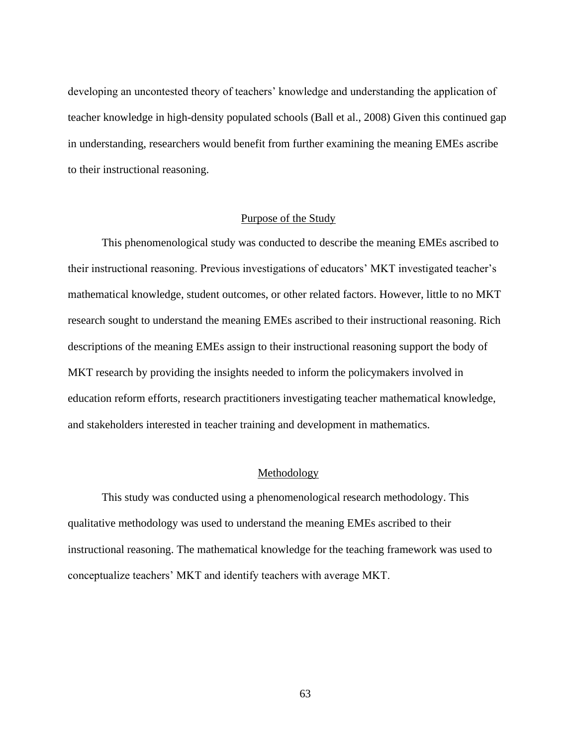developing an uncontested theory of teachers' knowledge and understanding the application of teacher knowledge in high-density populated schools (Ball et al., 2008) Given this continued gap in understanding, researchers would benefit from further examining the meaning EMEs ascribe to their instructional reasoning.

#### Purpose of the Study

This phenomenological study was conducted to describe the meaning EMEs ascribed to their instructional reasoning. Previous investigations of educators' MKT investigated teacher's mathematical knowledge, student outcomes, or other related factors. However, little to no MKT research sought to understand the meaning EMEs ascribed to their instructional reasoning. Rich descriptions of the meaning EMEs assign to their instructional reasoning support the body of MKT research by providing the insights needed to inform the policymakers involved in education reform efforts, research practitioners investigating teacher mathematical knowledge, and stakeholders interested in teacher training and development in mathematics.

### Methodology

This study was conducted using a phenomenological research methodology. This qualitative methodology was used to understand the meaning EMEs ascribed to their instructional reasoning. The mathematical knowledge for the teaching framework was used to conceptualize teachers' MKT and identify teachers with average MKT.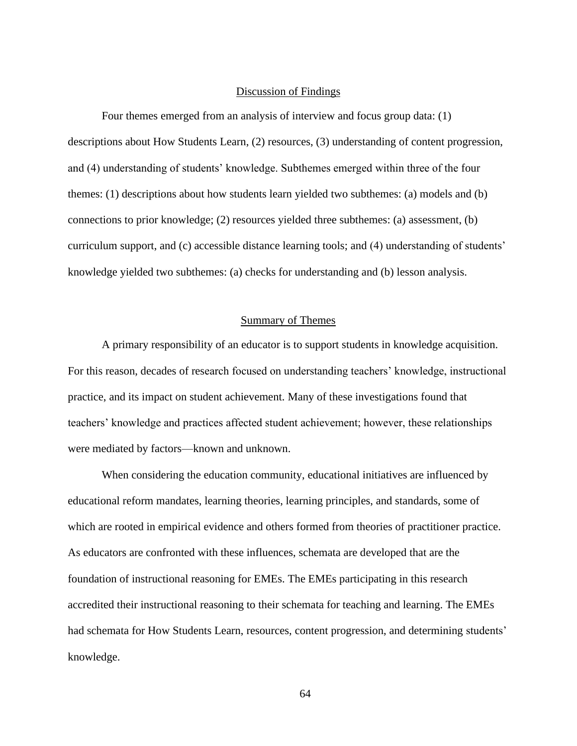#### Discussion of Findings

Four themes emerged from an analysis of interview and focus group data: (1) descriptions about How Students Learn, (2) resources, (3) understanding of content progression, and (4) understanding of students' knowledge. Subthemes emerged within three of the four themes: (1) descriptions about how students learn yielded two subthemes: (a) models and (b) connections to prior knowledge; (2) resources yielded three subthemes: (a) assessment, (b) curriculum support, and (c) accessible distance learning tools; and (4) understanding of students' knowledge yielded two subthemes: (a) checks for understanding and (b) lesson analysis.

#### Summary of Themes

A primary responsibility of an educator is to support students in knowledge acquisition. For this reason, decades of research focused on understanding teachers' knowledge, instructional practice, and its impact on student achievement. Many of these investigations found that teachers' knowledge and practices affected student achievement; however, these relationships were mediated by factors—known and unknown.

When considering the education community, educational initiatives are influenced by educational reform mandates, learning theories, learning principles, and standards, some of which are rooted in empirical evidence and others formed from theories of practitioner practice. As educators are confronted with these influences, schemata are developed that are the foundation of instructional reasoning for EMEs. The EMEs participating in this research accredited their instructional reasoning to their schemata for teaching and learning. The EMEs had schemata for How Students Learn, resources, content progression, and determining students' knowledge.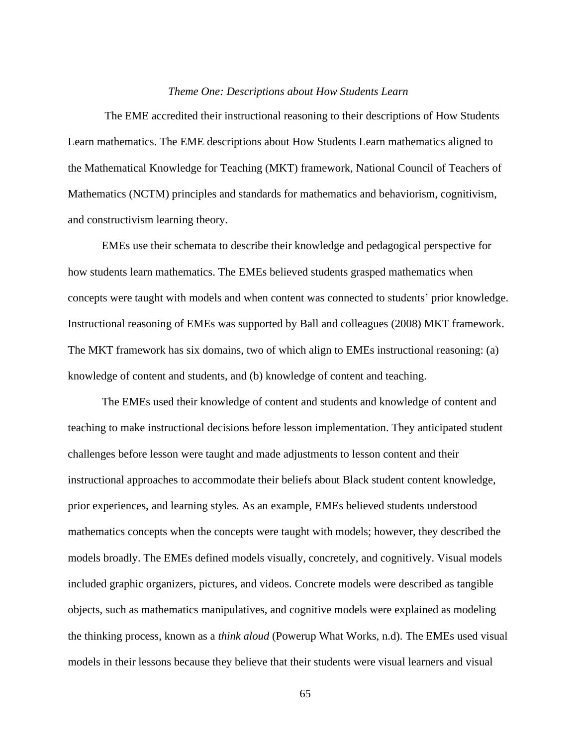#### *Theme One: Descriptions about How Students Learn*

The EME accredited their instructional reasoning to their descriptions of How Students Learn mathematics. The EME descriptions about How Students Learn mathematics aligned to the Mathematical Knowledge for Teaching (MKT) framework, National Council of Teachers of Mathematics (NCTM) principles and standards for mathematics and behaviorism, cognitivism, and constructivism learning theory.

EMEs use their schemata to describe their knowledge and pedagogical perspective for how students learn mathematics. The EMEs believed students grasped mathematics when concepts were taught with models and when content was connected to students' prior knowledge. Instructional reasoning of EMEs was supported by Ball and colleagues (2008) MKT framework. The MKT framework has six domains, two of which align to EMEs instructional reasoning: (a) knowledge of content and students, and (b) knowledge of content and teaching.

The EMEs used their knowledge of content and students and knowledge of content and teaching to make instructional decisions before lesson implementation. They anticipated student challenges before lesson were taught and made adjustments to lesson content and their instructional approaches to accommodate their beliefs about Black student content knowledge, prior experiences, and learning styles. As an example, EMEs believed students understood mathematics concepts when the concepts were taught with models; however, they described the models broadly. The EMEs defined models visually, concretely, and cognitively. Visual models included graphic organizers, pictures, and videos. Concrete models were described as tangible objects, such as mathematics manipulatives, and cognitive models were explained as modeling the thinking process, known as a *think aloud* (Powerup What Works, n.d). The EMEs used visual models in their lessons because they believe that their students were visual learners and visual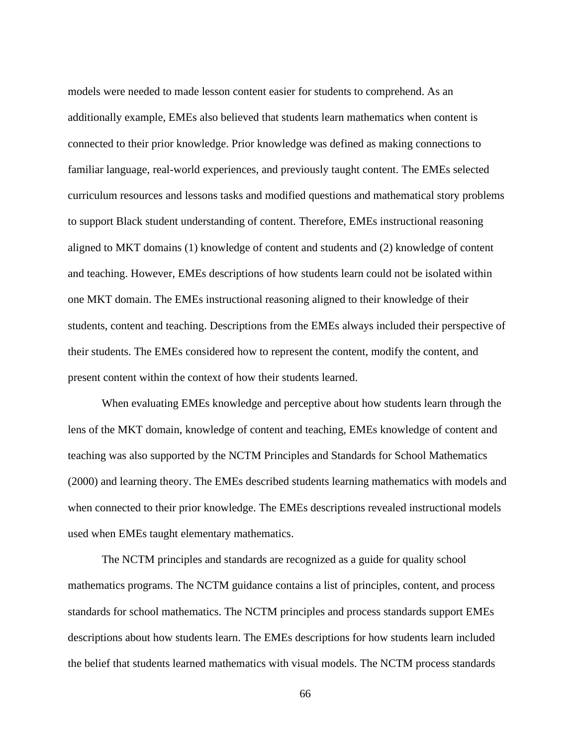models were needed to made lesson content easier for students to comprehend. As an additionally example, EMEs also believed that students learn mathematics when content is connected to their prior knowledge. Prior knowledge was defined as making connections to familiar language, real-world experiences, and previously taught content. The EMEs selected curriculum resources and lessons tasks and modified questions and mathematical story problems to support Black student understanding of content. Therefore, EMEs instructional reasoning aligned to MKT domains (1) knowledge of content and students and (2) knowledge of content and teaching. However, EMEs descriptions of how students learn could not be isolated within one MKT domain. The EMEs instructional reasoning aligned to their knowledge of their students, content and teaching. Descriptions from the EMEs always included their perspective of their students. The EMEs considered how to represent the content, modify the content, and present content within the context of how their students learned.

When evaluating EMEs knowledge and perceptive about how students learn through the lens of the MKT domain, knowledge of content and teaching, EMEs knowledge of content and teaching was also supported by the NCTM Principles and Standards for School Mathematics (2000) and learning theory. The EMEs described students learning mathematics with models and when connected to their prior knowledge. The EMEs descriptions revealed instructional models used when EMEs taught elementary mathematics.

The NCTM principles and standards are recognized as a guide for quality school mathematics programs. The NCTM guidance contains a list of principles, content, and process standards for school mathematics. The NCTM principles and process standards support EMEs descriptions about how students learn. The EMEs descriptions for how students learn included the belief that students learned mathematics with visual models. The NCTM process standards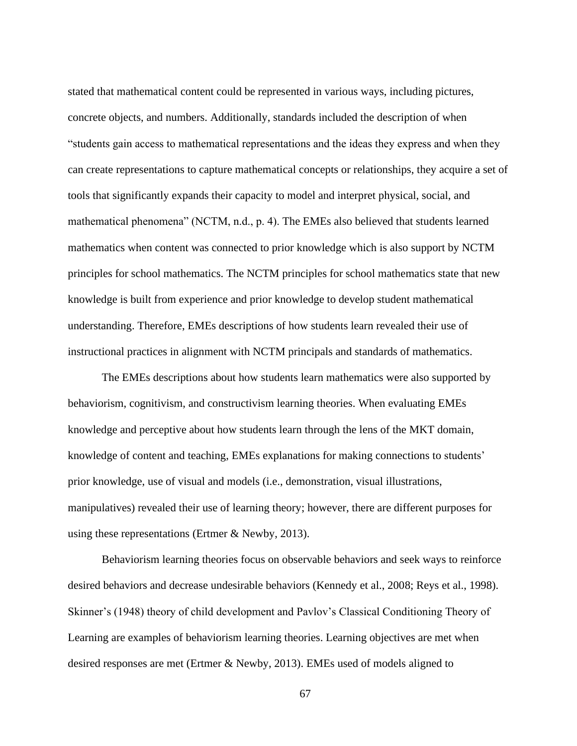stated that mathematical content could be represented in various ways, including pictures, concrete objects, and numbers. Additionally, standards included the description of when "students gain access to mathematical representations and the ideas they express and when they can create representations to capture mathematical concepts or relationships, they acquire a set of tools that significantly expands their capacity to model and interpret physical, social, and mathematical phenomena" (NCTM, n.d., p. 4). The EMEs also believed that students learned mathematics when content was connected to prior knowledge which is also support by NCTM principles for school mathematics. The NCTM principles for school mathematics state that new knowledge is built from experience and prior knowledge to develop student mathematical understanding. Therefore, EMEs descriptions of how students learn revealed their use of instructional practices in alignment with NCTM principals and standards of mathematics.

The EMEs descriptions about how students learn mathematics were also supported by behaviorism, cognitivism, and constructivism learning theories. When evaluating EMEs knowledge and perceptive about how students learn through the lens of the MKT domain, knowledge of content and teaching, EMEs explanations for making connections to students' prior knowledge, use of visual and models (i.e., demonstration, visual illustrations, manipulatives) revealed their use of learning theory; however, there are different purposes for using these representations (Ertmer & Newby, 2013).

Behaviorism learning theories focus on observable behaviors and seek ways to reinforce desired behaviors and decrease undesirable behaviors (Kennedy et al., 2008; Reys et al., 1998). Skinner's (1948) theory of child development and Pavlov's Classical Conditioning Theory of Learning are examples of behaviorism learning theories. Learning objectives are met when desired responses are met (Ertmer & Newby, 2013). EMEs used of models aligned to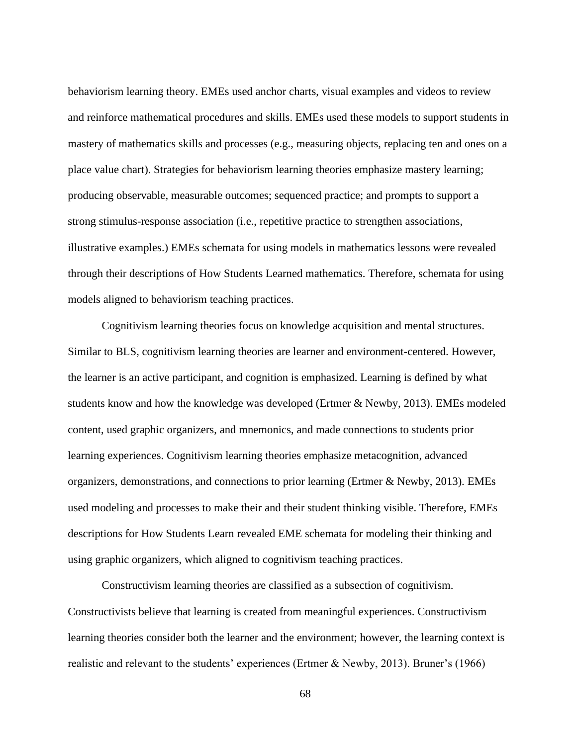behaviorism learning theory. EMEs used anchor charts, visual examples and videos to review and reinforce mathematical procedures and skills. EMEs used these models to support students in mastery of mathematics skills and processes (e.g., measuring objects, replacing ten and ones on a place value chart). Strategies for behaviorism learning theories emphasize mastery learning; producing observable, measurable outcomes; sequenced practice; and prompts to support a strong stimulus-response association (i.e., repetitive practice to strengthen associations, illustrative examples.) EMEs schemata for using models in mathematics lessons were revealed through their descriptions of How Students Learned mathematics. Therefore, schemata for using models aligned to behaviorism teaching practices.

Cognitivism learning theories focus on knowledge acquisition and mental structures. Similar to BLS, cognitivism learning theories are learner and environment-centered. However, the learner is an active participant, and cognition is emphasized. Learning is defined by what students know and how the knowledge was developed (Ertmer & Newby, 2013). EMEs modeled content, used graphic organizers, and mnemonics, and made connections to students prior learning experiences. Cognitivism learning theories emphasize metacognition, advanced organizers, demonstrations, and connections to prior learning (Ertmer & Newby, 2013). EMEs used modeling and processes to make their and their student thinking visible. Therefore, EMEs descriptions for How Students Learn revealed EME schemata for modeling their thinking and using graphic organizers, which aligned to cognitivism teaching practices.

Constructivism learning theories are classified as a subsection of cognitivism. Constructivists believe that learning is created from meaningful experiences. Constructivism learning theories consider both the learner and the environment; however, the learning context is realistic and relevant to the students' experiences (Ertmer & Newby, 2013). Bruner's (1966)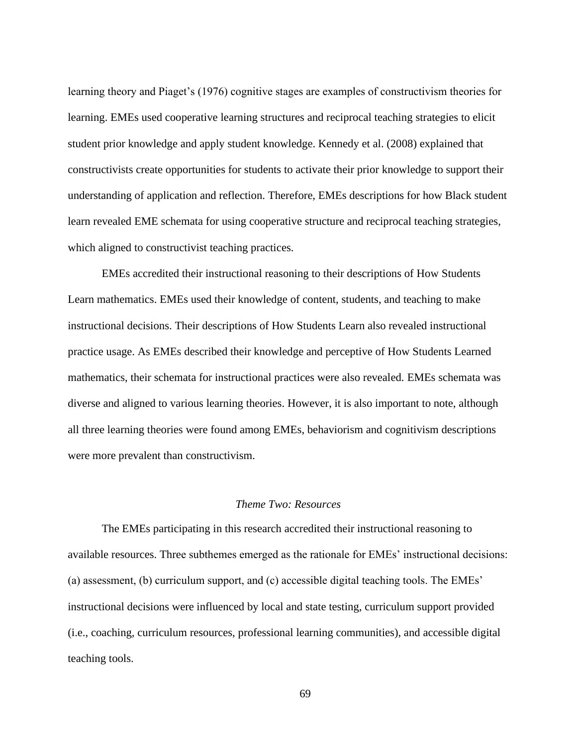learning theory and Piaget's (1976) cognitive stages are examples of constructivism theories for learning. EMEs used cooperative learning structures and reciprocal teaching strategies to elicit student prior knowledge and apply student knowledge. Kennedy et al. (2008) explained that constructivists create opportunities for students to activate their prior knowledge to support their understanding of application and reflection. Therefore, EMEs descriptions for how Black student learn revealed EME schemata for using cooperative structure and reciprocal teaching strategies, which aligned to constructivist teaching practices.

EMEs accredited their instructional reasoning to their descriptions of How Students Learn mathematics. EMEs used their knowledge of content, students, and teaching to make instructional decisions. Their descriptions of How Students Learn also revealed instructional practice usage. As EMEs described their knowledge and perceptive of How Students Learned mathematics, their schemata for instructional practices were also revealed. EMEs schemata was diverse and aligned to various learning theories. However, it is also important to note, although all three learning theories were found among EMEs, behaviorism and cognitivism descriptions were more prevalent than constructivism.

### *Theme Two: Resources*

The EMEs participating in this research accredited their instructional reasoning to available resources. Three subthemes emerged as the rationale for EMEs' instructional decisions: (a) assessment, (b) curriculum support, and (c) accessible digital teaching tools. The EMEs' instructional decisions were influenced by local and state testing, curriculum support provided (i.e., coaching, curriculum resources, professional learning communities), and accessible digital teaching tools.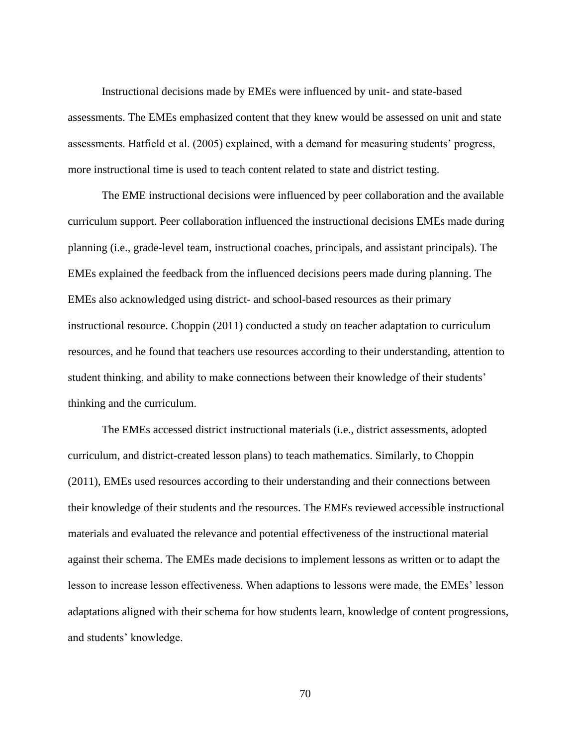Instructional decisions made by EMEs were influenced by unit- and state-based assessments. The EMEs emphasized content that they knew would be assessed on unit and state assessments. Hatfield et al. (2005) explained, with a demand for measuring students' progress, more instructional time is used to teach content related to state and district testing.

The EME instructional decisions were influenced by peer collaboration and the available curriculum support. Peer collaboration influenced the instructional decisions EMEs made during planning (i.e., grade-level team, instructional coaches, principals, and assistant principals). The EMEs explained the feedback from the influenced decisions peers made during planning. The EMEs also acknowledged using district- and school-based resources as their primary instructional resource. Choppin (2011) conducted a study on teacher adaptation to curriculum resources, and he found that teachers use resources according to their understanding, attention to student thinking, and ability to make connections between their knowledge of their students' thinking and the curriculum.

The EMEs accessed district instructional materials (i.e., district assessments, adopted curriculum, and district-created lesson plans) to teach mathematics. Similarly, to Choppin (2011), EMEs used resources according to their understanding and their connections between their knowledge of their students and the resources. The EMEs reviewed accessible instructional materials and evaluated the relevance and potential effectiveness of the instructional material against their schema. The EMEs made decisions to implement lessons as written or to adapt the lesson to increase lesson effectiveness. When adaptions to lessons were made, the EMEs' lesson adaptations aligned with their schema for how students learn, knowledge of content progressions, and students' knowledge.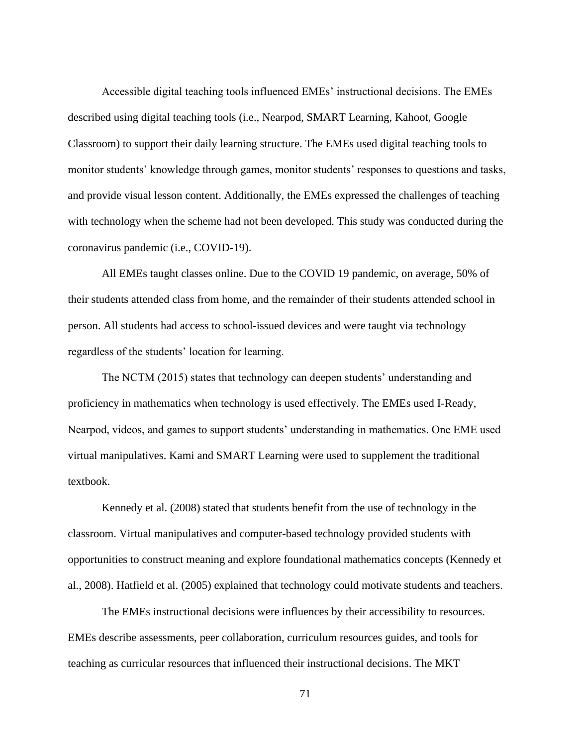Accessible digital teaching tools influenced EMEs' instructional decisions. The EMEs described using digital teaching tools (i.e., Nearpod, SMART Learning, Kahoot, Google Classroom) to support their daily learning structure. The EMEs used digital teaching tools to monitor students' knowledge through games, monitor students' responses to questions and tasks, and provide visual lesson content. Additionally, the EMEs expressed the challenges of teaching with technology when the scheme had not been developed. This study was conducted during the coronavirus pandemic (i.e., COVID-19).

All EMEs taught classes online. Due to the COVID 19 pandemic, on average, 50% of their students attended class from home, and the remainder of their students attended school in person. All students had access to school-issued devices and were taught via technology regardless of the students' location for learning.

The NCTM (2015) states that technology can deepen students' understanding and proficiency in mathematics when technology is used effectively. The EMEs used I-Ready, Nearpod, videos, and games to support students' understanding in mathematics. One EME used virtual manipulatives. Kami and SMART Learning were used to supplement the traditional textbook.

Kennedy et al. (2008) stated that students benefit from the use of technology in the classroom. Virtual manipulatives and computer-based technology provided students with opportunities to construct meaning and explore foundational mathematics concepts (Kennedy et al., 2008). Hatfield et al. (2005) explained that technology could motivate students and teachers.

The EMEs instructional decisions were influences by their accessibility to resources. EMEs describe assessments, peer collaboration, curriculum resources guides, and tools for teaching as curricular resources that influenced their instructional decisions. The MKT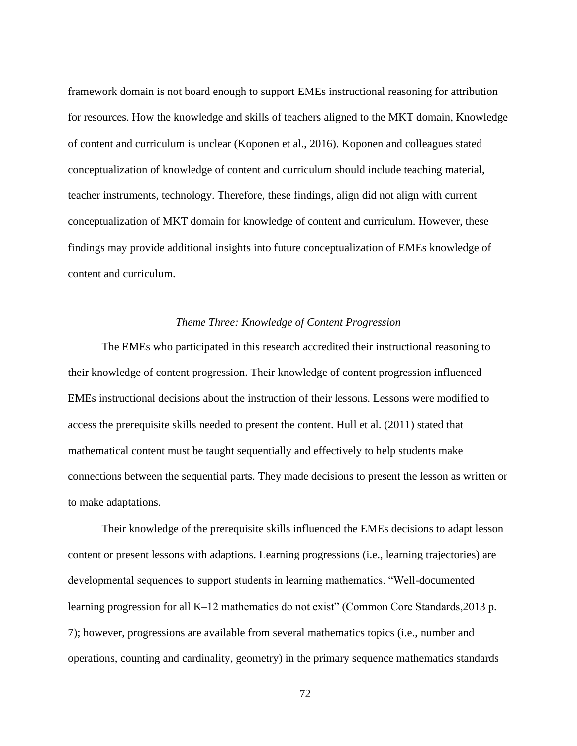framework domain is not board enough to support EMEs instructional reasoning for attribution for resources. How the knowledge and skills of teachers aligned to the MKT domain, Knowledge of content and curriculum is unclear (Koponen et al., 2016). Koponen and colleagues stated conceptualization of knowledge of content and curriculum should include teaching material, teacher instruments, technology. Therefore, these findings, align did not align with current conceptualization of MKT domain for knowledge of content and curriculum. However, these findings may provide additional insights into future conceptualization of EMEs knowledge of content and curriculum.

## *Theme Three: Knowledge of Content Progression*

The EMEs who participated in this research accredited their instructional reasoning to their knowledge of content progression. Their knowledge of content progression influenced EMEs instructional decisions about the instruction of their lessons. Lessons were modified to access the prerequisite skills needed to present the content. Hull et al. (2011) stated that mathematical content must be taught sequentially and effectively to help students make connections between the sequential parts. They made decisions to present the lesson as written or to make adaptations.

Their knowledge of the prerequisite skills influenced the EMEs decisions to adapt lesson content or present lessons with adaptions. Learning progressions (i.e., learning trajectories) are developmental sequences to support students in learning mathematics. "Well-documented learning progression for all K–12 mathematics do not exist" (Common Core Standards, 2013 p. 7); however, progressions are available from several mathematics topics (i.e., number and operations, counting and cardinality, geometry) in the primary sequence mathematics standards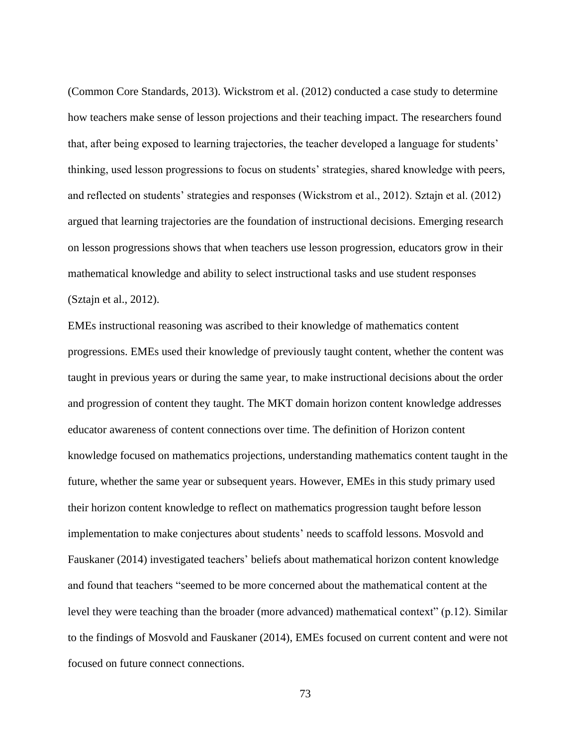(Common Core Standards, 2013). Wickstrom et al. (2012) conducted a case study to determine how teachers make sense of lesson projections and their teaching impact. The researchers found that, after being exposed to learning trajectories, the teacher developed a language for students' thinking, used lesson progressions to focus on students' strategies, shared knowledge with peers, and reflected on students' strategies and responses (Wickstrom et al., 2012). Sztajn et al. (2012) argued that learning trajectories are the foundation of instructional decisions. Emerging research on lesson progressions shows that when teachers use lesson progression, educators grow in their mathematical knowledge and ability to select instructional tasks and use student responses (Sztajn et al., 2012).

EMEs instructional reasoning was ascribed to their knowledge of mathematics content progressions. EMEs used their knowledge of previously taught content, whether the content was taught in previous years or during the same year, to make instructional decisions about the order and progression of content they taught. The MKT domain horizon content knowledge addresses educator awareness of content connections over time. The definition of Horizon content knowledge focused on mathematics projections, understanding mathematics content taught in the future, whether the same year or subsequent years. However, EMEs in this study primary used their horizon content knowledge to reflect on mathematics progression taught before lesson implementation to make conjectures about students' needs to scaffold lessons. Mosvold and Fauskaner (2014) investigated teachers' beliefs about mathematical horizon content knowledge and found that teachers "seemed to be more concerned about the mathematical content at the level they were teaching than the broader (more advanced) mathematical context" (p.12). Similar to the findings of Mosvold and Fauskaner (2014), EMEs focused on current content and were not focused on future connect connections.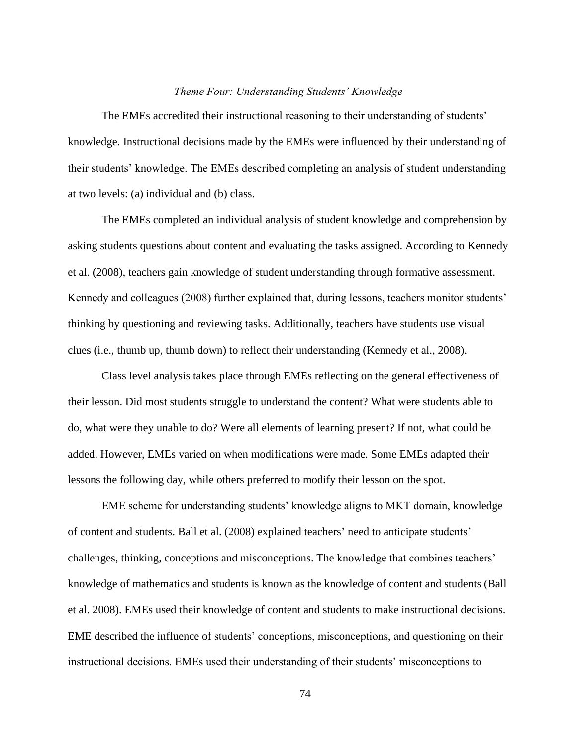#### *Theme Four: Understanding Students' Knowledge*

The EMEs accredited their instructional reasoning to their understanding of students' knowledge. Instructional decisions made by the EMEs were influenced by their understanding of their students' knowledge. The EMEs described completing an analysis of student understanding at two levels: (a) individual and (b) class.

The EMEs completed an individual analysis of student knowledge and comprehension by asking students questions about content and evaluating the tasks assigned. According to Kennedy et al. (2008), teachers gain knowledge of student understanding through formative assessment. Kennedy and colleagues (2008) further explained that, during lessons, teachers monitor students' thinking by questioning and reviewing tasks. Additionally, teachers have students use visual clues (i.e., thumb up, thumb down) to reflect their understanding (Kennedy et al., 2008).

Class level analysis takes place through EMEs reflecting on the general effectiveness of their lesson. Did most students struggle to understand the content? What were students able to do, what were they unable to do? Were all elements of learning present? If not, what could be added. However, EMEs varied on when modifications were made. Some EMEs adapted their lessons the following day, while others preferred to modify their lesson on the spot.

EME scheme for understanding students' knowledge aligns to MKT domain, knowledge of content and students. Ball et al. (2008) explained teachers' need to anticipate students' challenges, thinking, conceptions and misconceptions. The knowledge that combines teachers' knowledge of mathematics and students is known as the knowledge of content and students (Ball et al. 2008). EMEs used their knowledge of content and students to make instructional decisions. EME described the influence of students' conceptions, misconceptions, and questioning on their instructional decisions. EMEs used their understanding of their students' misconceptions to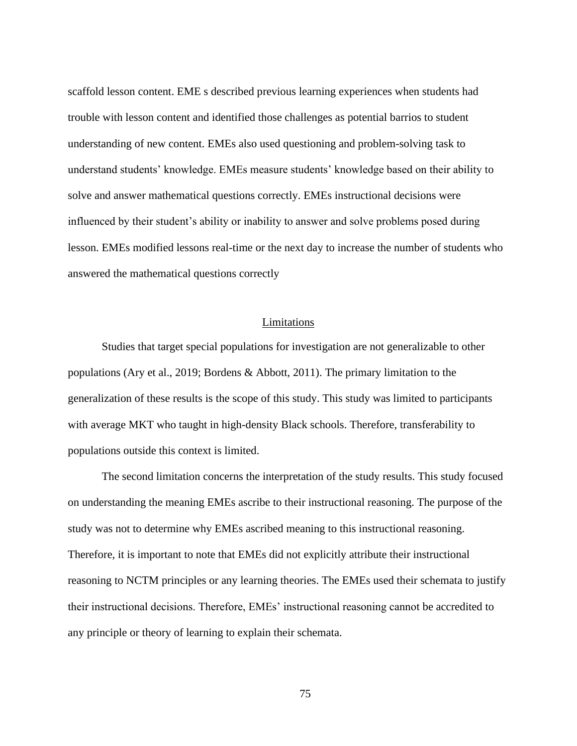scaffold lesson content. EME s described previous learning experiences when students had trouble with lesson content and identified those challenges as potential barrios to student understanding of new content. EMEs also used questioning and problem-solving task to understand students' knowledge. EMEs measure students' knowledge based on their ability to solve and answer mathematical questions correctly. EMEs instructional decisions were influenced by their student's ability or inability to answer and solve problems posed during lesson. EMEs modified lessons real-time or the next day to increase the number of students who answered the mathematical questions correctly

#### Limitations

Studies that target special populations for investigation are not generalizable to other populations (Ary et al., 2019; Bordens & Abbott, 2011). The primary limitation to the generalization of these results is the scope of this study. This study was limited to participants with average MKT who taught in high-density Black schools. Therefore, transferability to populations outside this context is limited.

The second limitation concerns the interpretation of the study results. This study focused on understanding the meaning EMEs ascribe to their instructional reasoning. The purpose of the study was not to determine why EMEs ascribed meaning to this instructional reasoning. Therefore, it is important to note that EMEs did not explicitly attribute their instructional reasoning to NCTM principles or any learning theories. The EMEs used their schemata to justify their instructional decisions. Therefore, EMEs' instructional reasoning cannot be accredited to any principle or theory of learning to explain their schemata.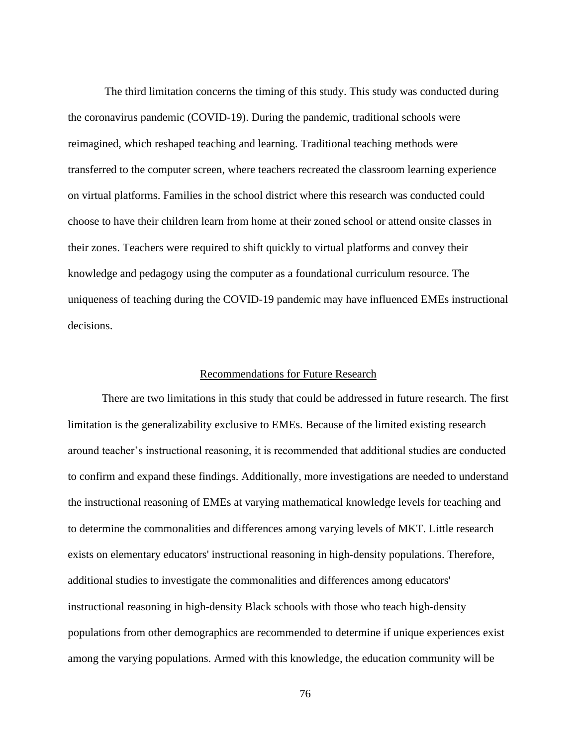The third limitation concerns the timing of this study. This study was conducted during the coronavirus pandemic (COVID-19). During the pandemic, traditional schools were reimagined, which reshaped teaching and learning. Traditional teaching methods were transferred to the computer screen, where teachers recreated the classroom learning experience on virtual platforms. Families in the school district where this research was conducted could choose to have their children learn from home at their zoned school or attend onsite classes in their zones. Teachers were required to shift quickly to virtual platforms and convey their knowledge and pedagogy using the computer as a foundational curriculum resource. The uniqueness of teaching during the COVID-19 pandemic may have influenced EMEs instructional decisions.

#### Recommendations for Future Research

There are two limitations in this study that could be addressed in future research. The first limitation is the generalizability exclusive to EMEs. Because of the limited existing research around teacher's instructional reasoning, it is recommended that additional studies are conducted to confirm and expand these findings. Additionally, more investigations are needed to understand the instructional reasoning of EMEs at varying mathematical knowledge levels for teaching and to determine the commonalities and differences among varying levels of MKT. Little research exists on elementary educators' instructional reasoning in high-density populations. Therefore, additional studies to investigate the commonalities and differences among educators' instructional reasoning in high-density Black schools with those who teach high-density populations from other demographics are recommended to determine if unique experiences exist among the varying populations. Armed with this knowledge, the education community will be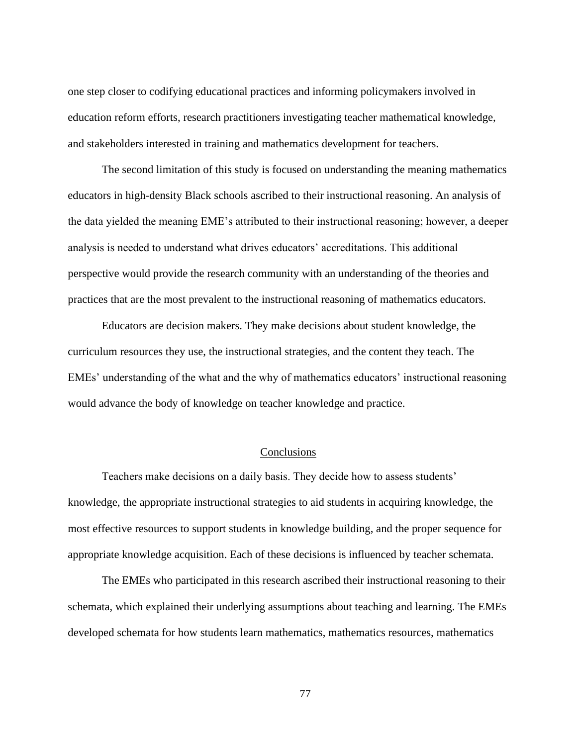one step closer to codifying educational practices and informing policymakers involved in education reform efforts, research practitioners investigating teacher mathematical knowledge, and stakeholders interested in training and mathematics development for teachers.

The second limitation of this study is focused on understanding the meaning mathematics educators in high-density Black schools ascribed to their instructional reasoning. An analysis of the data yielded the meaning EME's attributed to their instructional reasoning; however, a deeper analysis is needed to understand what drives educators' accreditations. This additional perspective would provide the research community with an understanding of the theories and practices that are the most prevalent to the instructional reasoning of mathematics educators.

Educators are decision makers. They make decisions about student knowledge, the curriculum resources they use, the instructional strategies, and the content they teach. The EMEs' understanding of the what and the why of mathematics educators' instructional reasoning would advance the body of knowledge on teacher knowledge and practice.

#### **Conclusions**

Teachers make decisions on a daily basis. They decide how to assess students' knowledge, the appropriate instructional strategies to aid students in acquiring knowledge, the most effective resources to support students in knowledge building, and the proper sequence for appropriate knowledge acquisition. Each of these decisions is influenced by teacher schemata.

The EMEs who participated in this research ascribed their instructional reasoning to their schemata, which explained their underlying assumptions about teaching and learning. The EMEs developed schemata for how students learn mathematics, mathematics resources, mathematics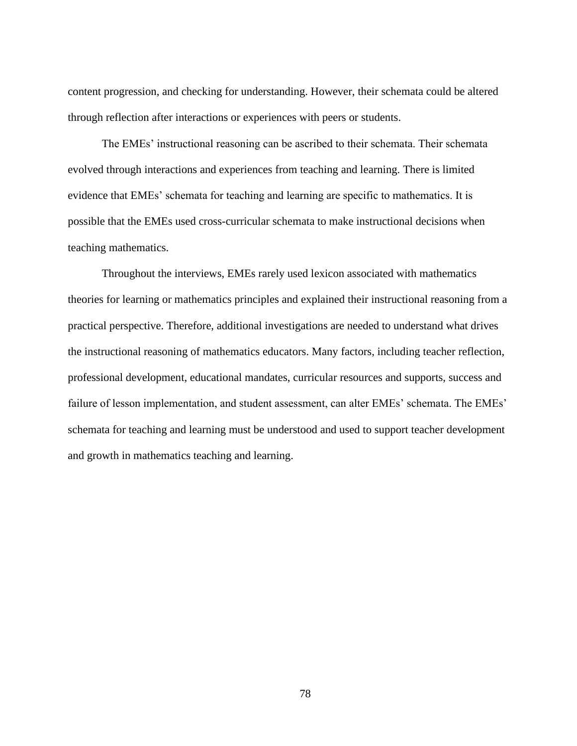content progression, and checking for understanding. However, their schemata could be altered through reflection after interactions or experiences with peers or students.

The EMEs' instructional reasoning can be ascribed to their schemata. Their schemata evolved through interactions and experiences from teaching and learning. There is limited evidence that EMEs' schemata for teaching and learning are specific to mathematics. It is possible that the EMEs used cross-curricular schemata to make instructional decisions when teaching mathematics.

Throughout the interviews, EMEs rarely used lexicon associated with mathematics theories for learning or mathematics principles and explained their instructional reasoning from a practical perspective. Therefore, additional investigations are needed to understand what drives the instructional reasoning of mathematics educators. Many factors, including teacher reflection, professional development, educational mandates, curricular resources and supports, success and failure of lesson implementation, and student assessment, can alter EMEs' schemata. The EMEs' schemata for teaching and learning must be understood and used to support teacher development and growth in mathematics teaching and learning.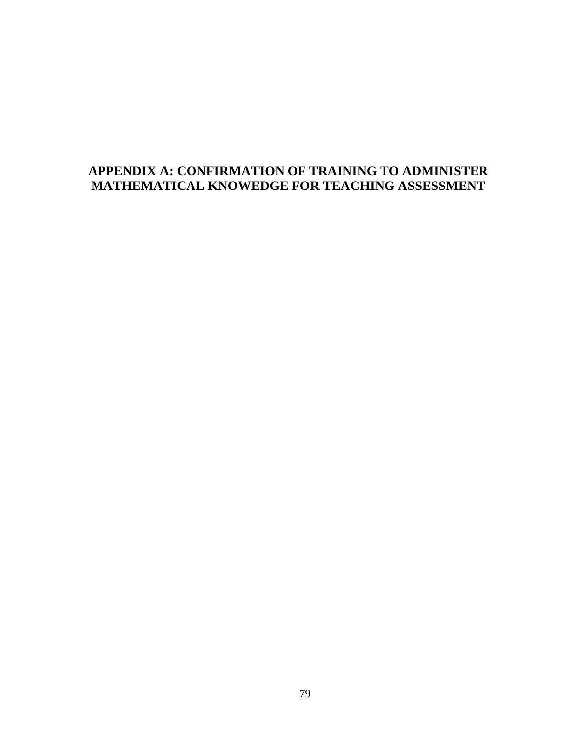## **APPENDIX A: CONFIRMATION OF TRAINING TO ADMINISTER MATHEMATICAL KNOWEDGE FOR TEACHING ASSESSMENT**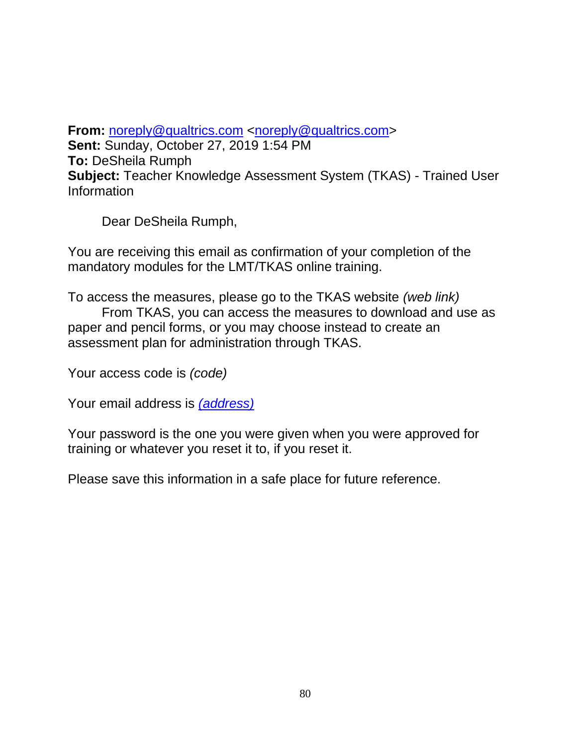**From:** [noreply@qualtrics.com](mailto:noreply@qualtrics.com) [<noreply@qualtrics.com>](mailto:noreply@qualtrics.com) **Sent:** Sunday, October 27, 2019 1:54 PM **To:** DeSheila Rumph **Subject:** Teacher Knowledge Assessment System (TKAS) - Trained User Information

Dear DeSheila Rumph,

You are receiving this email as confirmation of your completion of the mandatory modules for the LMT/TKAS online training.

To access the measures, please go to the TKAS website *(web link)* From TKAS, you can access the measures to download and use as paper and pencil forms, or you may choose instead to create an assessment plan for administration through TKAS.

Your access code is *(code)*

Your email address is *(address)*

Your password is the one you were given when you were approved for training or whatever you reset it to, if you reset it.

Please save this information in a safe place for future reference.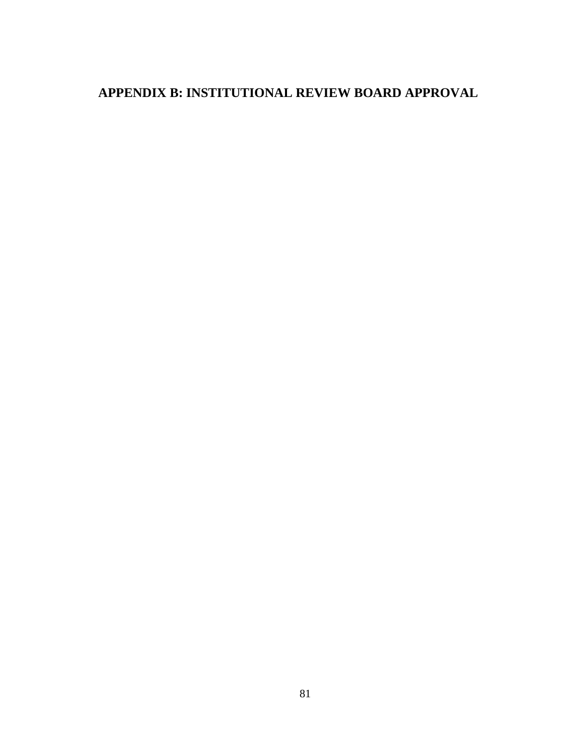# **APPENDIX B: INSTITUTIONAL REVIEW BOARD APPROVAL**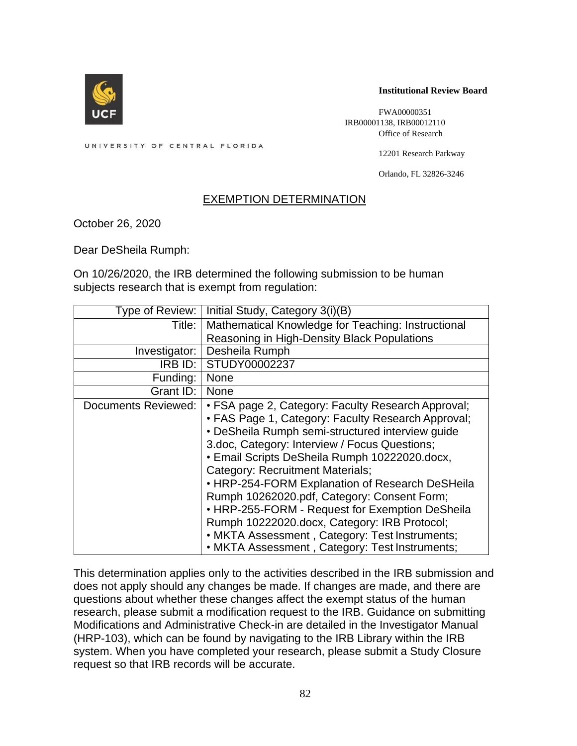

#### **Institutional Review Board**

FWA00000351 IRB00001138, IRB00012110 Office of Research

UNIVERSITY OF CENTRAL FLORIDA

12201 Research Parkway

Orlando, FL 32826-3246

### EXEMPTION DETERMINATION

October 26, 2020

Dear DeSheila Rumph:

On 10/26/2020, the IRB determined the following submission to be human subjects research that is exempt from regulation:

| Type of Review:     | Initial Study, Category 3(i)(B)                                                                                                                                                                                                                                                                                                                                                                                                                                                                                                                                                                             |
|---------------------|-------------------------------------------------------------------------------------------------------------------------------------------------------------------------------------------------------------------------------------------------------------------------------------------------------------------------------------------------------------------------------------------------------------------------------------------------------------------------------------------------------------------------------------------------------------------------------------------------------------|
| Title:              | Mathematical Knowledge for Teaching: Instructional                                                                                                                                                                                                                                                                                                                                                                                                                                                                                                                                                          |
|                     | Reasoning in High-Density Black Populations                                                                                                                                                                                                                                                                                                                                                                                                                                                                                                                                                                 |
| Investigator:       | Desheila Rumph                                                                                                                                                                                                                                                                                                                                                                                                                                                                                                                                                                                              |
| $IRB$ $ID:$         | STUDY00002237                                                                                                                                                                                                                                                                                                                                                                                                                                                                                                                                                                                               |
| Funding:            | <b>None</b>                                                                                                                                                                                                                                                                                                                                                                                                                                                                                                                                                                                                 |
| Grant ID:           | <b>None</b>                                                                                                                                                                                                                                                                                                                                                                                                                                                                                                                                                                                                 |
| Documents Reviewed: | • FSA page 2, Category: Faculty Research Approval;<br>• FAS Page 1, Category: Faculty Research Approval;<br>• DeSheila Rumph semi-structured interview guide<br>3.doc, Category: Interview / Focus Questions;<br>• Email Scripts DeSheila Rumph 10222020.docx,<br>Category: Recruitment Materials;<br>• HRP-254-FORM Explanation of Research DeSHeila<br>Rumph 10262020.pdf, Category: Consent Form;<br>• HRP-255-FORM - Request for Exemption DeSheila<br>Rumph 10222020.docx, Category: IRB Protocol;<br>• MKTA Assessment, Category: Test Instruments;<br>• MKTA Assessment, Category: Test Instruments; |

This determination applies only to the activities described in the IRB submission and does not apply should any changes be made. If changes are made, and there are questions about whether these changes affect the exempt status of the human research, please submit a modification request to the IRB. Guidance on submitting Modifications and Administrative Check-in are detailed in the Investigator Manual (HRP-103), which can be found by navigating to the IRB Library within the IRB system. When you have completed your research, please submit a Study Closure request so that IRB records will be accurate.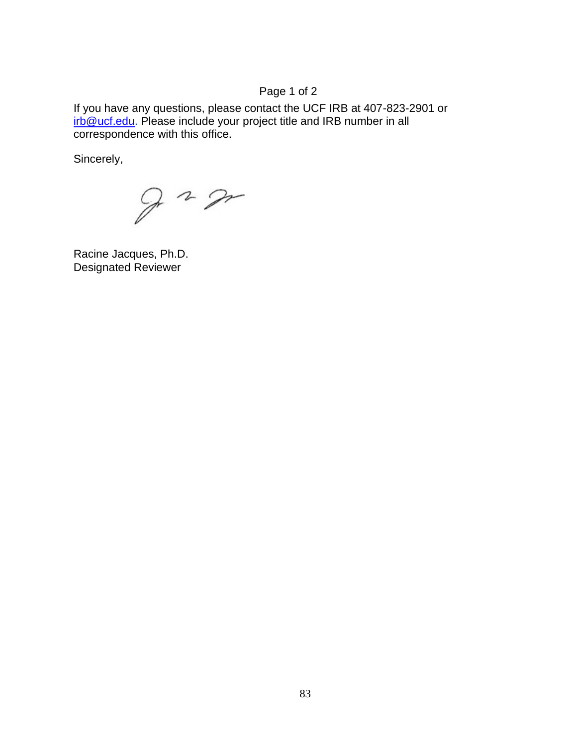## Page 1 of 2

If you have any questions, please contact the UCF IRB at 407-823-2901 or [irb@ucf.edu.](mailto:irb@ucf.edu) Please include your project title and IRB number in all correspondence with this office.

Sincerely,

 $9 - 2$ 

Racine Jacques, Ph.D. Designated Reviewer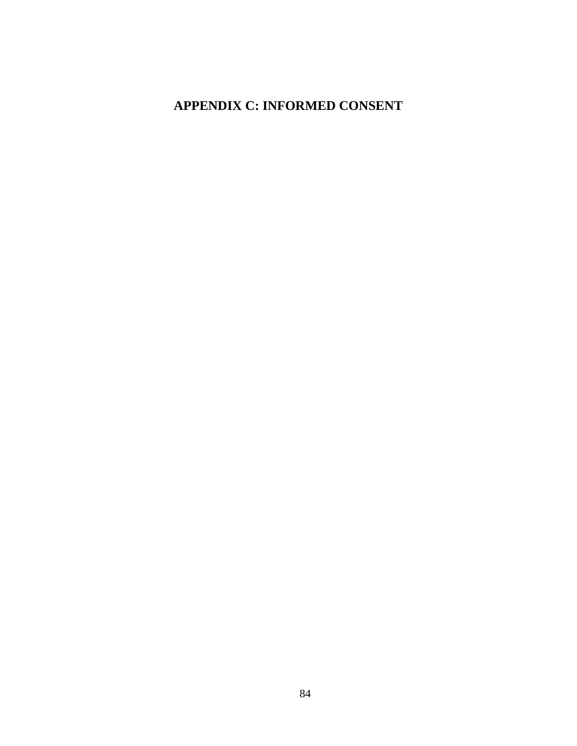## **APPENDIX C: INFORMED CONSENT**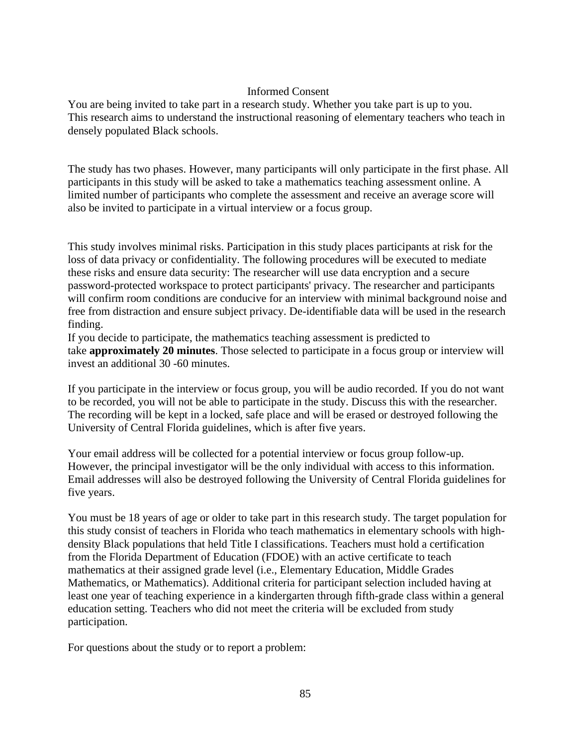## Informed Consent

You are being invited to take part in a research study. Whether you take part is up to you. This research aims to understand the instructional reasoning of elementary teachers who teach in densely populated Black schools.

The study has two phases. However, many participants will only participate in the first phase. All participants in this study will be asked to take a mathematics teaching assessment online. A limited number of participants who complete the assessment and receive an average score will also be invited to participate in a virtual interview or a focus group.

This study involves minimal risks. Participation in this study places participants at risk for the loss of data privacy or confidentiality. The following procedures will be executed to mediate these risks and ensure data security: The researcher will use data encryption and a secure password-protected workspace to protect participants' privacy. The researcher and participants will confirm room conditions are conducive for an interview with minimal background noise and free from distraction and ensure subject privacy. De-identifiable data will be used in the research finding.

If you decide to participate, the mathematics teaching assessment is predicted to take **approximately 20 minutes**. Those selected to participate in a focus group or interview will invest an additional 30 -60 minutes.

If you participate in the interview or focus group, you will be audio recorded. If you do not want to be recorded, you will not be able to participate in the study. Discuss this with the researcher. The recording will be kept in a locked, safe place and will be erased or destroyed following the University of Central Florida guidelines, which is after five years.

Your email address will be collected for a potential interview or focus group follow-up. However, the principal investigator will be the only individual with access to this information. Email addresses will also be destroyed following the University of Central Florida guidelines for five years.

You must be 18 years of age or older to take part in this research study. The target population for this study consist of teachers in Florida who teach mathematics in elementary schools with highdensity Black populations that held Title I classifications. Teachers must hold a certification from the Florida Department of Education (FDOE) with an active certificate to teach mathematics at their assigned grade level (i.e., Elementary Education, Middle Grades Mathematics, or Mathematics). Additional criteria for participant selection included having at least one year of teaching experience in a kindergarten through fifth-grade class within a general education setting. Teachers who did not meet the criteria will be excluded from study participation.

For questions about the study or to report a problem: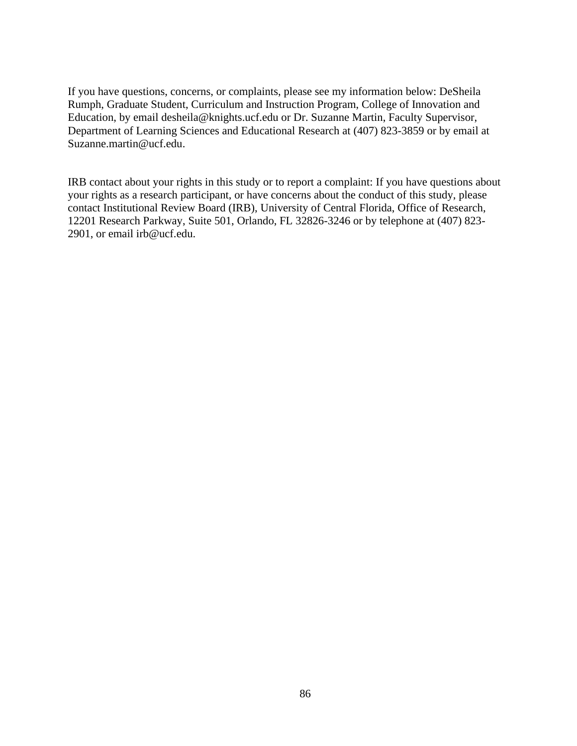If you have questions, concerns, or complaints, please see my information below: DeSheila Rumph, Graduate Student, Curriculum and Instruction Program, College of Innovation and Education, by email desheila@knights.ucf.edu or Dr. Suzanne Martin, Faculty Supervisor, Department of Learning Sciences and Educational Research at (407) 823-3859 or by email at Suzanne.martin@ucf.edu.

IRB contact about your rights in this study or to report a complaint: If you have questions about your rights as a research participant, or have concerns about the conduct of this study, please contact Institutional Review Board (IRB), University of Central Florida, Office of Research, 12201 Research Parkway, Suite 501, Orlando, FL 32826-3246 or by telephone at (407) 823- 2901, or email irb@ucf.edu.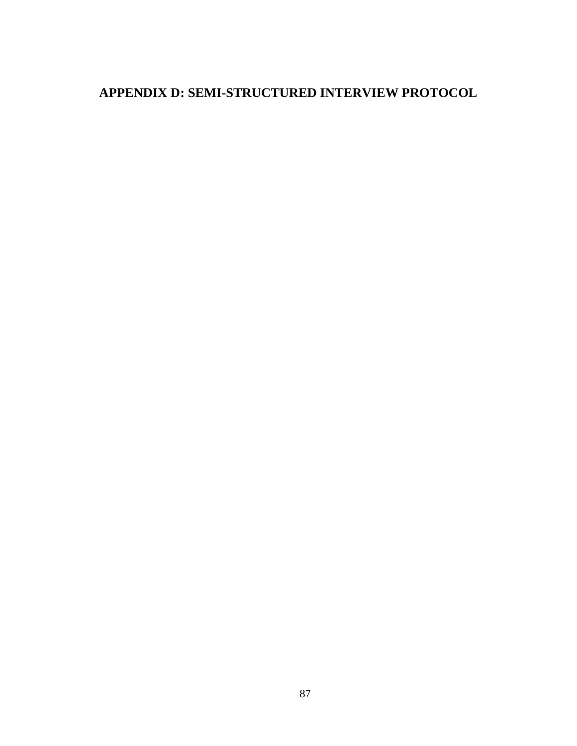## **APPENDIX D: SEMI-STRUCTURED INTERVIEW PROTOCOL**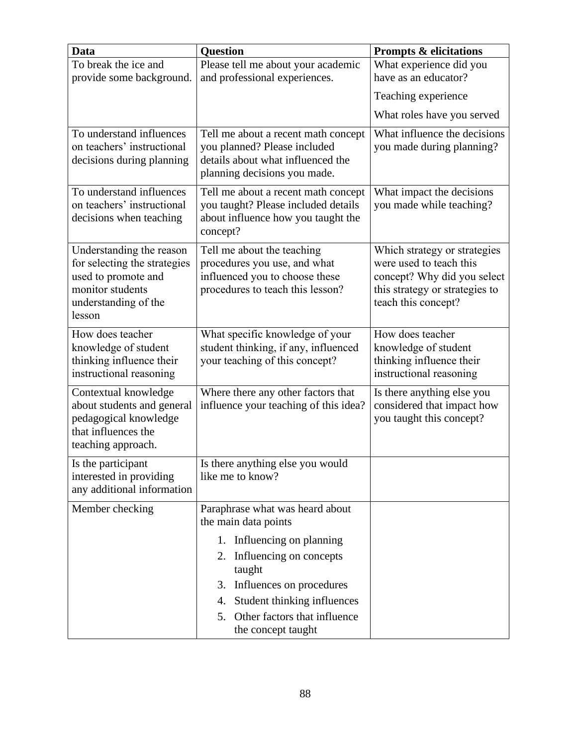| <b>Data</b>                                           | <b>Question</b>                                                   | <b>Prompts &amp; elicitations</b>                       |
|-------------------------------------------------------|-------------------------------------------------------------------|---------------------------------------------------------|
| To break the ice and                                  | Please tell me about your academic                                | What experience did you                                 |
| provide some background.                              | and professional experiences.                                     | have as an educator?                                    |
|                                                       |                                                                   | Teaching experience                                     |
|                                                       |                                                                   | What roles have you served                              |
| To understand influences                              | Tell me about a recent math concept                               | What influence the decisions                            |
| on teachers' instructional                            | you planned? Please included<br>details about what influenced the | you made during planning?                               |
| decisions during planning                             | planning decisions you made.                                      |                                                         |
| To understand influences                              | Tell me about a recent math concept                               | What impact the decisions                               |
| on teachers' instructional                            | you taught? Please included details                               | you made while teaching?                                |
| decisions when teaching                               | about influence how you taught the                                |                                                         |
|                                                       | concept?                                                          |                                                         |
| Understanding the reason                              | Tell me about the teaching                                        | Which strategy or strategies<br>were used to teach this |
| for selecting the strategies<br>used to promote and   | procedures you use, and what<br>influenced you to choose these    | concept? Why did you select                             |
| monitor students                                      | procedures to teach this lesson?                                  | this strategy or strategies to                          |
| understanding of the                                  |                                                                   | teach this concept?                                     |
| lesson                                                |                                                                   |                                                         |
| How does teacher                                      | What specific knowledge of your                                   | How does teacher                                        |
| knowledge of student                                  | student thinking, if any, influenced                              | knowledge of student                                    |
| thinking influence their<br>instructional reasoning   | your teaching of this concept?                                    | thinking influence their<br>instructional reasoning     |
| Contextual knowledge                                  | Where there any other factors that                                | Is there anything else you                              |
| about students and general                            | influence your teaching of this idea?                             | considered that impact how                              |
| pedagogical knowledge                                 |                                                                   | you taught this concept?                                |
| that influences the                                   |                                                                   |                                                         |
| teaching approach.                                    |                                                                   |                                                         |
| Is the participant                                    | Is there anything else you would                                  |                                                         |
| interested in providing<br>any additional information | like me to know?                                                  |                                                         |
|                                                       |                                                                   |                                                         |
| Member checking                                       | Paraphrase what was heard about<br>the main data points           |                                                         |
|                                                       | 1. Influencing on planning                                        |                                                         |
|                                                       | 2. Influencing on concepts                                        |                                                         |
|                                                       | taught                                                            |                                                         |
|                                                       | Influences on procedures<br>3.                                    |                                                         |
|                                                       | Student thinking influences<br>4.                                 |                                                         |
|                                                       | Other factors that influence<br>5.                                |                                                         |
|                                                       | the concept taught                                                |                                                         |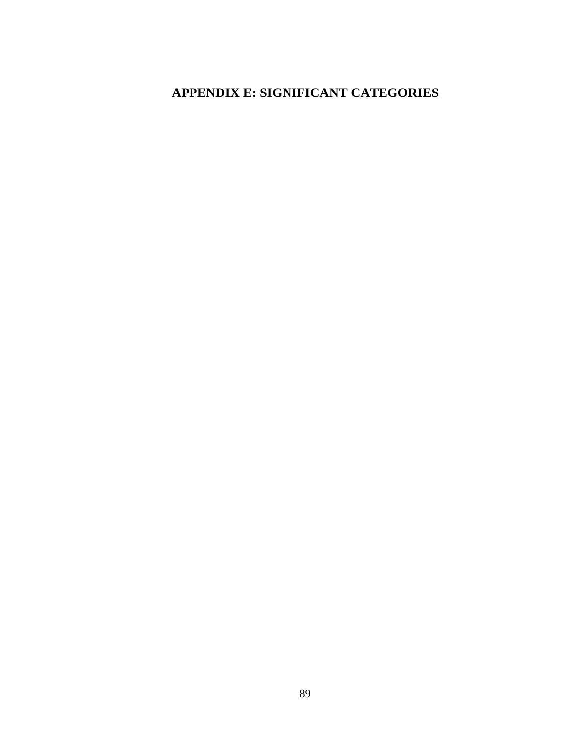## **APPENDIX E: SIGNIFICANT CATEGORIES**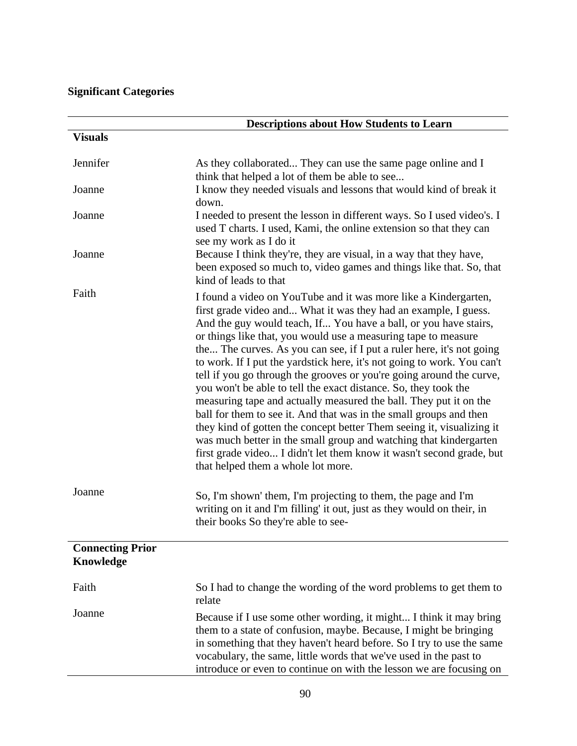## **Significant Categories**

|                                      | <b>Descriptions about How Students to Learn</b>                                                                                                                                                                                                                                                                                                                                                                                                                                                                                                                                                                                                                                                                                                                                                                                                                                                                                                                                |
|--------------------------------------|--------------------------------------------------------------------------------------------------------------------------------------------------------------------------------------------------------------------------------------------------------------------------------------------------------------------------------------------------------------------------------------------------------------------------------------------------------------------------------------------------------------------------------------------------------------------------------------------------------------------------------------------------------------------------------------------------------------------------------------------------------------------------------------------------------------------------------------------------------------------------------------------------------------------------------------------------------------------------------|
| <b>Visuals</b>                       |                                                                                                                                                                                                                                                                                                                                                                                                                                                                                                                                                                                                                                                                                                                                                                                                                                                                                                                                                                                |
| Jennifer                             | As they collaborated They can use the same page online and I<br>think that helped a lot of them be able to see                                                                                                                                                                                                                                                                                                                                                                                                                                                                                                                                                                                                                                                                                                                                                                                                                                                                 |
| Joanne                               | I know they needed visuals and lessons that would kind of break it<br>down.                                                                                                                                                                                                                                                                                                                                                                                                                                                                                                                                                                                                                                                                                                                                                                                                                                                                                                    |
| Joanne                               | I needed to present the lesson in different ways. So I used video's. I<br>used T charts. I used, Kami, the online extension so that they can<br>see my work as I do it                                                                                                                                                                                                                                                                                                                                                                                                                                                                                                                                                                                                                                                                                                                                                                                                         |
| Joanne                               | Because I think they're, they are visual, in a way that they have,<br>been exposed so much to, video games and things like that. So, that<br>kind of leads to that                                                                                                                                                                                                                                                                                                                                                                                                                                                                                                                                                                                                                                                                                                                                                                                                             |
| Faith                                | I found a video on YouTube and it was more like a Kindergarten,<br>first grade video and What it was they had an example, I guess.<br>And the guy would teach, If You have a ball, or you have stairs,<br>or things like that, you would use a measuring tape to measure<br>the The curves. As you can see, if I put a ruler here, it's not going<br>to work. If I put the yardstick here, it's not going to work. You can't<br>tell if you go through the grooves or you're going around the curve,<br>you won't be able to tell the exact distance. So, they took the<br>measuring tape and actually measured the ball. They put it on the<br>ball for them to see it. And that was in the small groups and then<br>they kind of gotten the concept better Them seeing it, visualizing it<br>was much better in the small group and watching that kindergarten<br>first grade video I didn't let them know it wasn't second grade, but<br>that helped them a whole lot more. |
| Joanne                               | So, I'm shown' them, I'm projecting to them, the page and I'm<br>writing on it and I'm filling' it out, just as they would on their, in<br>their books So they're able to see-                                                                                                                                                                                                                                                                                                                                                                                                                                                                                                                                                                                                                                                                                                                                                                                                 |
| <b>Connecting Prior</b><br>Knowledge |                                                                                                                                                                                                                                                                                                                                                                                                                                                                                                                                                                                                                                                                                                                                                                                                                                                                                                                                                                                |
| Faith                                | So I had to change the wording of the word problems to get them to<br>relate                                                                                                                                                                                                                                                                                                                                                                                                                                                                                                                                                                                                                                                                                                                                                                                                                                                                                                   |
| Joanne                               | Because if I use some other wording, it might I think it may bring<br>them to a state of confusion, maybe. Because, I might be bringing<br>in something that they haven't heard before. So I try to use the same<br>vocabulary, the same, little words that we've used in the past to<br>introduce or even to continue on with the lesson we are focusing on                                                                                                                                                                                                                                                                                                                                                                                                                                                                                                                                                                                                                   |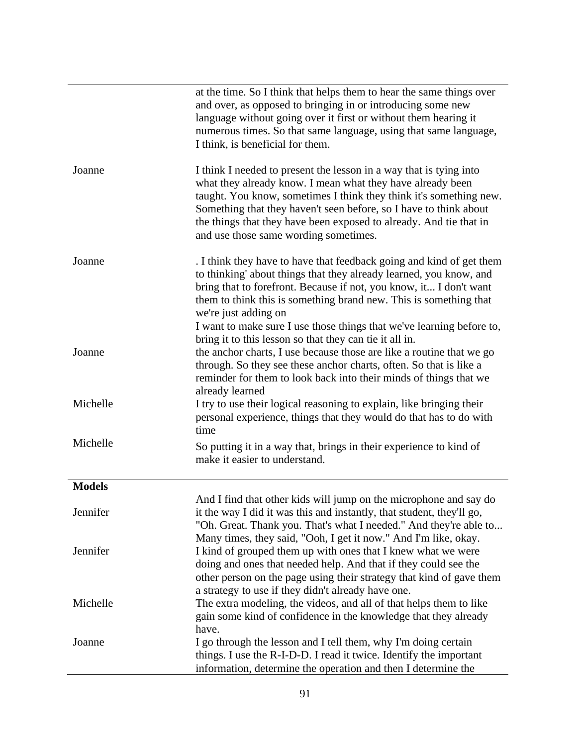|               | at the time. So I think that helps them to hear the same things over<br>and over, as opposed to bringing in or introducing some new<br>language without going over it first or without them hearing it<br>numerous times. So that same language, using that same language,<br>I think, is beneficial for them.                                                                             |
|---------------|--------------------------------------------------------------------------------------------------------------------------------------------------------------------------------------------------------------------------------------------------------------------------------------------------------------------------------------------------------------------------------------------|
| Joanne        | I think I needed to present the lesson in a way that is tying into<br>what they already know. I mean what they have already been<br>taught. You know, sometimes I think they think it's something new.<br>Something that they haven't seen before, so I have to think about<br>the things that they have been exposed to already. And tie that in<br>and use those same wording sometimes. |
| Joanne        | . I think they have to have that feedback going and kind of get them<br>to thinking' about things that they already learned, you know, and<br>bring that to forefront. Because if not, you know, it I don't want<br>them to think this is something brand new. This is something that<br>we're just adding on                                                                              |
| Joanne        | I want to make sure I use those things that we've learning before to,<br>bring it to this lesson so that they can tie it all in.<br>the anchor charts, I use because those are like a routine that we go                                                                                                                                                                                   |
|               | through. So they see these anchor charts, often. So that is like a<br>reminder for them to look back into their minds of things that we<br>already learned                                                                                                                                                                                                                                 |
| Michelle      | I try to use their logical reasoning to explain, like bringing their<br>personal experience, things that they would do that has to do with<br>time                                                                                                                                                                                                                                         |
| Michelle      | So putting it in a way that, brings in their experience to kind of<br>make it easier to understand.                                                                                                                                                                                                                                                                                        |
| <b>Models</b> |                                                                                                                                                                                                                                                                                                                                                                                            |
| Jennifer      | And I find that other kids will jump on the microphone and say do<br>it the way I did it was this and instantly, that student, they'll go,<br>"Oh. Great. Thank you. That's what I needed." And they're able to                                                                                                                                                                            |
| Jennifer      | Many times, they said, "Ooh, I get it now." And I'm like, okay.<br>I kind of grouped them up with ones that I knew what we were<br>doing and ones that needed help. And that if they could see the<br>other person on the page using their strategy that kind of gave them                                                                                                                 |
| Michelle      | a strategy to use if they didn't already have one.<br>The extra modeling, the videos, and all of that helps them to like<br>gain some kind of confidence in the knowledge that they already                                                                                                                                                                                                |
| Joanne        | have.<br>I go through the lesson and I tell them, why I'm doing certain<br>things. I use the R-I-D-D. I read it twice. Identify the important<br>information, determine the operation and then I determine the                                                                                                                                                                             |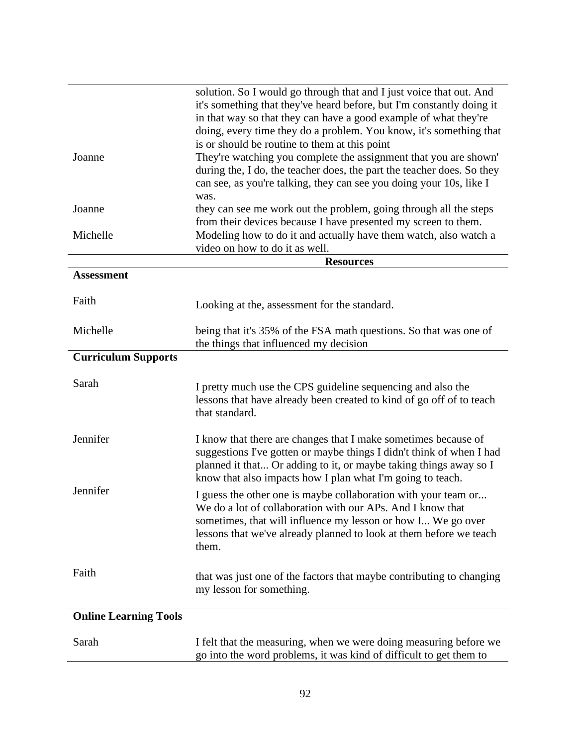|                              | solution. So I would go through that and I just voice that out. And<br>it's something that they've heard before, but I'm constantly doing it<br>in that way so that they can have a good example of what they're<br>doing, every time they do a problem. You know, it's something that |
|------------------------------|----------------------------------------------------------------------------------------------------------------------------------------------------------------------------------------------------------------------------------------------------------------------------------------|
| Joanne                       | is or should be routine to them at this point<br>They're watching you complete the assignment that you are shown'<br>during the, I do, the teacher does, the part the teacher does. So they<br>can see, as you're talking, they can see you doing your 10s, like I<br>was.             |
| Joanne                       | they can see me work out the problem, going through all the steps<br>from their devices because I have presented my screen to them.                                                                                                                                                    |
| Michelle                     | Modeling how to do it and actually have them watch, also watch a<br>video on how to do it as well.                                                                                                                                                                                     |
|                              | <b>Resources</b>                                                                                                                                                                                                                                                                       |
| <b>Assessment</b>            |                                                                                                                                                                                                                                                                                        |
| Faith                        | Looking at the, assessment for the standard.                                                                                                                                                                                                                                           |
| Michelle                     | being that it's 35% of the FSA math questions. So that was one of<br>the things that influenced my decision                                                                                                                                                                            |
| <b>Curriculum Supports</b>   |                                                                                                                                                                                                                                                                                        |
| Sarah                        | I pretty much use the CPS guideline sequencing and also the<br>lessons that have already been created to kind of go off of to teach<br>that standard.                                                                                                                                  |
| Jennifer                     | I know that there are changes that I make sometimes because of<br>suggestions I've gotten or maybe things I didn't think of when I had<br>planned it that Or adding to it, or maybe taking things away so I<br>know that also impacts how I plan what I'm going to teach.              |
| Jennifer                     | I guess the other one is maybe collaboration with your team or<br>We do a lot of collaboration with our APs. And I know that<br>sometimes, that will influence my lesson or how I We go over<br>lessons that we've already planned to look at them before we teach<br>them.            |
| Faith                        | that was just one of the factors that maybe contributing to changing<br>my lesson for something.                                                                                                                                                                                       |
| <b>Online Learning Tools</b> |                                                                                                                                                                                                                                                                                        |
| Sarah                        | I felt that the measuring, when we were doing measuring before we<br>go into the word problems, it was kind of difficult to get them to                                                                                                                                                |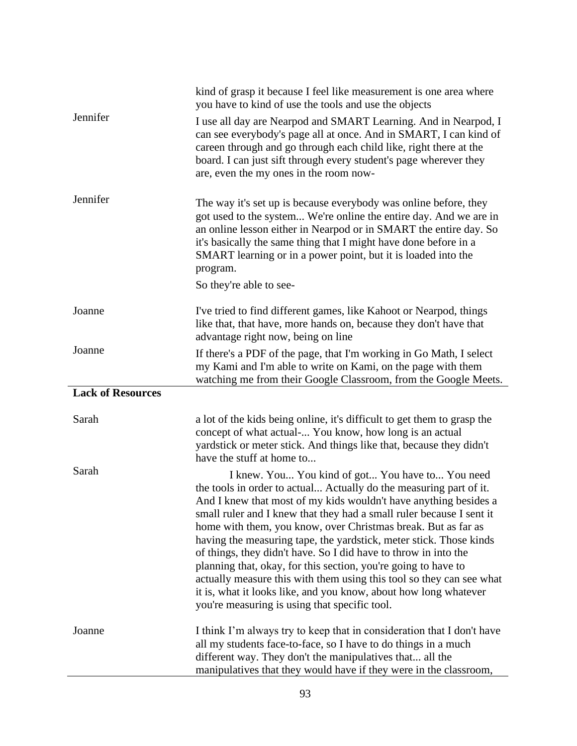|                          | kind of grasp it because I feel like measurement is one area where<br>you have to kind of use the tools and use the objects                                                                                                                                                                                                                                                                                                                                                                                                                                                                                                                                                                                                                 |
|--------------------------|---------------------------------------------------------------------------------------------------------------------------------------------------------------------------------------------------------------------------------------------------------------------------------------------------------------------------------------------------------------------------------------------------------------------------------------------------------------------------------------------------------------------------------------------------------------------------------------------------------------------------------------------------------------------------------------------------------------------------------------------|
| Jennifer                 | I use all day are Nearpod and SMART Learning. And in Nearpod, I<br>can see everybody's page all at once. And in SMART, I can kind of<br>careen through and go through each child like, right there at the<br>board. I can just sift through every student's page wherever they<br>are, even the my ones in the room now-                                                                                                                                                                                                                                                                                                                                                                                                                    |
| Jennifer                 | The way it's set up is because everybody was online before, they<br>got used to the system We're online the entire day. And we are in<br>an online lesson either in Nearpod or in SMART the entire day. So<br>it's basically the same thing that I might have done before in a<br>SMART learning or in a power point, but it is loaded into the<br>program.<br>So they're able to see-                                                                                                                                                                                                                                                                                                                                                      |
|                          |                                                                                                                                                                                                                                                                                                                                                                                                                                                                                                                                                                                                                                                                                                                                             |
| Joanne                   | I've tried to find different games, like Kahoot or Nearpod, things<br>like that, that have, more hands on, because they don't have that<br>advantage right now, being on line                                                                                                                                                                                                                                                                                                                                                                                                                                                                                                                                                               |
| Joanne                   | If there's a PDF of the page, that I'm working in Go Math, I select<br>my Kami and I'm able to write on Kami, on the page with them<br>watching me from their Google Classroom, from the Google Meets.                                                                                                                                                                                                                                                                                                                                                                                                                                                                                                                                      |
| <b>Lack of Resources</b> |                                                                                                                                                                                                                                                                                                                                                                                                                                                                                                                                                                                                                                                                                                                                             |
| Sarah                    | a lot of the kids being online, it's difficult to get them to grasp the<br>concept of what actual- You know, how long is an actual<br>yardstick or meter stick. And things like that, because they didn't<br>have the stuff at home to                                                                                                                                                                                                                                                                                                                                                                                                                                                                                                      |
| Sarah                    | I knew. You You kind of got You have to You need<br>the tools in order to actual Actually do the measuring part of it.<br>And I knew that most of my kids wouldn't have anything besides a<br>small ruler and I knew that they had a small ruler because I sent it<br>home with them, you know, over Christmas break. But as far as<br>having the measuring tape, the yardstick, meter stick. Those kinds<br>of things, they didn't have. So I did have to throw in into the<br>planning that, okay, for this section, you're going to have to<br>actually measure this with them using this tool so they can see what<br>it is, what it looks like, and you know, about how long whatever<br>you're measuring is using that specific tool. |
| Joanne                   | I think I'm always try to keep that in consideration that I don't have<br>all my students face-to-face, so I have to do things in a much<br>different way. They don't the manipulatives that all the<br>manipulatives that they would have if they were in the classroom,                                                                                                                                                                                                                                                                                                                                                                                                                                                                   |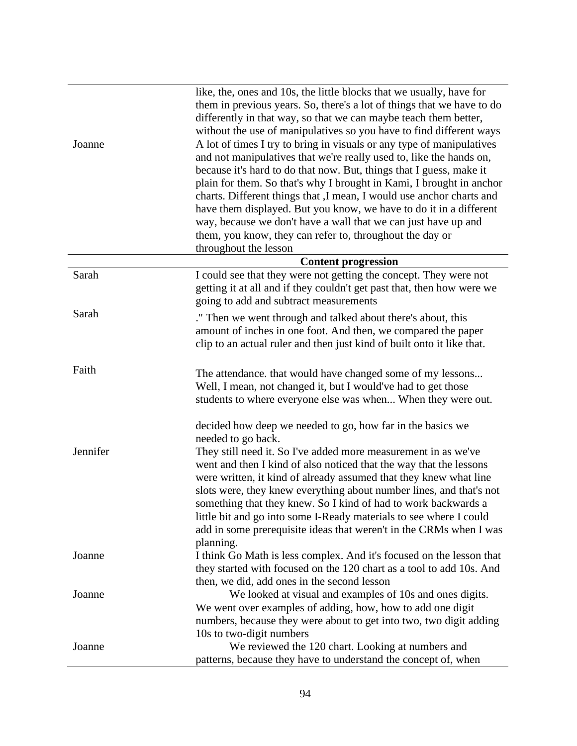| Joanne   | like, the, ones and 10s, the little blocks that we usually, have for<br>them in previous years. So, there's a lot of things that we have to do<br>differently in that way, so that we can maybe teach them better,<br>without the use of manipulatives so you have to find different ways<br>A lot of times I try to bring in visuals or any type of manipulatives<br>and not manipulatives that we're really used to, like the hands on,<br>because it's hard to do that now. But, things that I guess, make it<br>plain for them. So that's why I brought in Kami, I brought in anchor<br>charts. Different things that ,I mean, I would use anchor charts and<br>have them displayed. But you know, we have to do it in a different<br>way, because we don't have a wall that we can just have up and<br>them, you know, they can refer to, throughout the day or<br>throughout the lesson |
|----------|-----------------------------------------------------------------------------------------------------------------------------------------------------------------------------------------------------------------------------------------------------------------------------------------------------------------------------------------------------------------------------------------------------------------------------------------------------------------------------------------------------------------------------------------------------------------------------------------------------------------------------------------------------------------------------------------------------------------------------------------------------------------------------------------------------------------------------------------------------------------------------------------------|
|          | <b>Content progression</b>                                                                                                                                                                                                                                                                                                                                                                                                                                                                                                                                                                                                                                                                                                                                                                                                                                                                    |
| Sarah    | I could see that they were not getting the concept. They were not<br>getting it at all and if they couldn't get past that, then how were we<br>going to add and subtract measurements                                                                                                                                                                                                                                                                                                                                                                                                                                                                                                                                                                                                                                                                                                         |
| Sarah    | ." Then we went through and talked about there's about, this<br>amount of inches in one foot. And then, we compared the paper<br>clip to an actual ruler and then just kind of built onto it like that.                                                                                                                                                                                                                                                                                                                                                                                                                                                                                                                                                                                                                                                                                       |
| Faith    | The attendance, that would have changed some of my lessons<br>Well, I mean, not changed it, but I would've had to get those<br>students to where everyone else was when When they were out.<br>decided how deep we needed to go, how far in the basics we                                                                                                                                                                                                                                                                                                                                                                                                                                                                                                                                                                                                                                     |
| Jennifer | needed to go back.<br>They still need it. So I've added more measurement in as we've<br>went and then I kind of also noticed that the way that the lessons<br>were written, it kind of already assumed that they knew what line<br>slots were, they knew everything about number lines, and that's not<br>something that they knew. So I kind of had to work backwards a<br>little bit and go into some I-Ready materials to see where I could<br>add in some prerequisite ideas that weren't in the CRMs when I was                                                                                                                                                                                                                                                                                                                                                                          |
| Joanne   | planning.<br>I think Go Math is less complex. And it's focused on the lesson that<br>they started with focused on the 120 chart as a tool to add 10s. And<br>then, we did, add ones in the second lesson                                                                                                                                                                                                                                                                                                                                                                                                                                                                                                                                                                                                                                                                                      |
| Joanne   | We looked at visual and examples of 10s and ones digits.<br>We went over examples of adding, how, how to add one digit<br>numbers, because they were about to get into two, two digit adding                                                                                                                                                                                                                                                                                                                                                                                                                                                                                                                                                                                                                                                                                                  |
| Joanne   | 10s to two-digit numbers<br>We reviewed the 120 chart. Looking at numbers and<br>patterns, because they have to understand the concept of, when                                                                                                                                                                                                                                                                                                                                                                                                                                                                                                                                                                                                                                                                                                                                               |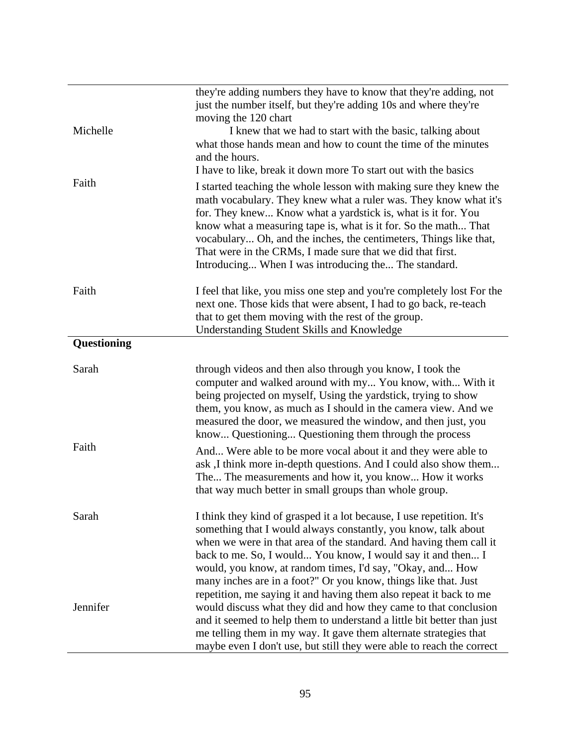|             | they're adding numbers they have to know that they're adding, not                                                                      |
|-------------|----------------------------------------------------------------------------------------------------------------------------------------|
|             | just the number itself, but they're adding 10s and where they're                                                                       |
| Michelle    | moving the 120 chart                                                                                                                   |
|             | I knew that we had to start with the basic, talking about<br>what those hands mean and how to count the time of the minutes            |
|             | and the hours.                                                                                                                         |
|             | I have to like, break it down more To start out with the basics                                                                        |
| Faith       |                                                                                                                                        |
|             | I started teaching the whole lesson with making sure they knew the<br>math vocabulary. They knew what a ruler was. They know what it's |
|             | for. They knew Know what a yardstick is, what is it for. You                                                                           |
|             | know what a measuring tape is, what is it for. So the math That                                                                        |
|             | vocabulary Oh, and the inches, the centimeters, Things like that,                                                                      |
|             | That were in the CRMs, I made sure that we did that first.                                                                             |
|             | Introducing When I was introducing the The standard.                                                                                   |
| Faith       | I feel that like, you miss one step and you're completely lost For the                                                                 |
|             | next one. Those kids that were absent, I had to go back, re-teach                                                                      |
|             | that to get them moving with the rest of the group.                                                                                    |
|             | <b>Understanding Student Skills and Knowledge</b>                                                                                      |
| Questioning |                                                                                                                                        |
|             |                                                                                                                                        |
| Sarah       | through videos and then also through you know, I took the<br>computer and walked around with my You know, with With it                 |
|             | being projected on myself, Using the yardstick, trying to show                                                                         |
|             | them, you know, as much as I should in the camera view. And we                                                                         |
|             | measured the door, we measured the window, and then just, you                                                                          |
|             | know Questioning Questioning them through the process                                                                                  |
| Faith       | And Were able to be more vocal about it and they were able to                                                                          |
|             | ask, I think more in-depth questions. And I could also show them                                                                       |
|             | The The measurements and how it, you know How it works                                                                                 |
|             | that way much better in small groups than whole group.                                                                                 |
| Sarah       | I think they kind of grasped it a lot because, I use repetition. It's                                                                  |
|             | something that I would always constantly, you know, talk about                                                                         |
|             | when we were in that area of the standard. And having them call it                                                                     |
|             | back to me. So, I would You know, I would say it and then I                                                                            |
|             | would, you know, at random times, I'd say, "Okay, and How                                                                              |
|             | many inches are in a foot?" Or you know, things like that. Just                                                                        |
|             | repetition, me saying it and having them also repeat it back to me                                                                     |
| Jennifer    | would discuss what they did and how they came to that conclusion                                                                       |
|             | and it seemed to help them to understand a little bit better than just                                                                 |
|             | me telling them in my way. It gave them alternate strategies that                                                                      |
|             | maybe even I don't use, but still they were able to reach the correct                                                                  |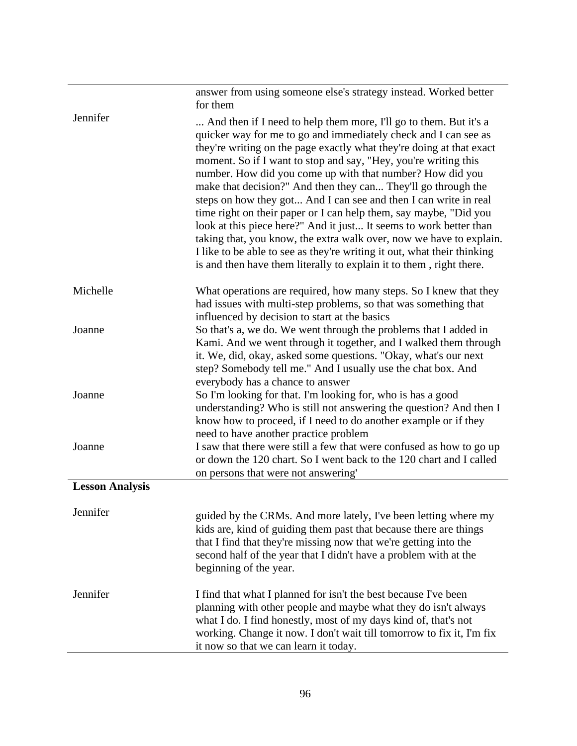|                        | answer from using someone else's strategy instead. Worked better<br>for them                                                                                                                                                                                                                                                                                                                                                                                                                                                                                                                                                                                                                                                                                                                                                                          |
|------------------------|-------------------------------------------------------------------------------------------------------------------------------------------------------------------------------------------------------------------------------------------------------------------------------------------------------------------------------------------------------------------------------------------------------------------------------------------------------------------------------------------------------------------------------------------------------------------------------------------------------------------------------------------------------------------------------------------------------------------------------------------------------------------------------------------------------------------------------------------------------|
| Jennifer               | And then if I need to help them more, I'll go to them. But it's a<br>quicker way for me to go and immediately check and I can see as<br>they're writing on the page exactly what they're doing at that exact<br>moment. So if I want to stop and say, "Hey, you're writing this<br>number. How did you come up with that number? How did you<br>make that decision?" And then they can They'll go through the<br>steps on how they got And I can see and then I can write in real<br>time right on their paper or I can help them, say maybe, "Did you<br>look at this piece here?" And it just It seems to work better than<br>taking that, you know, the extra walk over, now we have to explain.<br>I like to be able to see as they're writing it out, what their thinking<br>is and then have them literally to explain it to them, right there. |
| Michelle               | What operations are required, how many steps. So I knew that they<br>had issues with multi-step problems, so that was something that<br>influenced by decision to start at the basics                                                                                                                                                                                                                                                                                                                                                                                                                                                                                                                                                                                                                                                                 |
| Joanne                 | So that's a, we do. We went through the problems that I added in<br>Kami. And we went through it together, and I walked them through<br>it. We, did, okay, asked some questions. "Okay, what's our next<br>step? Somebody tell me." And I usually use the chat box. And<br>everybody has a chance to answer                                                                                                                                                                                                                                                                                                                                                                                                                                                                                                                                           |
| Joanne                 | So I'm looking for that. I'm looking for, who is has a good<br>understanding? Who is still not answering the question? And then I<br>know how to proceed, if I need to do another example or if they<br>need to have another practice problem                                                                                                                                                                                                                                                                                                                                                                                                                                                                                                                                                                                                         |
| Joanne                 | I saw that there were still a few that were confused as how to go up<br>or down the 120 chart. So I went back to the 120 chart and I called<br>on persons that were not answering'                                                                                                                                                                                                                                                                                                                                                                                                                                                                                                                                                                                                                                                                    |
| <b>Lesson Analysis</b> |                                                                                                                                                                                                                                                                                                                                                                                                                                                                                                                                                                                                                                                                                                                                                                                                                                                       |
| Jennifer               | guided by the CRMs. And more lately, I've been letting where my<br>kids are, kind of guiding them past that because there are things<br>that I find that they're missing now that we're getting into the<br>second half of the year that I didn't have a problem with at the<br>beginning of the year.                                                                                                                                                                                                                                                                                                                                                                                                                                                                                                                                                |
| Jennifer               | I find that what I planned for isn't the best because I've been<br>planning with other people and maybe what they do isn't always<br>what I do. I find honestly, most of my days kind of, that's not<br>working. Change it now. I don't wait till tomorrow to fix it, I'm fix<br>it now so that we can learn it today.                                                                                                                                                                                                                                                                                                                                                                                                                                                                                                                                |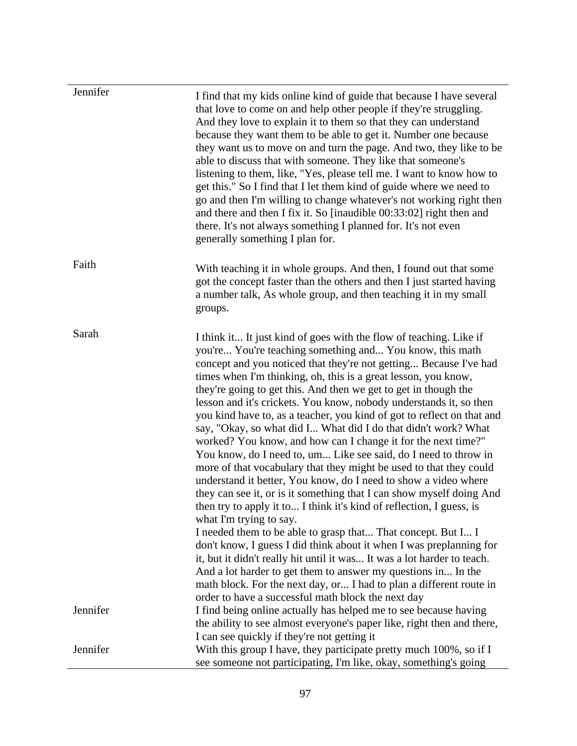| Jennifer | I find that my kids online kind of guide that because I have several<br>that love to come on and help other people if they're struggling.<br>And they love to explain it to them so that they can understand<br>because they want them to be able to get it. Number one because<br>they want us to move on and turn the page. And two, they like to be<br>able to discuss that with someone. They like that someone's<br>listening to them, like, "Yes, please tell me. I want to know how to<br>get this." So I find that I let them kind of guide where we need to<br>go and then I'm willing to change whatever's not working right then<br>and there and then I fix it. So [inaudible 00:33:02] right then and<br>there. It's not always something I planned for. It's not even<br>generally something I plan for.                                                                                                                                                                                                                                                                                                                                                                                                                                                                                                                                                                                                             |
|----------|------------------------------------------------------------------------------------------------------------------------------------------------------------------------------------------------------------------------------------------------------------------------------------------------------------------------------------------------------------------------------------------------------------------------------------------------------------------------------------------------------------------------------------------------------------------------------------------------------------------------------------------------------------------------------------------------------------------------------------------------------------------------------------------------------------------------------------------------------------------------------------------------------------------------------------------------------------------------------------------------------------------------------------------------------------------------------------------------------------------------------------------------------------------------------------------------------------------------------------------------------------------------------------------------------------------------------------------------------------------------------------------------------------------------------------|
| Faith    | With teaching it in whole groups. And then, I found out that some<br>got the concept faster than the others and then I just started having<br>a number talk, As whole group, and then teaching it in my small<br>groups.                                                                                                                                                                                                                                                                                                                                                                                                                                                                                                                                                                                                                                                                                                                                                                                                                                                                                                                                                                                                                                                                                                                                                                                                           |
| Sarah    | I think it It just kind of goes with the flow of teaching. Like if<br>you're You're teaching something and You know, this math<br>concept and you noticed that they're not getting Because I've had<br>times when I'm thinking, oh, this is a great lesson, you know,<br>they're going to get this. And then we get to get in though the<br>lesson and it's crickets. You know, nobody understands it, so then<br>you kind have to, as a teacher, you kind of got to reflect on that and<br>say, "Okay, so what did I What did I do that didn't work? What<br>worked? You know, and how can I change it for the next time?"<br>You know, do I need to, um Like see said, do I need to throw in<br>more of that vocabulary that they might be used to that they could<br>understand it better, You know, do I need to show a video where<br>they can see it, or is it something that I can show myself doing And<br>then try to apply it to I think it's kind of reflection, I guess, is<br>what I'm trying to say.<br>I needed them to be able to grasp that That concept. But I I<br>don't know, I guess I did think about it when I was preplanning for<br>it, but it didn't really hit until it was It was a lot harder to teach.<br>And a lot harder to get them to answer my questions in In the<br>math block. For the next day, or I had to plan a different route in<br>order to have a successful math block the next day |
| Jennifer | I find being online actually has helped me to see because having<br>the ability to see almost everyone's paper like, right then and there,                                                                                                                                                                                                                                                                                                                                                                                                                                                                                                                                                                                                                                                                                                                                                                                                                                                                                                                                                                                                                                                                                                                                                                                                                                                                                         |
| Jennifer | I can see quickly if they're not getting it<br>With this group I have, they participate pretty much 100%, so if I<br>see someone not participating, I'm like, okay, something's going                                                                                                                                                                                                                                                                                                                                                                                                                                                                                                                                                                                                                                                                                                                                                                                                                                                                                                                                                                                                                                                                                                                                                                                                                                              |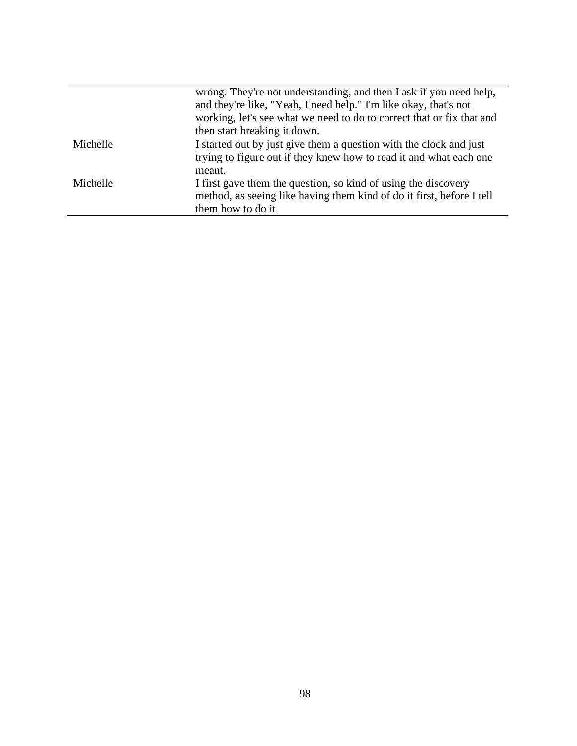|          | wrong. They're not understanding, and then I ask if you need help,<br>and they're like, "Yeah, I need help." I'm like okay, that's not<br>working, let's see what we need to do to correct that or fix that and |
|----------|-----------------------------------------------------------------------------------------------------------------------------------------------------------------------------------------------------------------|
|          | then start breaking it down.                                                                                                                                                                                    |
| Michelle | I started out by just give them a question with the clock and just<br>trying to figure out if they knew how to read it and what each one<br>meant.                                                              |
| Michelle | I first gave them the question, so kind of using the discovery<br>method, as seeing like having them kind of do it first, before I tell<br>them how to do it                                                    |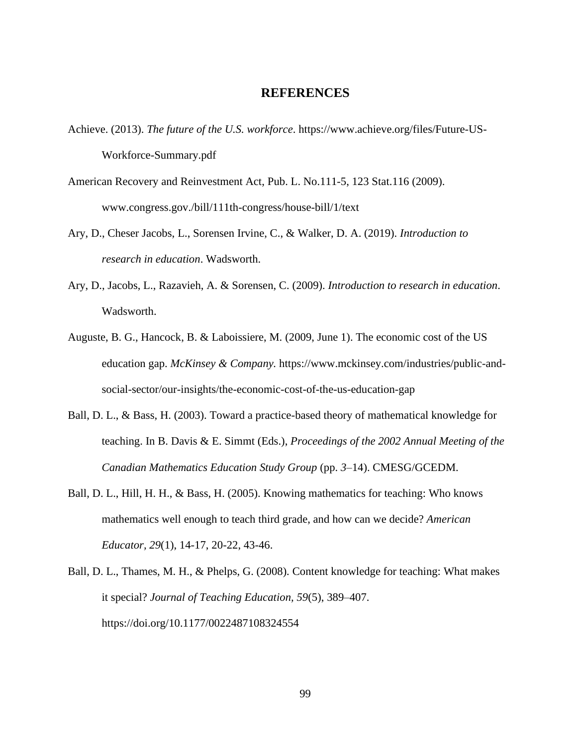## **REFERENCES**

- Achieve. (2013). *The future of the U.S. workforce*. [https://www.achieve.org/files/Future-US-](https://www.achieve.org/files/Future-US-Workforce-Summary.pdf)[Workforce-Summary.pdf](https://www.achieve.org/files/Future-US-Workforce-Summary.pdf)
- American Recovery and Reinvestment Act, Pub. L. No.111-5, 123 Stat.116 (2009). www.congress.gov./bill/111th-congress/house-bill/1/text
- Ary, D., Cheser Jacobs, L., Sorensen Irvine, C., & Walker, D. A. (2019). *Introduction to research in education*. Wadsworth.
- Ary, D., Jacobs, L., Razavieh, A. & Sorensen, C. (2009). *Introduction to research in education*. Wadsworth.
- Auguste, B. G., Hancock, B. & Laboissiere, M. (2009, June 1). The economic cost of the US education gap. *McKinsey & Company.* https://www.mckinsey.com/industries/public-andsocial-sector/our-insights/the-economic-cost-of-the-us-education-gap
- Ball, D. L., & Bass, H. (2003). Toward a practice-based theory of mathematical knowledge for teaching. In B. Davis & E. Simmt (Eds.), *Proceedings of the 2002 Annual Meeting of the Canadian Mathematics Education Study Group* (pp. *3*–14). CMESG/GCEDM.
- Ball, D. L., Hill, H. H., & Bass, H. (2005). Knowing mathematics for teaching: Who knows mathematics well enough to teach third grade, and how can we decide? *American Educator, 29*(1), 14-17, 20-22, 43-46.
- Ball, D. L., Thames, M. H., & Phelps, G. (2008). Content knowledge for teaching: What makes it special? *Journal of Teaching Education, 59*(5), 389–407. [https://doi.org/10.1177/0022487108324554](https://doi.org/10.1177%2F0022487108324554)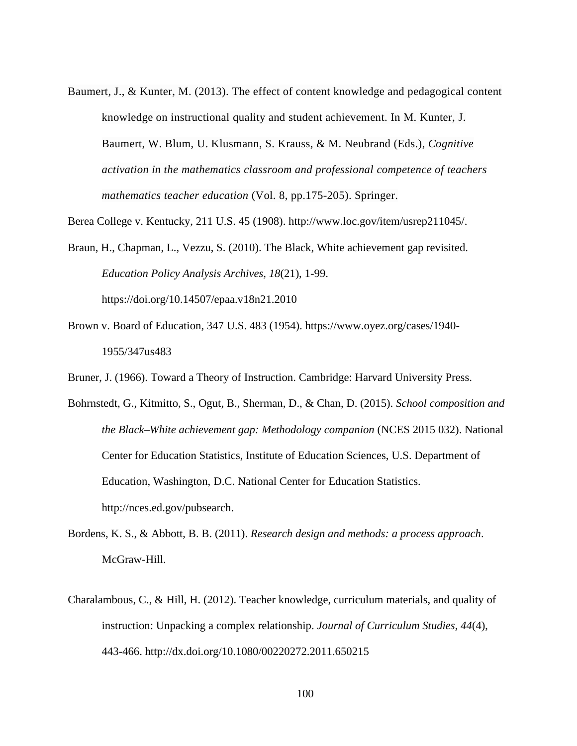Baumert, J., & Kunter, M. (2013). The effect of content knowledge and pedagogical content knowledge on instructional quality and student achievement. In M. Kunter, J. Baumert, W. Blum, U. Klusmann, S. Krauss, & M. Neubrand (Eds.), *Cognitive activation in the mathematics classroom and professional competence of teachers mathematics teacher education* (Vol. 8, pp.175-205). Springer.

Berea College v. Kentucky, 211 U.S. 45 (1908). http://www.loc.gov/item/usrep211045/.

Braun, H., Chapman, L., Vezzu, S. (2010). The Black, White achievement gap revisited. *Education Policy Analysis Archives, 18*(21), 1-99. https://doi.org/10.14507/epaa.v18n21.2010

Brown v. Board of Education, 347 U.S. 483 (1954). https://www.oyez.org/cases/1940- 1955/347us483

Bruner, J. (1966). Toward a Theory of Instruction. Cambridge: Harvard University Press.

- Bohrnstedt, G., Kitmitto, S., Ogut, B., Sherman, D., & Chan, D. (2015). *School composition and the Black–White achievement gap: Methodology companion* (NCES 2015 032). National Center for Education Statistics, Institute of Education Sciences, U.S. Department of Education, Washington, D.C. National Center for Education Statistics. http://nces.ed.gov/pubsearch.
- Bordens, K. S., & Abbott, B. B. (2011). *Research design and methods: a process approach*. McGraw-Hill.
- Charalambous, C., & Hill, H. (2012). Teacher knowledge, curriculum materials, and quality of instruction: Unpacking a complex relationship. *Journal of Curriculum Studies, 44*(4), 443-466. http://dx.doi.org/10.1080/00220272.2011.650215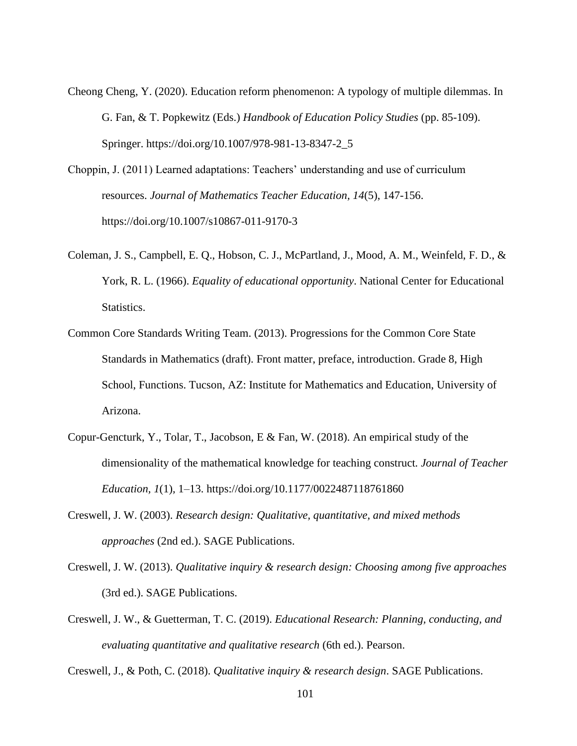- Cheong Cheng, Y. (2020). Education reform phenomenon: A typology of multiple dilemmas. In G. Fan, & T. Popkewitz (Eds.) *Handbook of Education Policy Studies* (pp. 85-109). Springer. https://doi.org/10.1007/978-981-13-8347-2\_5
- Choppin, J. (2011) Learned adaptations: Teachers' understanding and use of curriculum resources. *Journal of Mathematics Teacher Education, 14*(5), 147-156. https://doi.org/10.1007/s10867-011-9170-3
- Coleman, J. S., Campbell, E. Q., Hobson, C. J., McPartland, J., Mood, A. M., Weinfeld, F. D., & York, R. L. (1966). *Equality of educational opportunity*. National Center for Educational Statistics.
- Common Core Standards Writing Team. (2013). Progressions for the Common Core State Standards in Mathematics (draft). Front matter, preface, introduction. Grade 8, High School, Functions. Tucson, AZ: Institute for Mathematics and Education, University of Arizona.
- Copur-Gencturk, Y., Tolar, T., Jacobson, E & Fan, W. (2018). An empirical study of the dimensionality of the mathematical knowledge for teaching construct*. Journal of Teacher Education, 1*(1)*,* 1–13. [https://doi.org/10.1177/0022487118761860](https://doi.org/10.1177%2F0022487118761860)
- Creswell, J. W. (2003). *Research design: Qualitative, quantitative, and mixed methods approaches* (2nd ed.). SAGE Publications.
- Creswell, J. W. (2013). *Qualitative inquiry & research design: Choosing among five approaches* (3rd ed.). SAGE Publications.
- Creswell, J. W., & Guetterman, T. C. (2019). *Educational Research: Planning, conducting, and evaluating quantitative and qualitative research* (6th ed.). Pearson.

Creswell, J., & Poth, C. (2018). *Qualitative inquiry & research design*. SAGE Publications.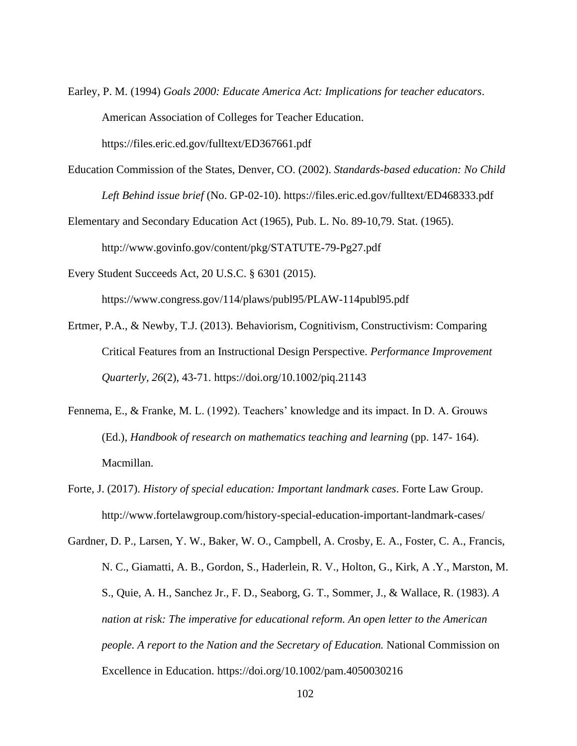Earley, P. M. (1994) *Goals 2000: Educate America Act: Implications for teacher educators*. American Association of Colleges for Teacher Education.

https://files.eric.ed.gov/fulltext/ED367661.pdf

- Education Commission of the States, Denver, CO. (2002). *Standards-based education: No Child Left Behind issue brief* (No. GP-02-10). https://files.eric.ed.gov/fulltext/ED468333.pdf
- Elementary and Secondary Education Act (1965), Pub. L. No. 89-10,79. Stat. (1965). http://www.govinfo.gov/content/pkg/STATUTE-79-Pg27.pdf

Every Student Succeeds Act, 20 U.S.C. § 6301 (2015).

https://www.congress.gov/114/plaws/publ95/PLAW-114publ95.pdf

- Ertmer, P.A., & Newby, T.J. (2013). Behaviorism, Cognitivism, Constructivism: Comparing Critical Features from an Instructional Design Perspective. *Performance Improvement Quarterly, 26*(2), 43-71. https://doi.org/10.1002/piq.21143
- Fennema, E., & Franke, M. L. (1992). Teachers' knowledge and its impact. In D. A. Grouws (Ed.), *Handbook of research on mathematics teaching and learning* (pp. 147- 164). Macmillan.
- Forte, J. (2017). *History of special education: Important landmark cases*. Forte Law Group. http://www.fortelawgroup.com/history-special-education-important-landmark-cases/

Gardner, D. P., Larsen, Y. W., Baker, W. O., Campbell, A. Crosby, E. A., Foster, C. A., Francis, N. C., Giamatti, A. B., Gordon, S., Haderlein, R. V., Holton, G., Kirk, A .Y., Marston, M. S., Quie, A. H., Sanchez Jr., F. D., Seaborg, G. T., Sommer, J., & Wallace, R. (1983). *A nation at risk: The imperative for educational reform. An open letter to the American people. A report to the Nation and the Secretary of Education.* National Commission on Excellence in Education.<https://doi.org/10.1002/pam.4050030216>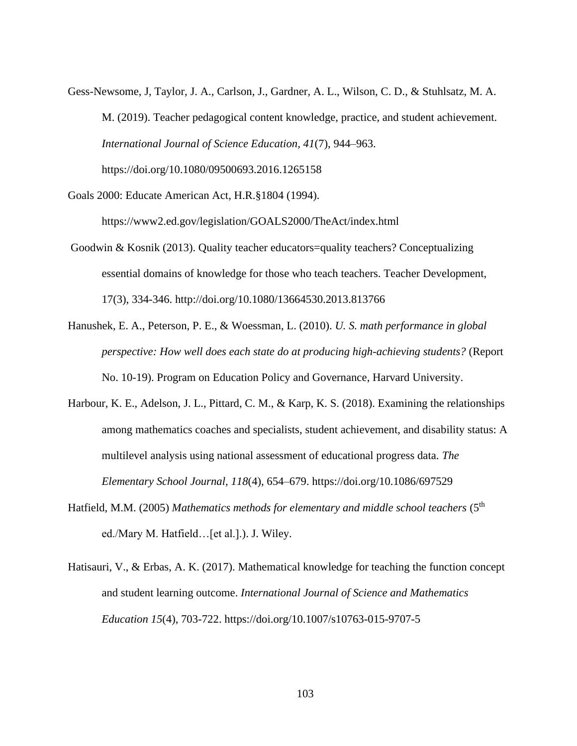Gess-Newsome, J, Taylor, J. A., Carlson, J., Gardner, A. L., Wilson, C. D., & Stuhlsatz, M. A. M. (2019). Teacher pedagogical content knowledge, practice, and student achievement. *International Journal of Science Education, 41*(7), 944–963.

<https://doi.org/10.1080/09500693.2016.1265158>

Goals 2000: Educate American Act, H.R.§1804 (1994).

https://www2.ed.gov/legislation/GOALS2000/TheAct/index.html

- Goodwin & Kosnik (2013). Quality teacher educators=quality teachers? Conceptualizing essential domains of knowledge for those who teach teachers. Teacher Development, 17(3), 334-346. http://doi.org/10.1080/13664530.2013.813766
- Hanushek, E. A., Peterson, P. E., & Woessman, L. (2010). *U. S. math performance in global perspective: How well does each state do at producing high-achieving students?* (Report No. 10-19). Program on Education Policy and Governance, Harvard University.
- Harbour, K. E., Adelson, J. L., Pittard, C. M., & Karp, K. S. (2018). Examining the relationships among mathematics coaches and specialists, student achievement, and disability status: A multilevel analysis using national assessment of educational progress data. *The Elementary School Journal, 118*(4), 654–679. https://doi.org/10.1086/697529
- Hatfield, M.M. (2005) Mathematics methods for elementary and middle school teachers (5<sup>th</sup>) ed./Mary M. Hatfield…[et al.].). J. Wiley.
- Hatisauri, V., & Erbas, A. K. (2017). Mathematical knowledge for teaching the function concept and student learning outcome. *International Journal of Science and Mathematics Education 15*(4), 703-722.<https://doi.org/10.1007/s10763-015-9707-5>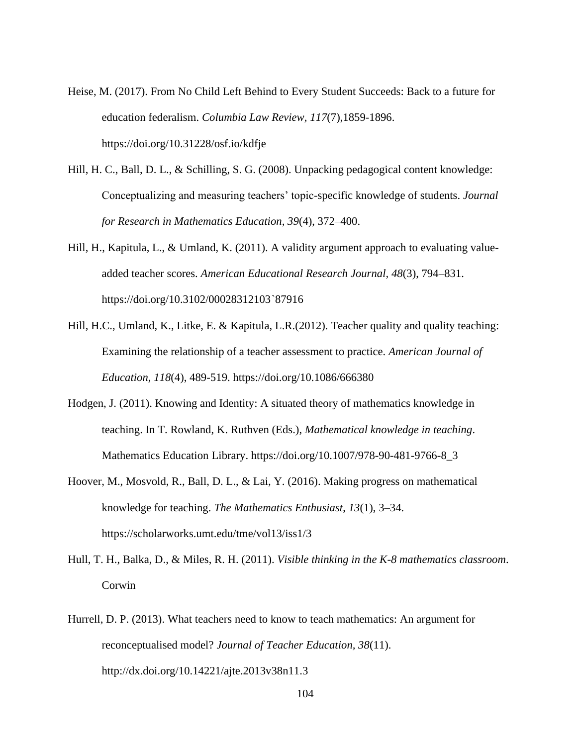- Heise, M. (2017). From No Child Left Behind to Every Student Succeeds: Back to a future for education federalism. *Columbia Law Review, 117*(7),1859-1896. https://doi.org/10.31228/osf.io/kdfje
- Hill, H. C., Ball, D. L., & Schilling, S. G. (2008). Unpacking pedagogical content knowledge: Conceptualizing and measuring teachers' topic-specific knowledge of students. *Journal for Research in Mathematics Education, 39*(4), 372–400.
- Hill, H., Kapitula, L., & Umland, K. (2011). A validity argument approach to evaluating valueadded teacher scores. *American Educational Research Journal, 48*(3), 794–831. https://doi.org/10.3102/00028312103`87916
- Hill, H.C., Umland, K., Litke, E. & Kapitula, L.R.(2012). Teacher quality and quality teaching: Examining the relationship of a teacher assessment to practice. *American Journal of Education, 118*(4), 489-519. https://doi.org/10.1086/666380
- Hodgen, J. (2011). Knowing and Identity: A situated theory of mathematics knowledge in teaching. In T. Rowland, K. Ruthven (Eds.), *Mathematical knowledge in teaching*. Mathematics Education Library. https://doi.org/10.1007/978-90-481-9766-8\_3
- Hoover, M., Mosvold, R., Ball, D. L., & Lai, Y. (2016). Making progress on mathematical knowledge for teaching. *The Mathematics Enthusiast*, *13*(1), 3–34. https://scholarworks.umt.edu/tme/vol13/iss1/3
- Hull, T. H., Balka, D., & Miles, R. H. (2011). *Visible thinking in the K-8 mathematics classroom*. Corwin
- Hurrell, D. P. (2013). What teachers need to know to teach mathematics: An argument for reconceptualised model? *Journal of Teacher Education, 38*(11). <http://dx.doi.org/10.14221/ajte.2013v38n11.3>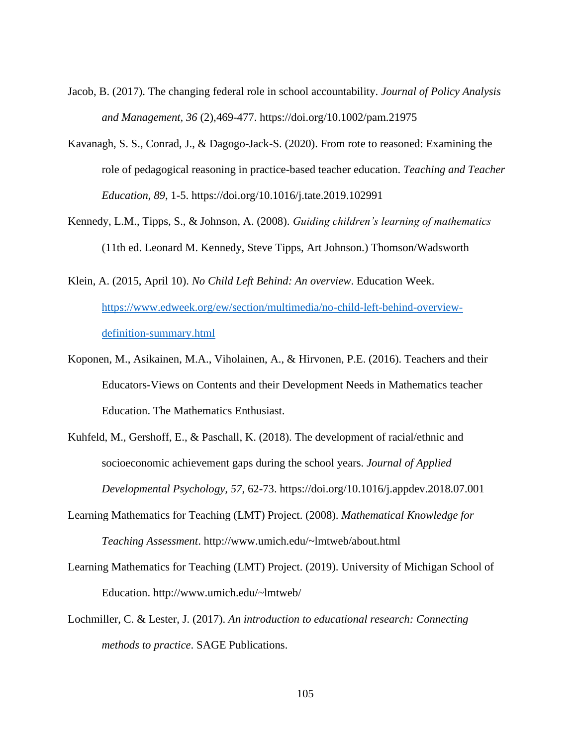- Jacob, B. (2017). The changing federal role in school accountability. *Journal of Policy Analysis and Management, 36* (2),469-477. https://doi.org/10.1002/pam.21975
- Kavanagh, S. S., Conrad, J., & Dagogo-Jack-S. (2020). From rote to reasoned: Examining the role of pedagogical reasoning in practice-based teacher education. *Teaching and Teacher Education, 89*, 1-5.<https://doi.org/10.1016/j.tate.2019.102991>
- Kennedy, L.M., Tipps, S., & Johnson, A. (2008). *Guiding children's learning of mathematics* (11th ed. Leonard M. Kennedy, Steve Tipps, Art Johnson.) Thomson/Wadsworth
- Klein, A. (2015, April 10). *No Child Left Behind: An overview*. Education Week. [https://www.edweek.org/ew/section/multimedia/no-child-left-behind-overview](https://www.edweek.org/ew/section/multimedia/no-child-left-behind-overview-definition-summary.html)[definition-summary.html](https://www.edweek.org/ew/section/multimedia/no-child-left-behind-overview-definition-summary.html)
- Koponen, M., Asikainen, M.A., Viholainen, A., & Hirvonen, P.E. (2016). Teachers and their Educators-Views on Contents and their Development Needs in Mathematics teacher Education. The Mathematics Enthusiast.
- Kuhfeld, M., Gershoff, E., & Paschall, K. (2018). The development of racial/ethnic and socioeconomic achievement gaps during the school years. *Journal of Applied Developmental Psychology, 57*, 62-73. <https://doi.org/10.1016/j.appdev.2018.07.001>
- Learning Mathematics for Teaching (LMT) Project. (2008). *Mathematical Knowledge for Teaching Assessment*. http://www.umich.edu/~lmtweb/about.html
- Learning Mathematics for Teaching (LMT) Project. (2019). University of Michigan School of Education. http://www.umich.edu/~lmtweb/
- Lochmiller, C. & Lester, J. (2017). *An introduction to educational research: Connecting methods to practice*. SAGE Publications.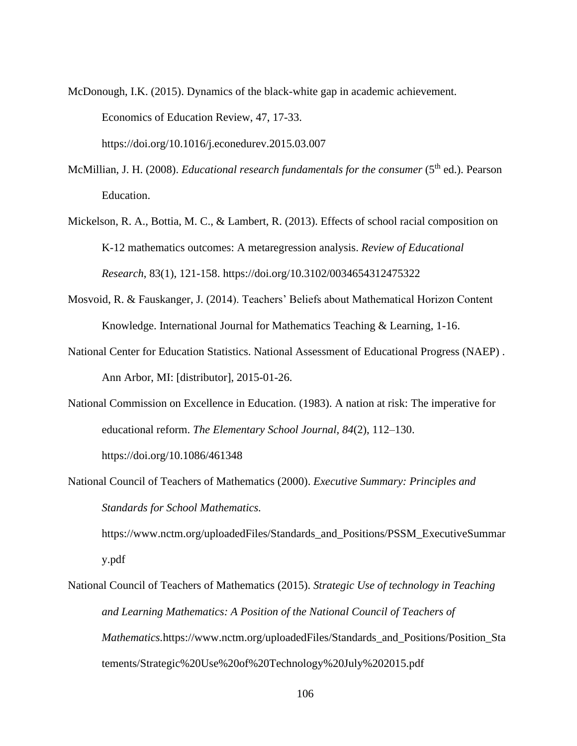McDonough, I.K. (2015). Dynamics of the black-white gap in academic achievement. Economics of Education Review, 47, 17-33.

https://doi.org/10.1016/j.econedurev.2015.03.007

- McMillian, J. H. (2008). *Educational research fundamentals for the consumer* (5<sup>th</sup> ed.). Pearson Education.
- Mickelson, R. A., Bottia, M. C., & Lambert, R. (2013). Effects of school racial composition on K-12 mathematics outcomes: A metaregression analysis. *Review of Educational Research*, 83(1), 121-158. https://doi.org/10.3102/0034654312475322
- Mosvoid, R. & Fauskanger, J. (2014). Teachers' Beliefs about Mathematical Horizon Content Knowledge. International Journal for Mathematics Teaching & Learning, 1-16.
- National Center for Education Statistics. National Assessment of Educational Progress (NAEP) . Ann Arbor, MI: [distributor], 2015-01-26.
- National Commission on Excellence in Education. (1983). A nation at risk: The imperative for educational reform. *The Elementary School Journal, 84*(2), 112–130. <https://doi.org/10.1086/461348>
- National Council of Teachers of Mathematics (2000). *Executive Summary: Principles and Standards for School Mathematics.*

https://www.nctm.org/uploadedFiles/Standards\_and\_Positions/PSSM\_ExecutiveSummar y.pdf

National Council of Teachers of Mathematics (2015). *Strategic Use of technology in Teaching and Learning Mathematics: A Position of the National Council of Teachers of Mathematics.https://www.nctm.org/uploadedFiles/Standards and Positions/Position Sta* tements/Strategic%20Use%20of%20Technology%20July%202015.pdf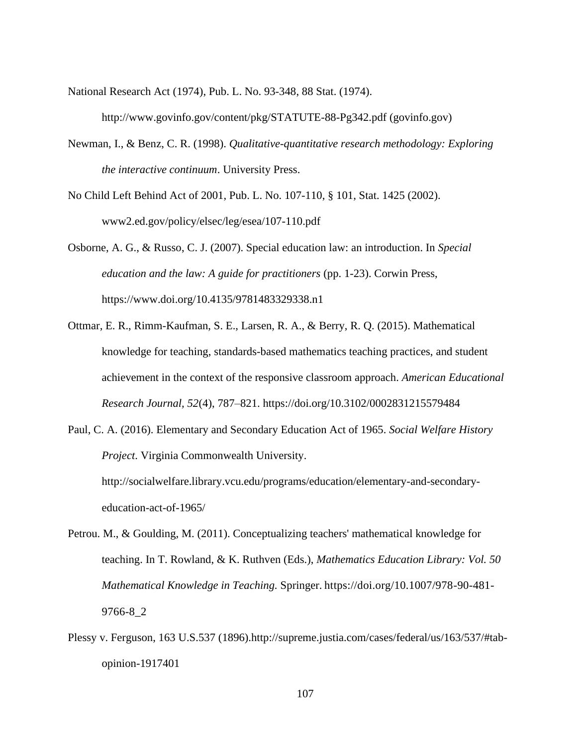National Research Act (1974), Pub. L. No. 93-348, 88 Stat. (1974).

http://www.govinfo.gov/content/pkg/STATUTE-88-Pg342.pdf (govinfo.gov)

- Newman, I., & Benz, C. R. (1998). *Qualitative-quantitative research methodology: Exploring the interactive continuum*. University Press.
- No Child Left Behind Act of 2001, Pub. L. No. 107-110, § 101, Stat. 1425 (2002). www2.ed.gov/policy/elsec/leg/esea/107-110.pdf

Osborne, A. G., & Russo, C. J. (2007). Special education law: an introduction. In *Special education and the law: A guide for practitioners* (pp. 1-23). Corwin Press, https://www.doi.org/10.4135/9781483329338.n1

- Ottmar, E. R., Rimm-Kaufman, S. E., Larsen, R. A., & Berry, R. Q. (2015). Mathematical knowledge for teaching, standards-based mathematics teaching practices, and student achievement in the context of the responsive classroom approach. *American Educational Research Journal, 52*(4), 787–821. [https://doi.org/10.3102/0002831215579484](https://doi.org/10.3102%2F0002831215579484)
- Paul, C. A. (2016). Elementary and Secondary Education Act of 1965. *Social Welfare History Project*. Virginia Commonwealth University.

http://socialwelfare.library.vcu.edu/programs/education/elementary-and-secondaryeducation-act-of-1965/

- Petrou. M., & Goulding, M. (2011). Conceptualizing teachers' mathematical knowledge for teaching. In T. Rowland, & K. Ruthven (Eds.), *Mathematics Education Library: Vol. 50 Mathematical Knowledge in Teaching.* Springer. https://doi.org/10.1007/978-90-481- 9766-8\_2
- Plessy v. Ferguson, 163 U.S.537 (1896)[.http://supreme.justia.com/cases/federal/us/163/537/#tab](http://supreme.justia.com/cases/federal/us/163/537/#tab-opinion-1917401)[opinion-1917401](http://supreme.justia.com/cases/federal/us/163/537/#tab-opinion-1917401)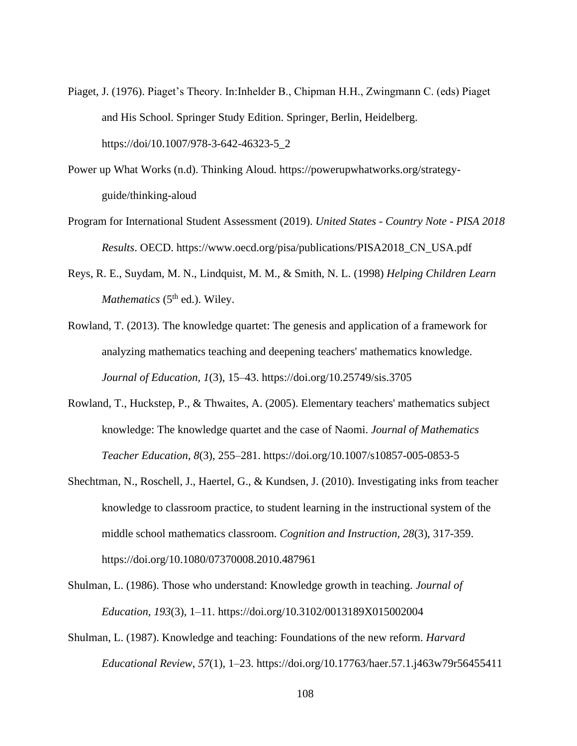- Piaget, J. (1976). Piaget's Theory. In:Inhelder B., Chipman H.H., Zwingmann C. (eds) Piaget and His School. Springer Study Edition. Springer, Berlin, Heidelberg. https://doi/10.1007/978-3-642-46323-5\_2
- Power up What Works (n.d). Thinking Aloud. https://powerupwhatworks.org/strategyguide/thinking-aloud
- Program for International Student Assessment (2019). *United States - Country Note - PISA 2018 Results*. OECD. https://www.oecd.org/pisa/publications/PISA2018\_CN\_USA.pdf
- Reys, R. E., Suydam, M. N., Lindquist, M. M., & Smith, N. L. (1998) *Helping Children Learn Mathematics* (5<sup>th</sup> ed.). Wiley.
- Rowland, T. (2013). The knowledge quartet: The genesis and application of a framework for analyzing mathematics teaching and deepening teachers' mathematics knowledge. *Journal of Education, 1*(3), 15–43. <https://doi.org/10.25749/sis.3705>
- Rowland, T., Huckstep, P., & Thwaites, A. (2005). Elementary teachers' mathematics subject knowledge: The knowledge quartet and the case of Naomi. *Journal of Mathematics Teacher Education*, *8*(3), 255–281. https://doi.org/10.1007/s10857-005-0853-5
- Shechtman, N., Roschell, J., Haertel, G., & Kundsen, J. (2010). Investigating inks from teacher knowledge to classroom practice, to student learning in the instructional system of the middle school mathematics classroom. *Cognition and Instruction, 28*(3), 317-359. <https://doi.org/10.1080/07370008.2010.487961>
- Shulman, L. (1986). Those who understand: Knowledge growth in teaching. *Journal of Education*, *193*(3), 1–11. https://doi.org/10.3102/0013189X015002004
- Shulman, L. (1987). Knowledge and teaching: Foundations of the new reform. *Harvard Educational Review*, *57*(1), 1–23. https://doi.org/10.17763/haer.57.1.j463w79r56455411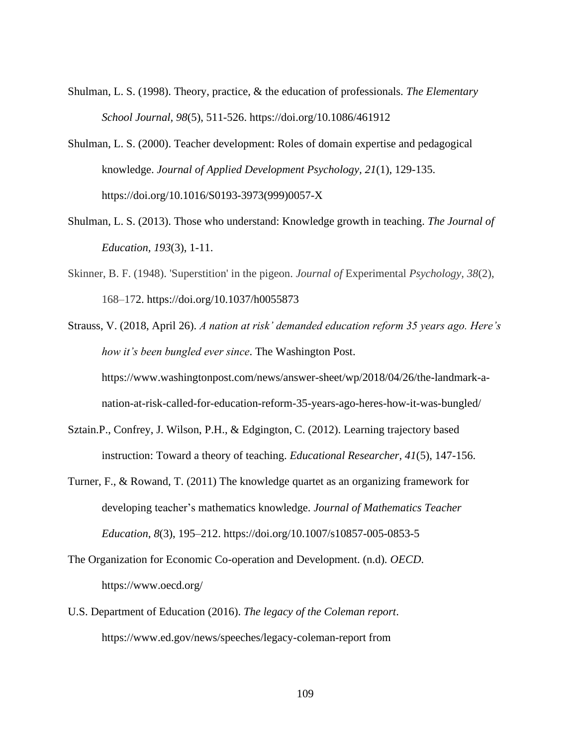- Shulman, L. S. (1998). Theory, practice, & the education of professionals. *The Elementary School Journal, 98*(5), 511-526. <https://doi.org/10.1086/461912>
- Shulman, L. S. (2000). Teacher development: Roles of domain expertise and pedagogical knowledge. *Journal of Applied Development Psychology, 21*(1), 129-135. https://doi.org/10.1016/S0193-3973(999)0057-X
- Shulman, L. S. (2013). Those who understand: Knowledge growth in teaching. *The Journal of Education, 193*(3), 1-11.
- Skinner, B. F. (1948). 'Superstition' in the pigeon. *Journal of* Experimental *Psychology, 38*(2), 168–172. [https://doi.org/10.1037/h0055873](https://psycnet.apa.org/doi/10.1037/h0055873)
- Strauss, V. (2018, April 26). *A nation at risk' demanded education reform 35 years ago. Here's how it's been bungled ever since*. The Washington Post. https://www.washingtonpost.com/news/answer-sheet/wp/2018/04/26/the-landmark-anation-at-risk-called-for-education-reform-35-years-ago-heres-how-it-was-bungled/
- Sztain.P., Confrey, J. Wilson, P.H., & Edgington, C. (2012). Learning trajectory based instruction: Toward a theory of teaching. *Educational Researcher, 41*(5), 147-156.
- Turner, F., & Rowand, T. (2011) The knowledge quartet as an organizing framework for developing teacher's mathematics knowledge. *Journal of Mathematics Teacher Education*, *8*(3), 195–212. https://doi.org/10.1007/s10857-005-0853-5
- The Organization for Economic Co-operation and Development. (n.d). *OECD*. https://www.oecd.org/
- U.S. Department of Education (2016). *The legacy of the Coleman report*. https://www.ed.gov/news/speeches/legacy-coleman-report from